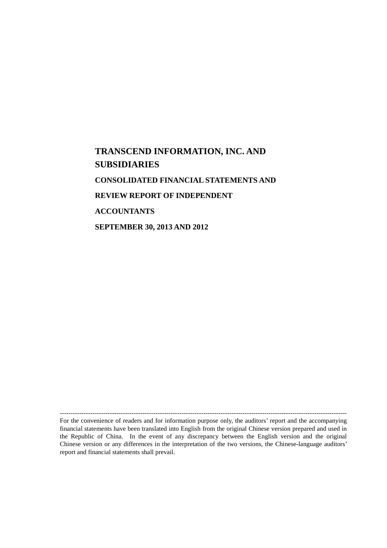# **TRANSCEND INFORMATION, INC. AND SUBSIDIARIES CONSOLIDATED FINANCIAL STATEMENTS AND REVIEW REPORT OF INDEPENDENT ACCOUNTANTS SEPTEMBER 30, 2013 AND 2012**

------------------------------------------------------------------------------------------------------------------------------------

For the convenience of readers and for information purpose only, the auditors' report and the accompanying financial statements have been translated into English from the original Chinese version prepared and used in the Republic of China. In the event of any discrepancy between the English version and the original Chinese version or any differences in the interpretation of the two versions, the Chinese-language auditors' report and financial statements shall prevail.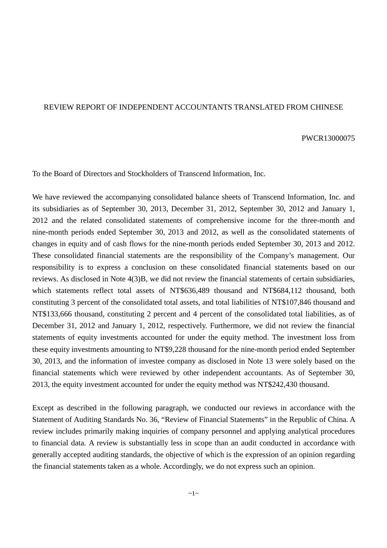#### REVIEW REPORT OF INDEPENDENT ACCOUNTANTS TRANSLATED FROM CHINESE

#### PWCR13000075

To the Board of Directors and Stockholders of Transcend Information, Inc.

We have reviewed the accompanying consolidated balance sheets of Transcend Information, Inc. and its subsidiaries as of September 30, 2013, December 31, 2012, September 30, 2012 and January 1, 2012 and the related consolidated statements of comprehensive income for the three-month and nine-month periods ended September 30, 2013 and 2012, as well as the consolidated statements of changes in equity and of cash flows for the nine-month periods ended September 30, 2013 and 2012. These consolidated financial statements are the responsibility of the Company's management. Our responsibility is to express a conclusion on these consolidated financial statements based on our reviews. As disclosed in Note 4(3)B, we did not review the financial statements of certain subsidiaries, which statements reflect total assets of NT\$636,489 thousand and NT\$684,112 thousand, both constituting 3 percent of the consolidated total assets, and total liabilities of NT\$107,846 thousand and NT\$133,666 thousand, constituting 2 percent and 4 percent of the consolidated total liabilities, as of December 31, 2012 and January 1, 2012, respectively. Furthermore, we did not review the financial statements of equity investments accounted for under the equity method. The investment loss from these equity investments amounting to NT\$9,228 thousand for the nine-month period ended September 30, 2013, and the information of investee company as disclosed in Note 13 were solely based on the financial statements which were reviewed by other independent accountants. As of September 30, 2013, the equity investment accounted for under the equity method was NT\$242,430 thousand.

Except as described in the following paragraph, we conducted our reviews in accordance with the Statement of Auditing Standards No. 36, "Review of Financial Statements" in the Republic of China. A review includes primarily making inquiries of company personnel and applying analytical procedures to financial data. A review is substantially less in scope than an audit conducted in accordance with generally accepted auditing standards, the objective of which is the expression of an opinion regarding the financial statements taken as a whole. Accordingly, we do not express such an opinion.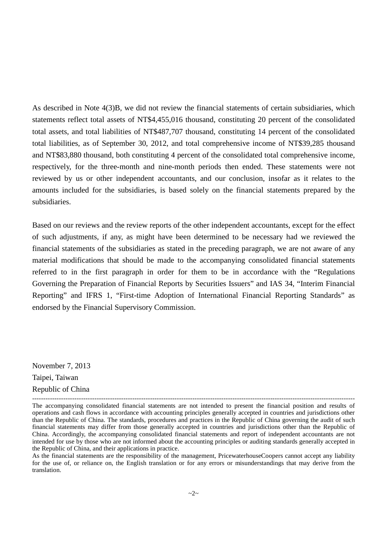As described in Note 4(3)B, we did not review the financial statements of certain subsidiaries, which statements reflect total assets of NT\$4,455,016 thousand, constituting 20 percent of the consolidated total assets, and total liabilities of NT\$487,707 thousand, constituting 14 percent of the consolidated total liabilities, as of September 30, 2012, and total comprehensive income of NT\$39,285 thousand and NT\$83,880 thousand, both constituting 4 percent of the consolidated total comprehensive income, respectively, for the three-month and nine-month periods then ended. These statements were not reviewed by us or other independent accountants, and our conclusion, insofar as it relates to the amounts included for the subsidiaries, is based solely on the financial statements prepared by the subsidiaries.

Based on our reviews and the review reports of the other independent accountants, except for the effect of such adjustments, if any, as might have been determined to be necessary had we reviewed the financial statements of the subsidiaries as stated in the preceding paragraph, we are not aware of any material modifications that should be made to the accompanying consolidated financial statements referred to in the first paragraph in order for them to be in accordance with the "Regulations Governing the Preparation of Financial Reports by Securities Issuers" and IAS 34, "Interim Financial Reporting" and IFRS 1, "First-time Adoption of International Financial Reporting Standards" as endorsed by the Financial Supervisory Commission.

November 7, 2013 Taipei, Taiwan Republic of China -------------------------------------------------------------------------------------------------------------------------------------------------

As the financial statements are the responsibility of the management, PricewaterhouseCoopers cannot accept any liability for the use of, or reliance on, the English translation or for any errors or misunderstandings that may derive from the translation.

The accompanying consolidated financial statements are not intended to present the financial position and results of operations and cash flows in accordance with accounting principles generally accepted in countries and jurisdictions other than the Republic of China. The standards, procedures and practices in the Republic of China governing the audit of such financial statements may differ from those generally accepted in countries and jurisdictions other than the Republic of China. Accordingly, the accompanying consolidated financial statements and report of independent accountants are not intended for use by those who are not informed about the accounting principles or auditing standards generally accepted in the Republic of China, and their applications in practice.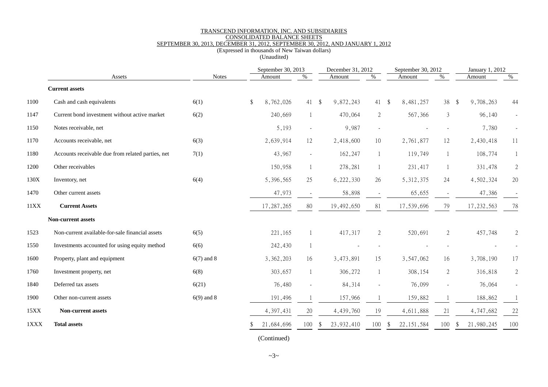#### TRANSCEND INFORMATION, INC. AND SUBSIDIARIES CONSOLIDATED BALANCE SHEETS SEPTEMBER 30, 2013, DECEMBER 31, 2012, SEPTEMBER 30, 2012, AND JANUARY 1, 2012

(Expressed in thousands of New Taiwan dollars) (Unaudited)

|      |                                                   |              | September 30, 2013 |                          |    | December 31, 2012 |              | September 30, 2012 |                          |      | January 1, 2012 |              |  |
|------|---------------------------------------------------|--------------|--------------------|--------------------------|----|-------------------|--------------|--------------------|--------------------------|------|-----------------|--------------|--|
|      | Assets                                            | <b>Notes</b> | Amount             | $\%$                     |    | Amount            | $\%$         | Amount             | %                        |      | Amount          | %            |  |
|      | <b>Current assets</b>                             |              |                    |                          |    |                   |              |                    |                          |      |                 |              |  |
| 1100 | Cash and cash equivalents                         | 6(1)         | \$<br>8,762,026    | $41 \quad$               |    | 9,872,243         | $41 \quad$   | 8,481,257          | 38                       | - \$ | 9,708,263       | 44           |  |
| 1147 | Current bond investment without active market     | 6(2)         | 240,669            | $\mathbf{1}$             |    | 470,064           | $\mathbf{2}$ | 567,366            | 3                        |      | 96,140          |              |  |
| 1150 | Notes receivable, net                             |              | 5,193              | $\blacksquare$           |    | 9,987             |              |                    |                          |      | 7,780           |              |  |
| 1170 | Accounts receivable, net                          | 6(3)         | 2,639,914          | 12                       |    | 2,418,600         | 10           | 2,761,877          | 12                       |      | 2,430,418       | 11           |  |
| 1180 | Accounts receivable due from related parties, net | 7(1)         | 43,967             | $\overline{\phantom{a}}$ |    | 162,247           | $\mathbf{1}$ | 119,749            |                          |      | 108,774         | $\mathbf{1}$ |  |
| 1200 | Other receivables                                 |              | 150,958            | $\mathbf{1}$             |    | 278,281           | 1            | 231,417            |                          |      | 331,478         | $\sqrt{2}$   |  |
| 130X | Inventory, net                                    | 6(4)         | 5,396,565          | 25                       |    | 6,222,330         | 26           | 5, 312, 375        | 24                       |      | 4,502,324       | $20\,$       |  |
| 1470 | Other current assets                              |              | 47,973             |                          |    | 58,898            |              | 65,655             |                          |      | 47,386          |              |  |
| 11XX | <b>Current Assets</b>                             |              | 17, 287, 265       | 80                       |    | 19,492,650        | 81           | 17,539,696         | 79                       |      | 17, 232, 563    | 78           |  |
|      | <b>Non-current assets</b>                         |              |                    |                          |    |                   |              |                    |                          |      |                 |              |  |
| 1523 | Non-current available-for-sale financial assets   | 6(5)         | 221,165            |                          |    | 417,317           | $\mathbf{2}$ | 520,691            | $\overline{2}$           |      | 457,748         | 2            |  |
| 1550 | Investments accounted for using equity method     | 6(6)         | 242,430            | 1                        |    |                   |              |                    |                          |      |                 |              |  |
| 1600 | Property, plant and equipment                     | $6(7)$ and 8 | 3,362,203          | 16                       |    | 3,473,891         | 15           | 3,547,062          | 16                       |      | 3,708,190       | 17           |  |
| 1760 | Investment property, net                          | 6(8)         | 303,657            | $\mathbf{1}$             |    | 306,272           | $\mathbf{1}$ | 308,154            | $\overline{2}$           |      | 316,818         | $\sqrt{2}$   |  |
| 1840 | Deferred tax assets                               | 6(21)        | 76,480             |                          |    | 84,314            |              | 76,099             | $\overline{\phantom{a}}$ |      | 76,064          |              |  |
| 1900 | Other non-current assets                          | $6(9)$ and 8 | 191,496            |                          |    | 157,966           |              | 159,882            |                          |      | 188,862         |              |  |
| 15XX | <b>Non-current assets</b>                         |              | 4,397,431          | 20                       |    | 4,439,760         | 19           | 4,611,888          | 21                       |      | 4,747,682       | 22           |  |
| 1XXX | <b>Total assets</b>                               |              | 21,684,696         | 100                      | -S | 23,932,410        | 100          | 22, 151, 584<br>-S | 100                      | \$   | 21,980,245      | 100          |  |
|      |                                                   |              |                    |                          |    |                   |              |                    |                          |      |                 |              |  |

(Continued)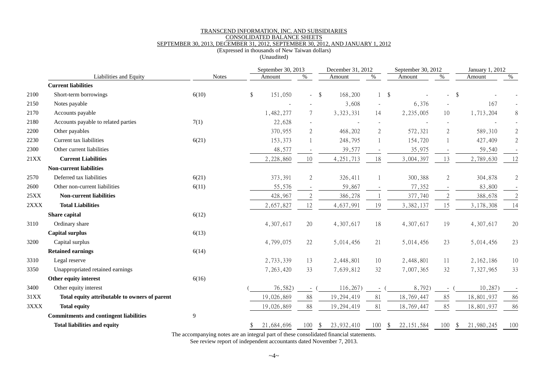#### TRANSCEND INFORMATION, INC. AND SUBSIDIARIES CONSOLIDATED BALANCE SHEETS SEPTEMBER 30, 2013, DECEMBER 31, 2012, SEPTEMBER 30, 2012, AND JANUARY 1, 2012

(Expressed in thousands of New Taiwan dollars) (Unaudited)

|      |                                               |              | September 30, 2013 |            |                            |                         | December 31, 2012 |                          | September 30, 2012 |              |    | January 1, 2012 |                |  |
|------|-----------------------------------------------|--------------|--------------------|------------|----------------------------|-------------------------|-------------------|--------------------------|--------------------|--------------|----|-----------------|----------------|--|
|      | Liabilities and Equity                        | <b>Notes</b> |                    | Amount     | %                          |                         | Amount            | %                        | Amount             | %            |    | Amount          | $\%$           |  |
|      | <b>Current liabilities</b>                    |              |                    |            |                            |                         |                   |                          |                    |              |    |                 |                |  |
| 2100 | Short-term borrowings                         | 6(10)        | \$                 | 151,050    | $\mathcal{L}^{\text{max}}$ | $\sqrt[6]{\frac{1}{2}}$ | 168,200           |                          | $\mathcal{S}$      |              | \$ |                 |                |  |
| 2150 | Notes payable                                 |              |                    |            |                            |                         | 3,608             | $\overline{\phantom{a}}$ | 6,376              |              |    | 167             |                |  |
| 2170 | Accounts payable                              |              |                    | 1,482,277  | 7                          |                         | 3,323,331         | 14                       | 2,235,005          | 10           |    | 1,713,204       | $8\,$          |  |
| 2180 | Accounts payable to related parties           | 7(1)         |                    | 22,628     |                            |                         |                   |                          |                    |              |    |                 |                |  |
| 2200 | Other payables                                |              |                    | 370,955    | 2                          |                         | 468,202           | 2                        | 572,321            | $\mathbf{2}$ |    | 589,310         | $\sqrt{2}$     |  |
| 2230 | Current tax liabilities                       | 6(21)        |                    | 153,373    |                            |                         | 248,795           |                          | 154,720            |              |    | 427,409         | $\overline{2}$ |  |
| 2300 | Other current liabilities                     |              |                    | 48,577     |                            |                         | 39,577            |                          | 35,975             |              |    | 59,540          |                |  |
| 21XX | <b>Current Liabilities</b>                    |              |                    | 2,228,860  | 10                         |                         | 4, 251, 713       | 18                       | 3,004,397          | 13           |    | 2,789,630       | 12             |  |
|      | <b>Non-current liabilities</b>                |              |                    |            |                            |                         |                   |                          |                    |              |    |                 |                |  |
| 2570 | Deferred tax liabilities                      | 6(21)        |                    | 373,391    | 2                          |                         | 326,411           |                          | 300,388            | $\mathbf{2}$ |    | 304,878         |                |  |
| 2600 | Other non-current liabilities                 | 6(11)        |                    | 55,576     |                            |                         | 59,867            |                          | 77,352             |              |    | 83,800          |                |  |
| 25XX | <b>Non-current liabilities</b>                |              |                    | 428,967    |                            |                         | 386,278           |                          | 377,740            | $\sqrt{2}$   |    | 388,678         |                |  |
| 2XXX | <b>Total Liabilities</b>                      |              |                    | 2,657,827  | 12                         |                         | 4,637,991         | 19                       | 3,382,137          | 15           |    | 3,178,308       | 14             |  |
|      | Share capital                                 | 6(12)        |                    |            |                            |                         |                   |                          |                    |              |    |                 |                |  |
| 3110 | Ordinary share                                |              |                    | 4,307,617  | 20                         |                         | 4,307,617         | 18                       | 4,307,617          | 19           |    | 4,307,617       | 20             |  |
|      | Capital surplus                               | 6(13)        |                    |            |                            |                         |                   |                          |                    |              |    |                 |                |  |
| 3200 | Capital surplus                               |              |                    | 4,799,075  | 22                         |                         | 5,014,456         | 21                       | 5,014,456          | 23           |    | 5,014,456       | 23             |  |
|      | <b>Retained earnings</b>                      | 6(14)        |                    |            |                            |                         |                   |                          |                    |              |    |                 |                |  |
| 3310 | Legal reserve                                 |              |                    | 2,733,339  | 13                         |                         | 2,448,801         | 10                       | 2,448,801          | 11           |    | 2, 162, 186     | 10             |  |
| 3350 | Unappropriated retained earnings              |              |                    | 7,263,420  | 33                         |                         | 7,639,812         | 32                       | 7,007,365          | 32           |    | 7,327,965       | 33             |  |
|      | Other equity interest                         | 6(16)        |                    |            |                            |                         |                   |                          |                    |              |    |                 |                |  |
| 3400 | Other equity interest                         |              |                    | 76,582)    |                            |                         | 116,267)          |                          | 8,792              |              |    | 10,287)         |                |  |
| 31XX | Total equity attributable to owners of parent |              |                    | 19,026,869 | 88                         |                         | 19,294,419        | 81                       | 18,769,447         | 85           |    | 18,801,937      | 86             |  |
| 3XXX | <b>Total equity</b>                           |              |                    | 19,026,869 | 88                         |                         | 19,294,419        | 81                       | 18,769,447         | 85           |    | 18,801,937      | 86             |  |
|      | <b>Commitments and contingent liabilities</b> | 9            |                    |            |                            |                         |                   |                          |                    |              |    |                 |                |  |
|      | <b>Total liabilities and equity</b>           |              |                    | 21,684,696 | 100                        | <sup>2</sup>            | 23,932,410        | 100                      | 22, 151, 584<br>\$ | 100          | \$ | 21,980,245      | 100            |  |

The accompanying notes are an integral part of these consolidated financial statements.

See review report of independent accountants dated November 7, 2013.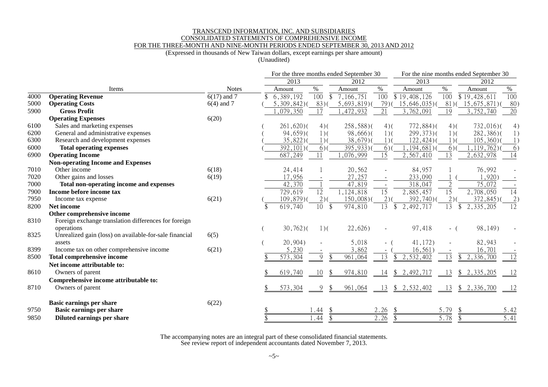#### TRANSCEND INFORMATION, INC. AND SUBSIDIARIES CONSOLIDATED STATEMENTS OF COMPREHENSIVE INCOME FOR THE THREE-MONTH AND NINE-MONTH PERIODS ENDED SEPTEMBER 30, 2013 AND 2012

(Expressed in thousands of New Taiwan dollars, except earnings per share amount)

(Unaudited)

|      |                                                        |                          |               |                        | For the three months ended September 30 |        | For the nine months ended September 30 |                |                 |                  |  |
|------|--------------------------------------------------------|--------------------------|---------------|------------------------|-----------------------------------------|--------|----------------------------------------|----------------|-----------------|------------------|--|
|      |                                                        |                          | 2013          | 2012                   |                                         |        | 2013                                   |                | 2012            |                  |  |
|      | Items                                                  | <b>Notes</b>             | Amount        | $\%$                   | Amount                                  | $\%$   | Amount                                 | $\%$           | Amount          | %                |  |
| 4000 | <b>Operating Revenue</b>                               | $\overline{6(17)}$ and 7 | 6,389,192     | $\overline{100}$<br>\$ | 7,166,751                               | 100    | \$19,408,126                           | 100            | \$19,428,611    | 100              |  |
| 5000 | <b>Operating Costs</b>                                 | $6(4)$ and 7             | $5,309,842$ ) | 83)                    | $5,693,819$ )                           | 79)    | 15,646,035)                            | 81)            | 15,675,871)     | 80)              |  |
| 5900 | <b>Gross Profit</b>                                    |                          | ,079,350      | 17                     | , 472, 932                              | 21     | 3,762,091                              | 19             | 3,752,740       | $\overline{20}$  |  |
|      | <b>Operating Expenses</b>                              | 6(20)                    |               |                        |                                         |        |                                        |                |                 |                  |  |
| 6100 | Sales and marketing expenses                           |                          | $261,620$ )(  | $4)$ (                 | $258,588$ )(                            | $4)$ ( | $772,884$ )(                           | $4)$ (         | $732,016$ )(    | 4)               |  |
| 6200 | General and administrative expenses                    |                          | $94,659$ )(   | $1)$ (                 | $98,666$ )(                             | $1)$ ( | 299,373(                               | $1)$ (         | $282,386$ )(    | 1)               |  |
| 6300 | Research and development expenses                      |                          | $35,822$ )(   | $1)$ (                 | $38,679$ )(                             | $1)$ ( | $122,424$ $($                          | 1 <sup>1</sup> | $105,360$ )(    |                  |  |
| 6000 | <b>Total operating expenses</b>                        |                          | 392, 101)     | 6)                     | 395,933(                                | 6)     | 1,194,681)                             | 6)             | , 119, 762)     | 6)               |  |
| 6900 | <b>Operating Income</b>                                |                          | 687,249       | 11                     | ,076,999                                | 15     | 2,567,410                              | 13             | 2,632,978       | 14               |  |
|      | <b>Non-operating Income and Expenses</b>               |                          |               |                        |                                         |        |                                        |                |                 |                  |  |
| 7010 | Other income                                           | 6(18)                    | 24,414        |                        | 20,562                                  |        | 84,957                                 |                | 76,992          |                  |  |
| 7020 | Other gains and losses                                 | 6(19)                    | 17,956        |                        | 27,257                                  |        | 233,090                                |                | 1,920)          |                  |  |
| 7000 | Total non-operating income and expenses                |                          | 42,370        |                        | 47,819                                  | $\sim$ | 318,047                                | $\gamma$       | 75,072          |                  |  |
| 7900 | Income before income tax                               |                          | 729,619       | $\overline{12}$        | 1,124,818                               | 15     | 2,885,457                              | 15             | 2,708,050       | 14               |  |
| 7950 | Income tax expense                                     | 6(21)                    | $109,879$ )   | 2)                     | $150,008$ $($                           | 2)     | 392,740)                               | 2)             | 372,845         | $\overline{2}$ ) |  |
| 8200 | Net income                                             |                          | 619,740       | 10<br>$\mathbb{S}$     | 974,810                                 | 13     | $\frac{1}{2}$<br>2,492,717             | 13             | 2,335,205       | $\overline{12}$  |  |
|      | Other comprehensive income                             |                          |               |                        |                                         |        |                                        |                |                 |                  |  |
| 8310 | Foreign exchange translation differences for foreign   |                          |               |                        |                                         |        |                                        |                |                 |                  |  |
|      | operations                                             |                          | $30,762$ )(   | $1)$ (                 | 22,626                                  |        | 97,418                                 | $-$ (          | 98,149)         |                  |  |
| 8325 | Unrealized gain (loss) on available-for-sale financial | 6(5)                     |               |                        |                                         |        |                                        |                |                 |                  |  |
|      | assets                                                 |                          | 20,904)       |                        | 5,018                                   |        | 41,172)                                |                | 82,943          |                  |  |
| 8399 | Income tax on other comprehensive income               | 6(21)                    | 5,230         |                        | 3,862                                   |        | 16,561)                                |                | 16,701          |                  |  |
| 8500 | <b>Total comprehensive income</b>                      |                          | 573,304       | 9<br>S                 | 961,064                                 | 13     | 2,532,402                              | 13             | 2,336,700<br>\$ | 12               |  |
|      | Net income attributable to:                            |                          |               |                        |                                         |        |                                        |                |                 |                  |  |
| 8610 | Owners of parent                                       |                          | 619,740       | 10                     | 974,810                                 | 14     | 2,492,717                              | 13             | 2,335,205       |                  |  |
|      | Comprehensive income attributable to:                  |                          |               |                        |                                         |        |                                        |                |                 |                  |  |
| 8710 | Owners of parent                                       |                          | 573,304       |                        | 961,064                                 | 13     | 2,532,402<br>\$                        | 13             | 2,336,700       |                  |  |
|      | Basic earnings per share                               | 6(22)                    |               |                        |                                         |        |                                        |                |                 |                  |  |
| 9750 | Basic earnings per share                               |                          |               | 1.44                   |                                         | 2.26   |                                        | 5.79           |                 | 5.42             |  |
| 9850 | Diluted earnings per share                             |                          |               | 1.44                   |                                         | 2.26   | \$                                     | 5.78           |                 | 5.41             |  |

The accompanying notes are an integral part of these consolidated financial statements. See review report of independent accountants dated November 7, 2013.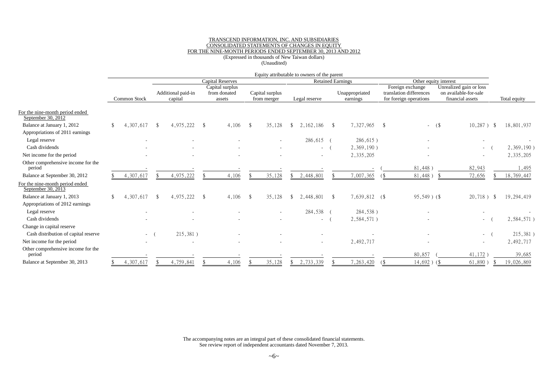#### TRANSCEND INFORMATION, INC. AND SUBSIDIARIES CONSOLIDATED STATEMENTS OF CHANGES IN EQUITY FOR THE NINE-MONTH PERIODS ENDED SEPTEMBER 30, 2013 AND 2012 (Expressed in thousands of New Taiwan dollars) (Unaudited)

|                                                       | Equity attributable to owners of the parent |    |                               |    |                         |      |                                |               |                          |      |                            |                         |                                                   |     |                                           |  |              |
|-------------------------------------------------------|---------------------------------------------|----|-------------------------------|----|-------------------------|------|--------------------------------|---------------|--------------------------|------|----------------------------|-------------------------|---------------------------------------------------|-----|-------------------------------------------|--|--------------|
|                                                       |                                             |    |                               |    | <b>Capital Reserves</b> |      |                                |               |                          |      | <b>Retained Earnings</b>   |                         | Other equity interest                             |     |                                           |  |              |
|                                                       |                                             |    | Capital surplus               |    |                         |      |                                |               | Foreign exchange         |      |                            | Unrealized gain or loss |                                                   |     |                                           |  |              |
|                                                       | Common Stock                                |    | Additional paid-in<br>capital |    | from donated<br>assets  |      | Capital surplus<br>from merger |               | Legal reserve            |      | Unappropriated<br>earnings |                         | translation differences<br>for foreign operations |     | on available-for-sale<br>financial assets |  | Total equity |
|                                                       |                                             |    |                               |    |                         |      |                                |               |                          |      |                            |                         |                                                   |     |                                           |  |              |
| For the nine-month period ended<br>September 30, 2012 |                                             |    |                               |    |                         |      |                                |               |                          |      |                            |                         |                                                   |     |                                           |  |              |
| Balance at January 1, 2012                            | 4,307,617                                   |    | 4,975,222                     | \$ | 4,106                   | - \$ | 35,128                         | <sup>\$</sup> | 2, 162, 186              | - \$ | 7,327,965                  | - \$                    | $\sim$ 10 $\pm$                                   | (\$ | $10,287$ ) \$                             |  | 18,801,937   |
| Appropriations of 2011 earnings                       |                                             |    |                               |    |                         |      |                                |               |                          |      |                            |                         |                                                   |     |                                           |  |              |
| Legal reserve                                         |                                             |    |                               |    |                         |      |                                |               | 286,615                  |      | $286,615$ )                |                         |                                                   |     |                                           |  |              |
| Cash dividends                                        |                                             |    |                               |    |                         |      |                                |               | $\overline{\phantom{0}}$ |      | 2,369,190)                 |                         |                                                   |     | $\sim$                                    |  | 2,369,190)   |
| Net income for the period                             |                                             |    |                               |    |                         |      |                                |               | $\overline{\phantom{a}}$ |      | 2,335,205                  |                         |                                                   |     |                                           |  | 2,335,205    |
| Other comprehensive income for the<br>period          |                                             |    |                               |    |                         |      |                                |               |                          |      |                            |                         | 81,448)                                           |     | 82,943                                    |  | 1,495        |
| Balance at September 30, 2012                         | 4,307,617                                   |    | 4,975,222                     |    | 4,106                   |      | 35,128                         |               | 2,448,801                |      | 7,007,365                  | (                       | 81,448)                                           |     | 72,656                                    |  | 18,769,447   |
| For the nine-month period ended<br>September 30, 2013 |                                             |    |                               |    |                         |      |                                |               |                          |      |                            |                         |                                                   |     |                                           |  |              |
| Balance at January 1, 2013                            | 4,307,617                                   | -S | 4,975,222                     | \$ | 4,106                   | - \$ | 35,128                         | \$            | 2,448,801                | - \$ | 7,639,812 (\$              |                         | $95,549$ ) (\$                                    |     | $20,718$ ) \$                             |  | 19,294,419   |
| Appropriations of 2012 earnings                       |                                             |    |                               |    |                         |      |                                |               |                          |      |                            |                         |                                                   |     |                                           |  |              |
| Legal reserve                                         |                                             |    |                               |    |                         |      |                                |               | 284,538                  |      | 284,538)                   |                         |                                                   |     |                                           |  |              |
| Cash dividends                                        |                                             |    | ٠                             |    |                         |      |                                |               | $\overline{\phantom{a}}$ |      | 2,584,571)                 |                         |                                                   |     | $\sim$                                    |  | 2,584,571)   |
| Change in capital reserve                             |                                             |    |                               |    |                         |      |                                |               |                          |      |                            |                         |                                                   |     |                                           |  |              |
| Cash distribution of capital reserve                  | $-$ (                                       |    | 215,381)                      |    |                         |      |                                |               |                          |      |                            |                         |                                                   |     | $\sim$                                    |  | 215,381)     |
| Net income for the period                             |                                             |    |                               |    |                         |      |                                |               |                          |      | 2,492,717                  |                         |                                                   |     |                                           |  | 2,492,717    |
| Other comprehensive income for the<br>period          |                                             |    |                               |    |                         |      |                                |               |                          |      |                            |                         | 80,857                                            |     | 41,172                                    |  | 39,685       |
| Balance at September 30, 2013                         | 4,307,617                                   |    | 4,759,841                     |    | 4,106                   |      | 35,128                         |               | 2,733,339                |      | 7,263,420                  |                         | 14,692) (\$                                       |     | 61,890                                    |  | 19,026,869   |

The accompanying notes are an integral part of these consolidated financial statements. See review report of independent accountants dated November 7, 2013.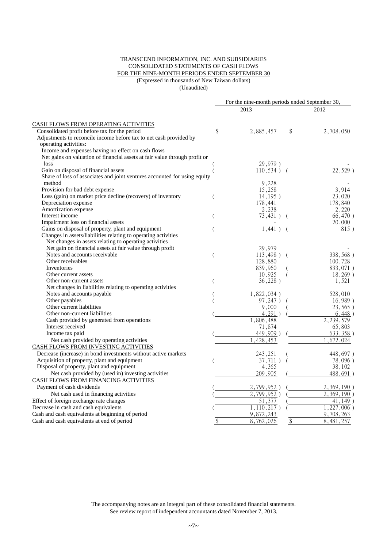#### TRANSCEND INFORMATION, INC. AND SUBSIDIARIES CONSOLIDATED STATEMENTS OF CASH FLOWS FOR THE NINE-MONTH PERIODS ENDED SEPTEMBER 30

(Expressed in thousands of New Taiwan dollars)

(Unaudited)

|                                                                            |    | For the nine-month periods ended September 30, |          |               |
|----------------------------------------------------------------------------|----|------------------------------------------------|----------|---------------|
|                                                                            |    | 2013                                           |          | 2012          |
| CASH FLOWS FROM OPERATING ACTIVITIES                                       |    |                                                |          |               |
| Consolidated profit before tax for the period                              | \$ | 2,885,457                                      | \$       | 2,708,050     |
| Adjustments to reconcile income before tax to net cash provided by         |    |                                                |          |               |
| operating activities:                                                      |    |                                                |          |               |
| Income and expenses having no effect on cash flows                         |    |                                                |          |               |
| Net gains on valuation of financial assets at fair value through profit or |    |                                                |          |               |
| loss                                                                       |    | 29,979)                                        |          |               |
| Gain on disposal of financial assets                                       |    | $110,534$ ) (                                  |          | 22,529)       |
| Share of loss of associates and joint ventures accounted for using equity  |    |                                                |          |               |
| method                                                                     |    | 9,228                                          |          |               |
| Provision for bad debt expense                                             |    | 15,258                                         |          | 3,914         |
| Loss (gain) on market price decline (recovery) of inventory                |    | 14, 195)                                       |          | 23,020        |
| Depreciation expense                                                       |    | 178,441                                        |          | 178,840       |
| Amortization expense                                                       |    | 2,238                                          |          | 2,220         |
| Interest income                                                            | (  | $73,431)$ (                                    |          | 66,470)       |
| Impairment loss on financial assets                                        |    |                                                |          | 20,000        |
| Gains on disposal of property, plant and equipment                         |    | $1,441$ ) (                                    |          | 815)          |
| Changes in assets/liabilities relating to operating activities             |    |                                                |          |               |
| Net changes in assets relating to operating activities                     |    |                                                |          |               |
| Net gain on financial assets at fair value through profit                  |    | 29,979                                         |          |               |
| Notes and accounts receivable                                              |    | $113,498$ ) (                                  |          | 338,568)      |
| Other receivables                                                          |    | 128,880                                        |          | 100,728       |
| Inventories                                                                |    | 839,960                                        |          | 833,071)      |
| Other current assets                                                       |    | 10,925                                         | (        | 18,269)       |
| Other non-current assets                                                   |    | $36,228$ )                                     |          | 1,521         |
| Net changes in liabilities relating to operating activities                |    |                                                |          |               |
| Notes and accounts payable                                                 |    | $1,822,034$ )                                  |          | 528,010       |
| Other payables                                                             |    | 97,247)                                        |          | 16,989)       |
| Other current liabilities                                                  |    | 9,000                                          |          | 23,565)       |
| Other non-current liabilities                                              |    | 4,291)                                         |          | 6,448)        |
| Cash provided by generated from operations                                 |    | 1,806,488                                      |          | 2, 239, 579   |
| Interest received                                                          |    | 71,874                                         |          | 65,803        |
| Income tax paid                                                            |    | 449,909)                                       |          | 633,358)      |
| Net cash provided by operating activities                                  |    | 428,453                                        |          | 672,024       |
| <b>CASH FLOWS FROM INVESTING ACTIVITIES</b>                                |    |                                                |          |               |
| Decrease (increase) in bond investments without active markets             |    | 243,251                                        |          | 448,697)      |
| Acquisition of property, plant and equipment                               |    | $37,711$ )                                     | $\left($ | 78,096)       |
| Disposal of property, plant and equipment                                  |    | 4,365                                          |          | 38,102        |
| Net cash provided by (used in) investing activities                        |    | 209,905                                        |          | 488,691)      |
| CASH FLOWS FROM FINANCING ACTIVITIES                                       |    |                                                |          |               |
| Payment of cash dividends                                                  |    | 2,799,952)                                     |          | 2,369,190)    |
| Net cash used in financing activities                                      |    | $\overline{2,799,952}$ )                       |          | $2,369,190$ ) |
| Effect of foreign exchange rate changes                                    |    | 51,377                                         |          | 41,149)       |
| Decrease in cash and cash equivalents                                      |    | $1,110,217$ )                                  |          | $1,227,006$ ) |
| Cash and cash equivalents at beginning of period                           |    | 9,872,243                                      |          | 9,708,263     |
| Cash and cash equivalents at end of period                                 | \$ | 8,762,026                                      | \$       | 8,481,257     |
|                                                                            |    |                                                |          |               |

The accompanying notes are an integral part of these consolidated financial statements. See review report of independent accountants dated November 7, 2013.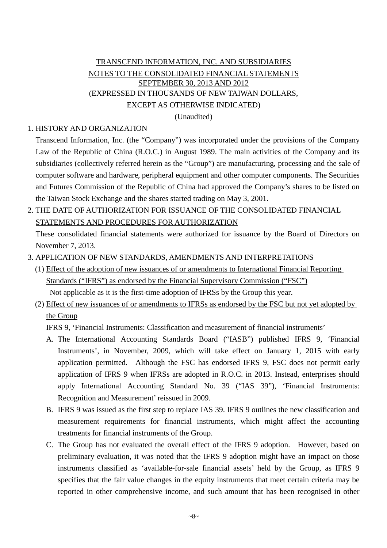## TRANSCEND INFORMATION, INC. AND SUBSIDIARIES NOTES TO THE CONSOLIDATED FINANCIAL STATEMENTS SEPTEMBER 30, 2013 AND 2012 (EXPRESSED IN THOUSANDS OF NEW TAIWAN DOLLARS, EXCEPT AS OTHERWISE INDICATED)

(Unaudited)

#### 1. HISTORY AND ORGANIZATION

Transcend Information, Inc. (the "Company") was incorporated under the provisions of the Company Law of the Republic of China (R.O.C.) in August 1989. The main activities of the Company and its subsidiaries (collectively referred herein as the "Group") are manufacturing, processing and the sale of computer software and hardware, peripheral equipment and other computer components. The Securities and Futures Commission of the Republic of China had approved the Company's shares to be listed on the Taiwan Stock Exchange and the shares started trading on May 3, 2001.

## 2. THE DATE OF AUTHORIZATION FOR ISSUANCE OF THE CONSOLIDATED FINANCIAL STATEMENTS AND PROCEDURES FOR AUTHORIZATION

These consolidated financial statements were authorized for issuance by the Board of Directors on November 7, 2013.

### 3. APPLICATION OF NEW STANDARDS, AMENDMENTS AND INTERPRETATIONS

- (1) Effect of the adoption of new issuances of or amendments to International Financial Reporting Standards ("IFRS") as endorsed by the Financial Supervisory Commission ("FSC") Not applicable as it is the first-time adoption of IFRSs by the Group this year.
- (2) Effect of new issuances of or amendments to IFRSs as endorsed by the FSC but not yet adopted by the Group

IFRS 9, 'Financial Instruments: Classification and measurement of financial instruments'

- A. The International Accounting Standards Board ("IASB") published IFRS 9, 'Financial Instruments', in November, 2009, which will take effect on January 1, 2015 with early application permitted. Although the FSC has endorsed IFRS 9, FSC does not permit early application of IFRS 9 when IFRSs are adopted in R.O.C. in 2013. Instead, enterprises should apply International Accounting Standard No. 39 ("IAS 39"), 'Financial Instruments: Recognition and Measurement' reissued in 2009.
- B. IFRS 9 was issued as the first step to replace IAS 39. IFRS 9 outlines the new classification and measurement requirements for financial instruments, which might affect the accounting treatments for financial instruments of the Group.
- C. The Group has not evaluated the overall effect of the IFRS 9 adoption. However, based on preliminary evaluation, it was noted that the IFRS 9 adoption might have an impact on those instruments classified as 'available-for-sale financial assets' held by the Group, as IFRS 9 specifies that the fair value changes in the equity instruments that meet certain criteria may be reported in other comprehensive income, and such amount that has been recognised in other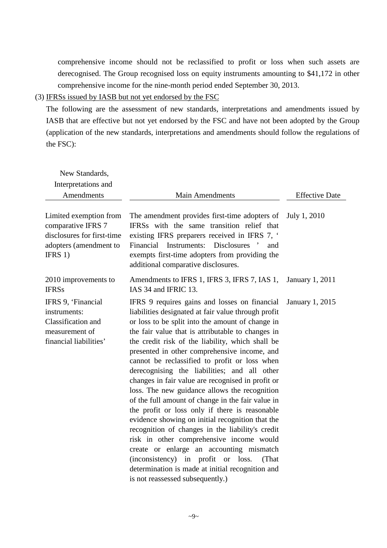comprehensive income should not be reclassified to profit or loss when such assets are derecognised. The Group recognised loss on equity instruments amounting to \$41,172 in other comprehensive income for the nine-month period ended September 30, 2013.

(3) IFRSs issued by IASB but not yet endorsed by the FSC

The following are the assessment of new standards, interpretations and amendments issued by IASB that are effective but not yet endorsed by the FSC and have not been adopted by the Group (application of the new standards, interpretations and amendments should follow the regulations of the FSC):

| New Standards,<br>Interpretations and<br>Amendments                                                             | <b>Main Amendments</b>                                                                                                                                                                                                                                                                                                                                                                                                                                                                                                                                                                                                                                                                                                                                                                                                                                                                                                                                                 | <b>Effective Date</b> |
|-----------------------------------------------------------------------------------------------------------------|------------------------------------------------------------------------------------------------------------------------------------------------------------------------------------------------------------------------------------------------------------------------------------------------------------------------------------------------------------------------------------------------------------------------------------------------------------------------------------------------------------------------------------------------------------------------------------------------------------------------------------------------------------------------------------------------------------------------------------------------------------------------------------------------------------------------------------------------------------------------------------------------------------------------------------------------------------------------|-----------------------|
| Limited exemption from<br>comparative IFRS 7<br>disclosures for first-time<br>adopters (amendment to<br>IFRS 1) | The amendment provides first-time adopters of<br>IFRSs with the same transition relief that<br>existing IFRS preparers received in IFRS 7, '<br>Financial<br>Instruments:<br>Disclosures '<br>and<br>exempts first-time adopters from providing the<br>additional comparative disclosures.                                                                                                                                                                                                                                                                                                                                                                                                                                                                                                                                                                                                                                                                             | July 1, 2010          |
| 2010 improvements to<br><b>IFRSs</b>                                                                            | Amendments to IFRS 1, IFRS 3, IFRS 7, IAS 1,<br>IAS 34 and IFRIC 13.                                                                                                                                                                                                                                                                                                                                                                                                                                                                                                                                                                                                                                                                                                                                                                                                                                                                                                   | January 1, 2011       |
| IFRS 9, 'Financial<br>instruments:<br>Classification and<br>measurement of<br>financial liabilities'            | IFRS 9 requires gains and losses on financial<br>liabilities designated at fair value through profit<br>or loss to be split into the amount of change in<br>the fair value that is attributable to changes in<br>the credit risk of the liability, which shall be<br>presented in other comprehensive income, and<br>cannot be reclassified to profit or loss when<br>derecognising the liabilities; and all other<br>changes in fair value are recognised in profit or<br>loss. The new guidance allows the recognition<br>of the full amount of change in the fair value in<br>the profit or loss only if there is reasonable<br>evidence showing on initial recognition that the<br>recognition of changes in the liability's credit<br>risk in other comprehensive income would<br>create or enlarge an accounting mismatch<br>(inconsistency) in profit or loss.<br>(That<br>determination is made at initial recognition and<br>is not reassessed subsequently.) | January 1, 2015       |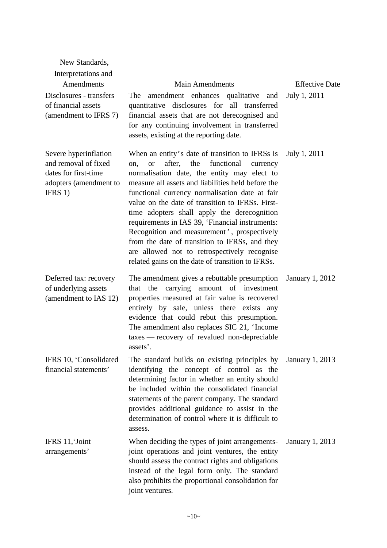| New Standards,                                                                                             |                                                                                                                                                                                                                                                                                                                                                                                                                                                                                                                                                                                                                                   |                        |
|------------------------------------------------------------------------------------------------------------|-----------------------------------------------------------------------------------------------------------------------------------------------------------------------------------------------------------------------------------------------------------------------------------------------------------------------------------------------------------------------------------------------------------------------------------------------------------------------------------------------------------------------------------------------------------------------------------------------------------------------------------|------------------------|
| Interpretations and                                                                                        |                                                                                                                                                                                                                                                                                                                                                                                                                                                                                                                                                                                                                                   |                        |
| Amendments                                                                                                 | <b>Main Amendments</b>                                                                                                                                                                                                                                                                                                                                                                                                                                                                                                                                                                                                            | <b>Effective Date</b>  |
| Disclosures - transfers<br>of financial assets<br>(amendment to IFRS 7)                                    | amendment enhances qualitative and<br>The<br>quantitative disclosures for all transferred<br>financial assets that are not derecognised and<br>for any continuing involvement in transferred<br>assets, existing at the reporting date.                                                                                                                                                                                                                                                                                                                                                                                           | July 1, 2011           |
| Severe hyperinflation<br>and removal of fixed<br>dates for first-time<br>adopters (amendment to<br>IFRS 1) | When an entity's date of transition to IFRSs is<br>functional<br>after,<br>the<br><b>or</b><br>on,<br>currency<br>normalisation date, the entity may elect to<br>measure all assets and liabilities held before the<br>functional currency normalisation date at fair<br>value on the date of transition to IFRSs. First-<br>time adopters shall apply the derecognition<br>requirements in IAS 39, 'Financial instruments:<br>Recognition and measurement', prospectively<br>from the date of transition to IFRSs, and they<br>are allowed not to retrospectively recognise<br>related gains on the date of transition to IFRSs. | July 1, 2011           |
| Deferred tax: recovery<br>of underlying assets<br>(amendment to IAS 12)                                    | The amendment gives a rebuttable presumption<br>carrying amount of investment<br>the<br>that<br>properties measured at fair value is recovered<br>entirely by sale, unless there exists any<br>evidence that could rebut this presumption.<br>The amendment also replaces SIC 21, 'Income<br>taxes — recovery of revalued non-depreciable<br>assets'.                                                                                                                                                                                                                                                                             | <b>January 1, 2012</b> |
| IFRS 10, 'Consolidated<br>financial statements'                                                            | The standard builds on existing principles by<br>identifying the concept of control as the<br>determining factor in whether an entity should<br>be included within the consolidated financial<br>statements of the parent company. The standard<br>provides additional guidance to assist in the<br>determination of control where it is difficult to<br>assess.                                                                                                                                                                                                                                                                  | <b>January 1, 2013</b> |
| IFRS 11, Joint<br>arrangements'                                                                            | When deciding the types of joint arrangements-<br>joint operations and joint ventures, the entity<br>should assess the contract rights and obligations<br>instead of the legal form only. The standard<br>also prohibits the proportional consolidation for<br>joint ventures.                                                                                                                                                                                                                                                                                                                                                    | <b>January 1, 2013</b> |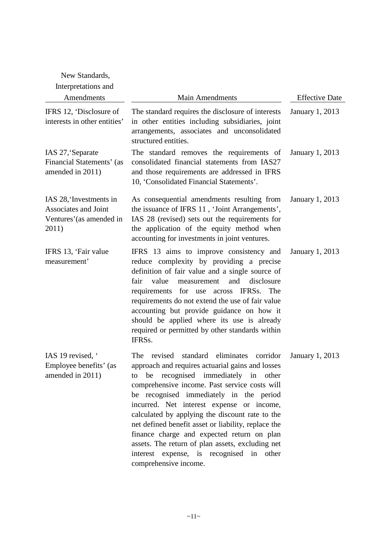| New Standards,                                                                      |                                                                                                                                                                                                                                                                                                                                                                                                                                                                                                                                                                                   |                       |
|-------------------------------------------------------------------------------------|-----------------------------------------------------------------------------------------------------------------------------------------------------------------------------------------------------------------------------------------------------------------------------------------------------------------------------------------------------------------------------------------------------------------------------------------------------------------------------------------------------------------------------------------------------------------------------------|-----------------------|
| Interpretations and<br>Amendments                                                   | <b>Main Amendments</b>                                                                                                                                                                                                                                                                                                                                                                                                                                                                                                                                                            | <b>Effective Date</b> |
| IFRS 12, 'Disclosure of<br>interests in other entities'                             | The standard requires the disclosure of interests<br>in other entities including subsidiaries, joint<br>arrangements, associates and unconsolidated<br>structured entities.                                                                                                                                                                                                                                                                                                                                                                                                       | January 1, 2013       |
| IAS 27, Separate<br>Financial Statements' (as<br>amended in 2011)                   | The standard removes the requirements of<br>consolidated financial statements from IAS27<br>and those requirements are addressed in IFRS<br>10, 'Consolidated Financial Statements'.                                                                                                                                                                                                                                                                                                                                                                                              | January 1, 2013       |
| IAS 28, Investments in<br>Associates and Joint<br>Ventures' (as amended in<br>2011) | As consequential amendments resulting from<br>the issuance of IFRS 11, 'Joint Arrangements',<br>IAS 28 (revised) sets out the requirements for<br>the application of the equity method when<br>accounting for investments in joint ventures.                                                                                                                                                                                                                                                                                                                                      | January 1, 2013       |
| IFRS 13, 'Fair value<br>measurement'                                                | IFRS 13 aims to improve consistency and<br>reduce complexity by providing a precise<br>definition of fair value and a single source of<br>fair<br>and<br>disclosure<br>value<br>measurement<br>requirements for use across IFRSs.<br>The<br>requirements do not extend the use of fair value<br>accounting but provide guidance on how it<br>should be applied where its use is already<br>required or permitted by other standards within<br>IFRS <sub>s</sub> .                                                                                                                 | January 1, 2013       |
| IAS 19 revised, '<br>Employee benefits' (as<br>amended in 2011)                     | standard<br>eliminates<br>The<br>revised<br>corridor<br>approach and requires actuarial gains and losses<br>recognised immediately in other<br>be<br>to<br>comprehensive income. Past service costs will<br>be recognised immediately in the period<br>incurred. Net interest expense or income,<br>calculated by applying the discount rate to the<br>net defined benefit asset or liability, replace the<br>finance charge and expected return on plan<br>assets. The return of plan assets, excluding net<br>interest expense, is recognised in other<br>comprehensive income. | January 1, 2013       |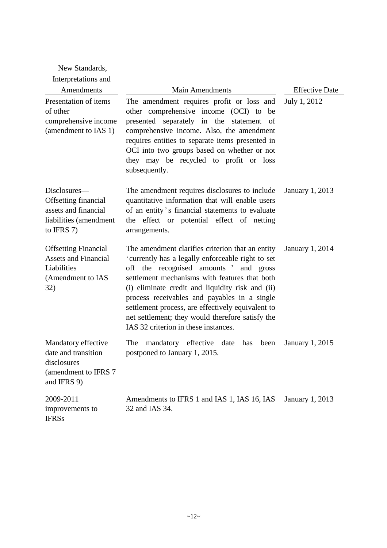| New Standards,<br>Interpretations and<br>Amendments                                                    | <b>Main Amendments</b>                                                                                                                                                                                                                                                                                                                                                                                                                                | <b>Effective Date</b>  |
|--------------------------------------------------------------------------------------------------------|-------------------------------------------------------------------------------------------------------------------------------------------------------------------------------------------------------------------------------------------------------------------------------------------------------------------------------------------------------------------------------------------------------------------------------------------------------|------------------------|
| Presentation of items<br>of other<br>comprehensive income<br>(amendment to IAS 1)                      | The amendment requires profit or loss and<br>other comprehensive income (OCI) to<br>be<br>presented separately in the statement of<br>comprehensive income. Also, the amendment<br>requires entities to separate items presented in<br>OCI into two groups based on whether or not<br>they may be recycled to profit or loss<br>subsequently.                                                                                                         | July 1, 2012           |
| Disclosures—<br>Offsetting financial<br>assets and financial<br>liabilities (amendment<br>to IFRS $7)$ | The amendment requires disclosures to include<br>quantitative information that will enable users<br>of an entity's financial statements to evaluate<br>the effect or potential effect of netting<br>arrangements.                                                                                                                                                                                                                                     | <b>January 1, 2013</b> |
| <b>Offsetting Financial</b><br><b>Assets and Financial</b><br>Liabilities<br>(Amendment to IAS<br>32)  | The amendment clarifies criterion that an entity<br>'currently has a legally enforceable right to set<br>off the recognised amounts ' and gross<br>settlement mechanisms with features that both<br>(i) eliminate credit and liquidity risk and (ii)<br>process receivables and payables in a single<br>settlement process, are effectively equivalent to<br>net settlement; they would therefore satisfy the<br>IAS 32 criterion in these instances. | <b>January 1, 2014</b> |
| Mandatory effective<br>date and transition<br>disclosures<br>(amendment to IFRS 7<br>and IFRS 9)       | mandatory effective date<br>The<br>has<br>been<br>postponed to January 1, 2015.                                                                                                                                                                                                                                                                                                                                                                       | <b>January 1, 2015</b> |
| 2009-2011<br>improvements to<br><b>IFRSs</b>                                                           | Amendments to IFRS 1 and IAS 1, IAS 16, IAS<br>32 and IAS 34.                                                                                                                                                                                                                                                                                                                                                                                         | January 1, 2013        |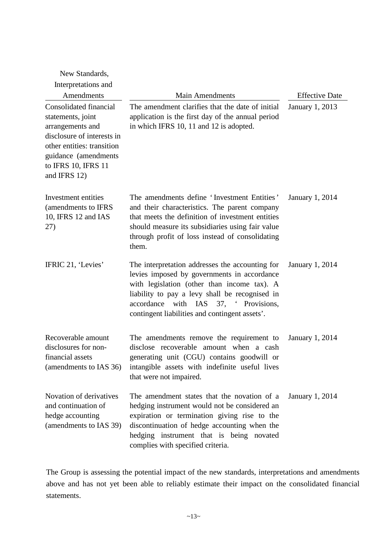| New Standards,<br>Interpretations and<br>Amendments<br>Consolidated financial<br>statements, joint<br>arrangements and<br>disclosure of interests in<br>other entities: transition<br>guidance (amendments<br>to IFRS 10, IFRS 11 | <b>Main Amendments</b><br>The amendment clarifies that the date of initial<br>application is the first day of the annual period<br>in which IFRS 10, 11 and 12 is adopted.                                                                                                                    | <b>Effective Date</b><br><b>January 1, 2013</b> |
|-----------------------------------------------------------------------------------------------------------------------------------------------------------------------------------------------------------------------------------|-----------------------------------------------------------------------------------------------------------------------------------------------------------------------------------------------------------------------------------------------------------------------------------------------|-------------------------------------------------|
| and IFRS 12)<br>Investment entities<br>(amendments to IFRS<br>10, IFRS 12 and IAS<br>27)                                                                                                                                          | The amendments define 'Investment Entities'<br>and their characteristics. The parent company<br>that meets the definition of investment entities<br>should measure its subsidiaries using fair value<br>through profit of loss instead of consolidating<br>them.                              | <b>January 1, 2014</b>                          |
| IFRIC 21, 'Levies'                                                                                                                                                                                                                | The interpretation addresses the accounting for<br>levies imposed by governments in accordance<br>with legislation (other than income tax). A<br>liability to pay a levy shall be recognised in<br>with IAS 37, ' Provisions,<br>accordance<br>contingent liabilities and contingent assets'. | <b>January 1, 2014</b>                          |
| Recoverable amount<br>disclosures for non-<br>financial assets<br>(amendments to IAS 36)                                                                                                                                          | The amendments remove the requirement to<br>disclose recoverable amount when a cash<br>generating unit (CGU) contains goodwill or<br>intangible assets with indefinite useful lives<br>that were not impaired.                                                                                | <b>January 1, 2014</b>                          |
| Novation of derivatives<br>and continuation of<br>hedge accounting<br>(amendments to IAS 39)                                                                                                                                      | The amendment states that the novation of a<br>hedging instrument would not be considered an<br>expiration or termination giving rise to the<br>discontinuation of hedge accounting when the<br>hedging instrument that is being novated<br>complies with specified criteria.                 | January 1, 2014                                 |

The Group is assessing the potential impact of the new standards, interpretations and amendments above and has not yet been able to reliably estimate their impact on the consolidated financial statements.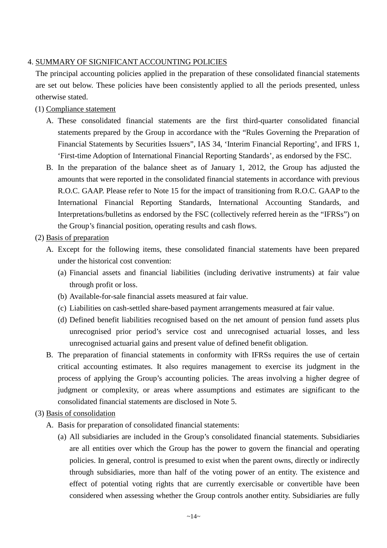### 4. SUMMARY OF SIGNIFICANT ACCOUNTING POLICIES

The principal accounting policies applied in the preparation of these consolidated financial statements are set out below. These policies have been consistently applied to all the periods presented, unless otherwise stated.

- (1) Compliance statement
	- A. These consolidated financial statements are the first third-quarter consolidated financial statements prepared by the Group in accordance with the "Rules Governing the Preparation of Financial Statements by Securities Issuers", IAS 34, 'Interim Financial Reporting', and IFRS 1, 'First-time Adoption of International Financial Reporting Standards', as endorsed by the FSC.
	- B. In the preparation of the balance sheet as of January 1, 2012, the Group has adjusted the amounts that were reported in the consolidated financial statements in accordance with previous R.O.C. GAAP. Please refer to Note 15 for the impact of transitioning from R.O.C. GAAP to the International Financial Reporting Standards, International Accounting Standards, and Interpretations/bulletins as endorsed by the FSC (collectively referred herein as the "IFRSs") on the Group's financial position, operating results and cash flows.
- (2) Basis of preparation
	- A. Except for the following items, these consolidated financial statements have been prepared under the historical cost convention:
		- (a) Financial assets and financial liabilities (including derivative instruments) at fair value through profit or loss.
		- (b) Available-for-sale financial assets measured at fair value.
		- (c) Liabilities on cash-settled share-based payment arrangements measured at fair value.
		- (d) Defined benefit liabilities recognised based on the net amount of pension fund assets plus unrecognised prior period's service cost and unrecognised actuarial losses, and less unrecognised actuarial gains and present value of defined benefit obligation.
	- B. The preparation of financial statements in conformity with IFRSs requires the use of certain critical accounting estimates. It also requires management to exercise its judgment in the process of applying the Group's accounting policies. The areas involving a higher degree of judgment or complexity, or areas where assumptions and estimates are significant to the consolidated financial statements are disclosed in Note 5.
- (3) Basis of consolidation
	- A. Basis for preparation of consolidated financial statements:
		- (a) All subsidiaries are included in the Group's consolidated financial statements. Subsidiaries are all entities over which the Group has the power to govern the financial and operating policies. In general, control is presumed to exist when the parent owns, directly or indirectly through subsidiaries, more than half of the voting power of an entity. The existence and effect of potential voting rights that are currently exercisable or convertible have been considered when assessing whether the Group controls another entity. Subsidiaries are fully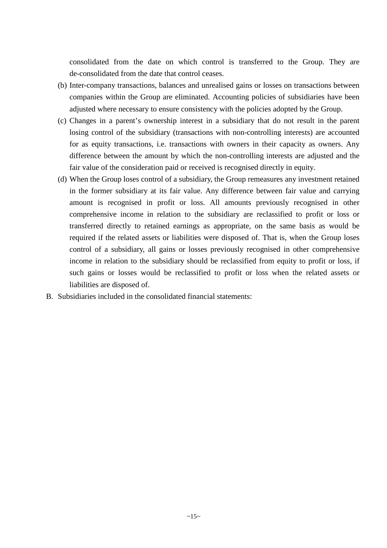consolidated from the date on which control is transferred to the Group. They are de-consolidated from the date that control ceases.

- (b) Inter-company transactions, balances and unrealised gains or losses on transactions between companies within the Group are eliminated. Accounting policies of subsidiaries have been adjusted where necessary to ensure consistency with the policies adopted by the Group.
- (c) Changes in a parent's ownership interest in a subsidiary that do not result in the parent losing control of the subsidiary (transactions with non-controlling interests) are accounted for as equity transactions, i.e. transactions with owners in their capacity as owners. Any difference between the amount by which the non-controlling interests are adjusted and the fair value of the consideration paid or received is recognised directly in equity.
- (d) When the Group loses control of a subsidiary, the Group remeasures any investment retained in the former subsidiary at its fair value. Any difference between fair value and carrying amount is recognised in profit or loss. All amounts previously recognised in other comprehensive income in relation to the subsidiary are reclassified to profit or loss or transferred directly to retained earnings as appropriate, on the same basis as would be required if the related assets or liabilities were disposed of. That is, when the Group loses control of a subsidiary, all gains or losses previously recognised in other comprehensive income in relation to the subsidiary should be reclassified from equity to profit or loss, if such gains or losses would be reclassified to profit or loss when the related assets or liabilities are disposed of.
- B. Subsidiaries included in the consolidated financial statements: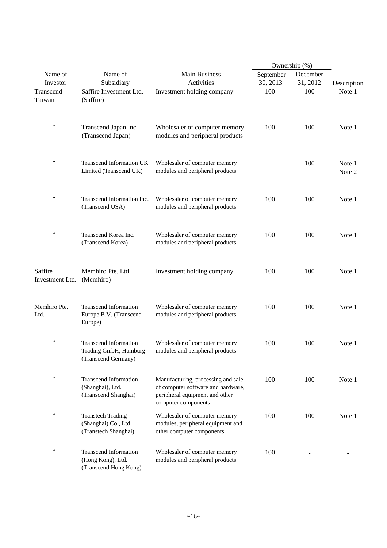|                            |                                                                              |                                                                                                                                   | Ownership (%) |          |                  |  |
|----------------------------|------------------------------------------------------------------------------|-----------------------------------------------------------------------------------------------------------------------------------|---------------|----------|------------------|--|
| Name of                    | Name of                                                                      | <b>Main Business</b>                                                                                                              | September     |          |                  |  |
| Investor                   | Subsidiary                                                                   | <b>Activities</b>                                                                                                                 | 30, 2013      | 31, 2012 | Description      |  |
| Transcend<br>Taiwan        | Saffire Investment Ltd.<br>(Saffire)                                         | Investment holding company                                                                                                        | 100           | 100      | Note 1           |  |
| $^{\prime\prime}$          | Transcend Japan Inc.<br>(Transcend Japan)                                    | Wholesaler of computer memory<br>modules and peripheral products                                                                  | 100           | 100      | Note 1           |  |
| n                          | <b>Transcend Information UK</b><br>Limited (Transcend UK)                    | Wholesaler of computer memory<br>modules and peripheral products                                                                  |               | 100      | Note 1<br>Note 2 |  |
| n                          | Transcend Information Inc.<br>(Transcend USA)                                | Wholesaler of computer memory<br>modules and peripheral products                                                                  | 100           | 100      | Note 1           |  |
| $\prime\prime$             | Transcend Korea Inc.<br>(Transcend Korea)                                    | Wholesaler of computer memory<br>modules and peripheral products                                                                  | 100           | 100      | Note 1           |  |
| Saffire<br>Investment Ltd. | Memhiro Pte. Ltd.<br>(Memhiro)                                               | Investment holding company                                                                                                        | 100           | 100      | Note 1           |  |
| Memhiro Pte.<br>Ltd.       | <b>Transcend Information</b><br>Europe B.V. (Transcend<br>Europe)            | Wholesaler of computer memory<br>modules and peripheral products                                                                  | 100           | 100      | Note 1           |  |
| $\prime\prime$             | <b>Transcend Information</b><br>Trading GmbH, Hamburg<br>(Transcend Germany) | Wholesaler of computer memory<br>modules and peripheral products                                                                  | 100           | 100      | Note 1           |  |
| $\prime\prime$             | <b>Transcend Information</b><br>(Shanghai), Ltd.<br>(Transcend Shanghai)     | Manufacturing, processing and sale<br>of computer software and hardware,<br>peripheral equipment and other<br>computer components | 100           | 100      | Note 1           |  |
| $\prime\prime$             | <b>Transtech Trading</b><br>(Shanghai) Co., Ltd.<br>(Transtech Shanghai)     | Wholesaler of computer memory<br>modules, peripheral equipment and<br>other computer components                                   | 100           | 100      | Note 1           |  |
| $\prime\prime$             | <b>Transcend Information</b><br>(Hong Kong), Ltd.<br>(Transcend Hong Kong)   | Wholesaler of computer memory<br>modules and peripheral products                                                                  | 100           |          |                  |  |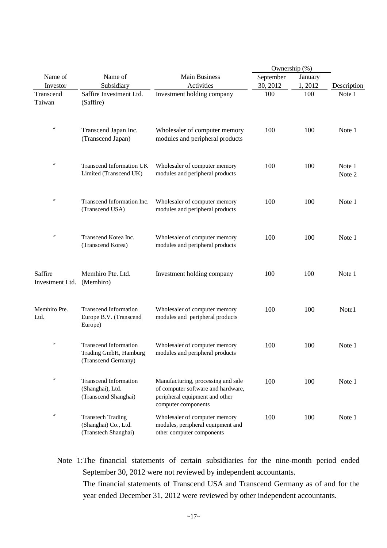|                            |                                                                              |                                                                                                                                   | Ownership (%)         |                   |                  |  |
|----------------------------|------------------------------------------------------------------------------|-----------------------------------------------------------------------------------------------------------------------------------|-----------------------|-------------------|------------------|--|
| Name of<br>Investor        | Name of<br>Subsidiary                                                        | <b>Main Business</b><br>Activities                                                                                                | September<br>30, 2012 | January<br>1,2012 | Description      |  |
| Transcend<br>Taiwan        | Saffire Investment Ltd.<br>(Saffire)                                         | Investment holding company                                                                                                        | 100                   | 100               | Note 1           |  |
| $^{\prime\prime}$          | Transcend Japan Inc.<br>(Transcend Japan)                                    | Wholesaler of computer memory<br>modules and peripheral products                                                                  | 100                   | 100               | Note 1           |  |
| $^{\prime\prime}$          | <b>Transcend Information UK</b><br>Limited (Transcend UK)                    | Wholesaler of computer memory<br>modules and peripheral products                                                                  | 100                   | 100               | Note 1<br>Note 2 |  |
| $^{\prime\prime}$          | Transcend Information Inc.<br>(Transcend USA)                                | Wholesaler of computer memory<br>modules and peripheral products                                                                  | 100                   | 100               | Note 1           |  |
| $\prime\prime$             | Transcend Korea Inc.<br>(Transcend Korea)                                    | Wholesaler of computer memory<br>modules and peripheral products                                                                  | 100                   | 100               | Note 1           |  |
| Saffire<br>Investment Ltd. | Memhiro Pte. Ltd.<br>(Memhiro)                                               | Investment holding company                                                                                                        | 100                   | 100               | Note 1           |  |
| Memhiro Pte.<br>Ltd.       | <b>Transcend Information</b><br>Europe B.V. (Transcend<br>Europe)            | Wholesaler of computer memory<br>modules and peripheral products                                                                  | 100                   | 100               | Note1            |  |
| $\prime\prime$             | <b>Transcend Information</b><br>Trading GmbH, Hamburg<br>(Transcend Germany) | Wholesaler of computer memory<br>modules and peripheral products                                                                  | 100                   | 100               | Note 1           |  |
| $\prime\prime$             | <b>Transcend Information</b><br>(Shanghai), Ltd.<br>(Transcend Shanghai)     | Manufacturing, processing and sale<br>of computer software and hardware,<br>peripheral equipment and other<br>computer components | 100                   | 100               | Note 1           |  |
| $\prime\prime$             | <b>Transtech Trading</b><br>(Shanghai) Co., Ltd.<br>(Transtech Shanghai)     | Wholesaler of computer memory<br>modules, peripheral equipment and<br>other computer components                                   | 100                   | 100               | Note 1           |  |

Note 1:The financial statements of certain subsidiaries for the nine-month period ended September 30, 2012 were not reviewed by independent accountants. The financial statements of Transcend USA and Transcend Germany as of and for the

year ended December 31, 2012 were reviewed by other independent accountants.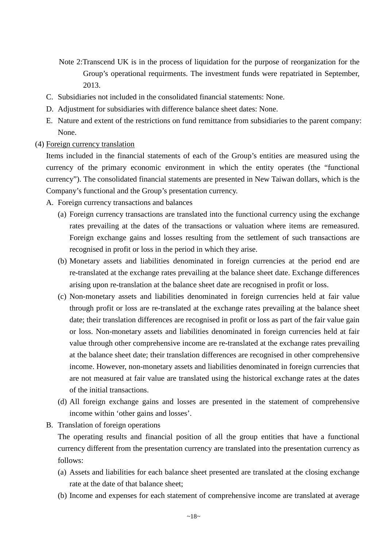- Note 2:Transcend UK is in the process of liquidation for the purpose of reorganization for the Group's operational requirments. The investment funds were repatriated in September, 2013.
- C. Subsidiaries not included in the consolidated financial statements: None.
- D. Adjustment for subsidiaries with difference balance sheet dates: None.
- E. Nature and extent of the restrictions on fund remittance from subsidiaries to the parent company: None.

#### (4) Foreign currency translation

Items included in the financial statements of each of the Group's entities are measured using the currency of the primary economic environment in which the entity operates (the "functional currency"). The consolidated financial statements are presented in New Taiwan dollars, which is the Company's functional and the Group's presentation currency.

- A. Foreign currency transactions and balances
	- (a) Foreign currency transactions are translated into the functional currency using the exchange rates prevailing at the dates of the transactions or valuation where items are remeasured. Foreign exchange gains and losses resulting from the settlement of such transactions are recognised in profit or loss in the period in which they arise.
	- (b) Monetary assets and liabilities denominated in foreign currencies at the period end are re-translated at the exchange rates prevailing at the balance sheet date. Exchange differences arising upon re-translation at the balance sheet date are recognised in profit or loss.
	- (c) Non-monetary assets and liabilities denominated in foreign currencies held at fair value through profit or loss are re-translated at the exchange rates prevailing at the balance sheet date; their translation differences are recognised in profit or loss as part of the fair value gain or loss. Non-monetary assets and liabilities denominated in foreign currencies held at fair value through other comprehensive income are re-translated at the exchange rates prevailing at the balance sheet date; their translation differences are recognised in other comprehensive income. However, non-monetary assets and liabilities denominated in foreign currencies that are not measured at fair value are translated using the historical exchange rates at the dates of the initial transactions.
	- (d) All foreign exchange gains and losses are presented in the statement of comprehensive income within 'other gains and losses'.
- B. Translation of foreign operations

The operating results and financial position of all the group entities that have a functional currency different from the presentation currency are translated into the presentation currency as follows:

- (a) Assets and liabilities for each balance sheet presented are translated at the closing exchange rate at the date of that balance sheet;
- (b) Income and expenses for each statement of comprehensive income are translated at average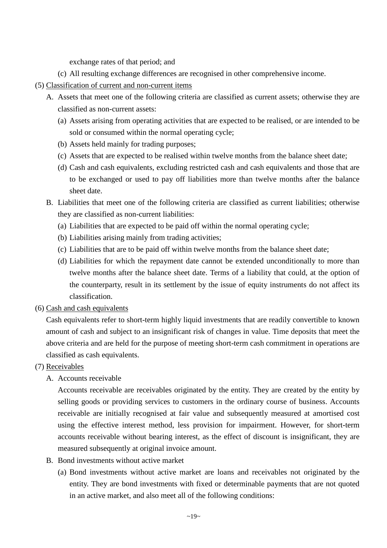exchange rates of that period; and

- (c) All resulting exchange differences are recognised in other comprehensive income.
- (5) Classification of current and non-current items
	- A. Assets that meet one of the following criteria are classified as current assets; otherwise they are classified as non-current assets:
		- (a) Assets arising from operating activities that are expected to be realised, or are intended to be sold or consumed within the normal operating cycle;
		- (b) Assets held mainly for trading purposes;
		- (c) Assets that are expected to be realised within twelve months from the balance sheet date;
		- (d) Cash and cash equivalents, excluding restricted cash and cash equivalents and those that are to be exchanged or used to pay off liabilities more than twelve months after the balance sheet date.
	- B. Liabilities that meet one of the following criteria are classified as current liabilities; otherwise they are classified as non-current liabilities:
		- (a) Liabilities that are expected to be paid off within the normal operating cycle;
		- (b) Liabilities arising mainly from trading activities;
		- (c) Liabilities that are to be paid off within twelve months from the balance sheet date;
		- (d) Liabilities for which the repayment date cannot be extended unconditionally to more than twelve months after the balance sheet date. Terms of a liability that could, at the option of the counterparty, result in its settlement by the issue of equity instruments do not affect its classification.
- (6) Cash and cash equivalents

Cash equivalents refer to short-term highly liquid investments that are readily convertible to known amount of cash and subject to an insignificant risk of changes in value. Time deposits that meet the above criteria and are held for the purpose of meeting short-term cash commitment in operations are classified as cash equivalents.

- (7) Receivables
	- A. Accounts receivable

Accounts receivable are receivables originated by the entity. They are created by the entity by selling goods or providing services to customers in the ordinary course of business. Accounts receivable are initially recognised at fair value and subsequently measured at amortised cost using the effective interest method, less provision for impairment. However, for short-term accounts receivable without bearing interest, as the effect of discount is insignificant, they are measured subsequently at original invoice amount.

- B. Bond investments without active market
	- (a) Bond investments without active market are loans and receivables not originated by the entity. They are bond investments with fixed or determinable payments that are not quoted in an active market, and also meet all of the following conditions: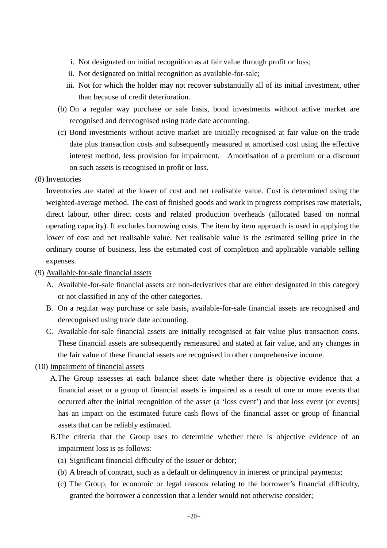- i. Not designated on initial recognition as at fair value through profit or loss;
- ii. Not designated on initial recognition as available-for-sale;
- iii. Not for which the holder may not recover substantially all of its initial investment, other than because of credit deterioration.
- (b) On a regular way purchase or sale basis, bond investments without active market are recognised and derecognised using trade date accounting.
- (c) Bond investments without active market are initially recognised at fair value on the trade date plus transaction costs and subsequently measured at amortised cost using the effective interest method, less provision for impairment. Amortisation of a premium or a discount on such assets is recognised in profit or loss.

#### (8) Inventories

Inventories are stated at the lower of cost and net realisable value. Cost is determined using the weighted-average method. The cost of finished goods and work in progress comprises raw materials, direct labour, other direct costs and related production overheads (allocated based on normal operating capacity). It excludes borrowing costs. The item by item approach is used in applying the lower of cost and net realisable value. Net realisable value is the estimated selling price in the ordinary course of business, less the estimated cost of completion and applicable variable selling expenses.

#### (9) Available-for-sale financial assets

- A. Available-for-sale financial assets are non-derivatives that are either designated in this category or not classified in any of the other categories.
- B. On a regular way purchase or sale basis, available-for-sale financial assets are recognised and derecognised using trade date accounting.
- C. Available-for-sale financial assets are initially recognised at fair value plus transaction costs. These financial assets are subsequently remeasured and stated at fair value, and any changes in the fair value of these financial assets are recognised in other comprehensive income.

#### (10) Impairment of financial assets

- A.The Group assesses at each balance sheet date whether there is objective evidence that a financial asset or a group of financial assets is impaired as a result of one or more events that occurred after the initial recognition of the asset (a 'loss event') and that loss event (or events) has an impact on the estimated future cash flows of the financial asset or group of financial assets that can be reliably estimated.
- B.The criteria that the Group uses to determine whether there is objective evidence of an impairment loss is as follows:
	- (a) Significant financial difficulty of the issuer or debtor;
	- (b) A breach of contract, such as a default or delinquency in interest or principal payments;
	- (c) The Group, for economic or legal reasons relating to the borrower's financial difficulty, granted the borrower a concession that a lender would not otherwise consider;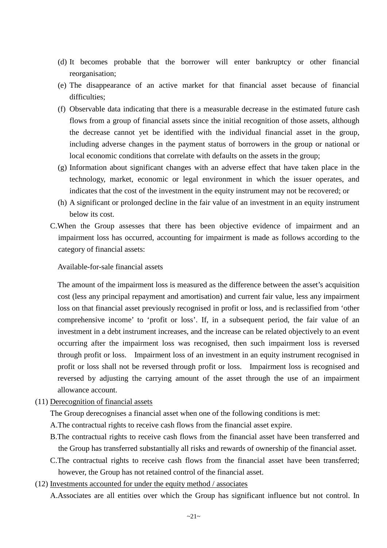- (d) It becomes probable that the borrower will enter bankruptcy or other financial reorganisation;
- (e) The disappearance of an active market for that financial asset because of financial difficulties:
- (f) Observable data indicating that there is a measurable decrease in the estimated future cash flows from a group of financial assets since the initial recognition of those assets, although the decrease cannot yet be identified with the individual financial asset in the group, including adverse changes in the payment status of borrowers in the group or national or local economic conditions that correlate with defaults on the assets in the group;
- (g) Information about significant changes with an adverse effect that have taken place in the technology, market, economic or legal environment in which the issuer operates, and indicates that the cost of the investment in the equity instrument may not be recovered; or
- (h) A significant or prolonged decline in the fair value of an investment in an equity instrument below its cost.
- C.When the Group assesses that there has been objective evidence of impairment and an impairment loss has occurred, accounting for impairment is made as follows according to the category of financial assets:

Available-for-sale financial assets

The amount of the impairment loss is measured as the difference between the asset's acquisition cost (less any principal repayment and amortisation) and current fair value, less any impairment loss on that financial asset previously recognised in profit or loss, and is reclassified from 'other comprehensive income' to 'profit or loss'. If, in a subsequent period, the fair value of an investment in a debt instrument increases, and the increase can be related objectively to an event occurring after the impairment loss was recognised, then such impairment loss is reversed through profit or loss. Impairment loss of an investment in an equity instrument recognised in profit or loss shall not be reversed through profit or loss. Impairment loss is recognised and reversed by adjusting the carrying amount of the asset through the use of an impairment allowance account.

#### (11) Derecognition of financial assets

The Group derecognises a financial asset when one of the following conditions is met:

- A.The contractual rights to receive cash flows from the financial asset expire.
- B.The contractual rights to receive cash flows from the financial asset have been transferred and the Group has transferred substantially all risks and rewards of ownership of the financial asset.
- C.The contractual rights to receive cash flows from the financial asset have been transferred; however, the Group has not retained control of the financial asset.
- (12) Investments accounted for under the equity method / associates

A.Associates are all entities over which the Group has significant influence but not control. In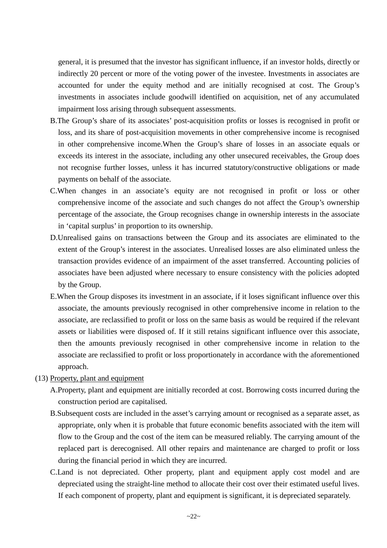general, it is presumed that the investor has significant influence, if an investor holds, directly or indirectly 20 percent or more of the voting power of the investee. Investments in associates are accounted for under the equity method and are initially recognised at cost. The Group's investments in associates include goodwill identified on acquisition, net of any accumulated impairment loss arising through subsequent assessments.

- B.The Group's share of its associates' post-acquisition profits or losses is recognised in profit or loss, and its share of post-acquisition movements in other comprehensive income is recognised in other comprehensive income.When the Group's share of losses in an associate equals or exceeds its interest in the associate, including any other unsecured receivables, the Group does not recognise further losses, unless it has incurred statutory/constructive obligations or made payments on behalf of the associate.
- C.When changes in an associate's equity are not recognised in profit or loss or other comprehensive income of the associate and such changes do not affect the Group's ownership percentage of the associate, the Group recognises change in ownership interests in the associate in 'capital surplus' in proportion to its ownership.
- D.Unrealised gains on transactions between the Group and its associates are eliminated to the extent of the Group's interest in the associates. Unrealised losses are also eliminated unless the transaction provides evidence of an impairment of the asset transferred. Accounting policies of associates have been adjusted where necessary to ensure consistency with the policies adopted by the Group.
- E.When the Group disposes its investment in an associate, if it loses significant influence over this associate, the amounts previously recognised in other comprehensive income in relation to the associate, are reclassified to profit or loss on the same basis as would be required if the relevant assets or liabilities were disposed of. If it still retains significant influence over this associate, then the amounts previously recognised in other comprehensive income in relation to the associate are reclassified to profit or loss proportionately in accordance with the aforementioned approach.
- (13) Property, plant and equipment
	- A.Property, plant and equipment are initially recorded at cost. Borrowing costs incurred during the construction period are capitalised.
	- B.Subsequent costs are included in the asset's carrying amount or recognised as a separate asset, as appropriate, only when it is probable that future economic benefits associated with the item will flow to the Group and the cost of the item can be measured reliably. The carrying amount of the replaced part is derecognised. All other repairs and maintenance are charged to profit or loss during the financial period in which they are incurred.
	- C.Land is not depreciated. Other property, plant and equipment apply cost model and are depreciated using the straight-line method to allocate their cost over their estimated useful lives. If each component of property, plant and equipment is significant, it is depreciated separately.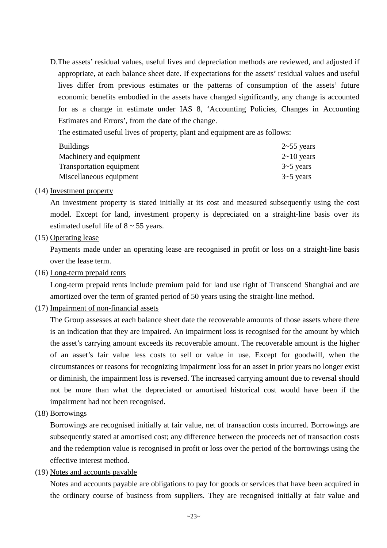D.The assets' residual values, useful lives and depreciation methods are reviewed, and adjusted if appropriate, at each balance sheet date. If expectations for the assets' residual values and useful lives differ from previous estimates or the patterns of consumption of the assets' future economic benefits embodied in the assets have changed significantly, any change is accounted for as a change in estimate under IAS 8, 'Accounting Policies, Changes in Accounting Estimates and Errors', from the date of the change.

The estimated useful lives of property, plant and equipment are as follows:

| <b>Buildings</b>                | $2 \sim 55$ years |
|---------------------------------|-------------------|
| Machinery and equipment         | $2 \sim 10$ years |
| <b>Transportation equipment</b> | $3-5$ years       |
| Miscellaneous equipment         | $3-5$ years       |

#### (14) Investment property

An investment property is stated initially at its cost and measured subsequently using the cost model. Except for land, investment property is depreciated on a straight-line basis over its estimated useful life of  $8 \sim 55$  years.

#### (15) Operating lease

Payments made under an operating lease are recognised in profit or loss on a straight-line basis over the lease term.

(16) Long-term prepaid rents

Long-term prepaid rents include premium paid for land use right of Transcend Shanghai and are amortized over the term of granted period of 50 years using the straight-line method.

### (17) Impairment of non-financial assets

The Group assesses at each balance sheet date the recoverable amounts of those assets where there is an indication that they are impaired. An impairment loss is recognised for the amount by which the asset's carrying amount exceeds its recoverable amount. The recoverable amount is the higher of an asset's fair value less costs to sell or value in use. Except for goodwill, when the circumstances or reasons for recognizing impairment loss for an asset in prior years no longer exist or diminish, the impairment loss is reversed. The increased carrying amount due to reversal should not be more than what the depreciated or amortised historical cost would have been if the impairment had not been recognised.

(18) Borrowings

Borrowings are recognised initially at fair value, net of transaction costs incurred. Borrowings are subsequently stated at amortised cost; any difference between the proceeds net of transaction costs and the redemption value is recognised in profit or loss over the period of the borrowings using the effective interest method.

#### (19) Notes and accounts payable

Notes and accounts payable are obligations to pay for goods or services that have been acquired in the ordinary course of business from suppliers. They are recognised initially at fair value and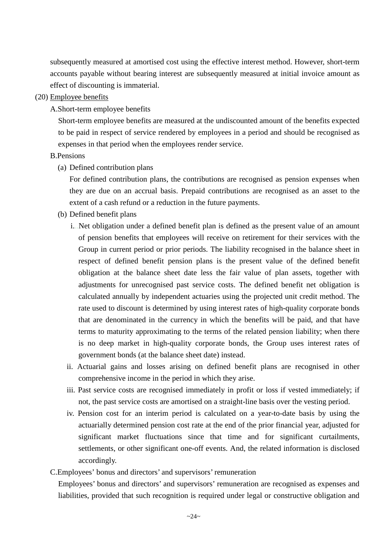subsequently measured at amortised cost using the effective interest method. However, short-term accounts payable without bearing interest are subsequently measured at initial invoice amount as effect of discounting is immaterial.

#### (20) Employee benefits

#### A.Short-term employee benefits

Short-term employee benefits are measured at the undiscounted amount of the benefits expected to be paid in respect of service rendered by employees in a period and should be recognised as expenses in that period when the employees render service.

#### B.Pensions

(a) Defined contribution plans

For defined contribution plans, the contributions are recognised as pension expenses when they are due on an accrual basis. Prepaid contributions are recognised as an asset to the extent of a cash refund or a reduction in the future payments.

- (b) Defined benefit plans
	- i...Net obligation under a defined benefit plan is defined as the present value of an amount of pension benefits that employees will receive on retirement for their services with the Group in current period or prior periods. The liability recognised in the balance sheet in respect of defined benefit pension plans is the present value of the defined benefit obligation at the balance sheet date less the fair value of plan assets, together with adjustments for unrecognised past service costs. The defined benefit net obligation is calculated annually by independent actuaries using the projected unit credit method. The rate used to discount is determined by using interest rates of high-quality corporate bonds that are denominated in the currency in which the benefits will be paid, and that have terms to maturity approximating to the terms of the related pension liability; when there is no deep market in high-quality corporate bonds, the Group uses interest rates of government bonds (at the balance sheet date) instead.
	- ii. Actuarial gains and losses arising on defined benefit plans are recognised in other comprehensive income in the period in which they arise.
	- iii. Past service costs are recognised immediately in profit or loss if vested immediately; if not, the past service costs are amortised on a straight-line basis over the vesting period.
	- iv. Pension cost for an interim period is calculated on a year-to-date basis by using the actuarially determined pension cost rate at the end of the prior financial year, adjusted for significant market fluctuations since that time and for significant curtailments, settlements, or other significant one-off events. And, the related information is disclosed accordingly.

C.Employees' bonus and directors' and supervisors' remuneration

Employees' bonus and directors' and supervisors' remuneration are recognised as expenses and liabilities, provided that such recognition is required under legal or constructive obligation and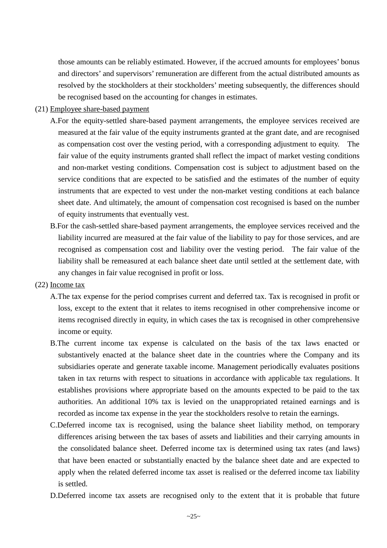those amounts can be reliably estimated. However, if the accrued amounts for employees' bonus and directors' and supervisors' remuneration are different from the actual distributed amounts as resolved by the stockholders at their stockholders' meeting subsequently, the differences should be recognised based on the accounting for changes in estimates.

- (21) Employee share-based payment
	- A.For the equity-settled share-based payment arrangements, the employee services received are measured at the fair value of the equity instruments granted at the grant date, and are recognised as compensation cost over the vesting period, with a corresponding adjustment to equity. The fair value of the equity instruments granted shall reflect the impact of market vesting conditions and non-market vesting conditions. Compensation cost is subject to adjustment based on the service conditions that are expected to be satisfied and the estimates of the number of equity instruments that are expected to vest under the non-market vesting conditions at each balance sheet date. And ultimately, the amount of compensation cost recognised is based on the number of equity instruments that eventually vest.
	- B.For the cash-settled share-based payment arrangements, the employee services received and the liability incurred are measured at the fair value of the liability to pay for those services, and are recognised as compensation cost and liability over the vesting period. The fair value of the liability shall be remeasured at each balance sheet date until settled at the settlement date, with any changes in fair value recognised in profit or loss.
- (22) Income tax
	- A.The tax expense for the period comprises current and deferred tax. Tax is recognised in profit or loss, except to the extent that it relates to items recognised in other comprehensive income or items recognised directly in equity, in which cases the tax is recognised in other comprehensive income or equity.
	- B.The current income tax expense is calculated on the basis of the tax laws enacted or substantively enacted at the balance sheet date in the countries where the Company and its subsidiaries operate and generate taxable income. Management periodically evaluates positions taken in tax returns with respect to situations in accordance with applicable tax regulations. It establishes provisions where appropriate based on the amounts expected to be paid to the tax authorities. An additional 10% tax is levied on the unappropriated retained earnings and is recorded as income tax expense in the year the stockholders resolve to retain the earnings.
	- C.Deferred income tax is recognised, using the balance sheet liability method, on temporary differences arising between the tax bases of assets and liabilities and their carrying amounts in the consolidated balance sheet. Deferred income tax is determined using tax rates (and laws) that have been enacted or substantially enacted by the balance sheet date and are expected to apply when the related deferred income tax asset is realised or the deferred income tax liability is settled.
	- D.Deferred income tax assets are recognised only to the extent that it is probable that future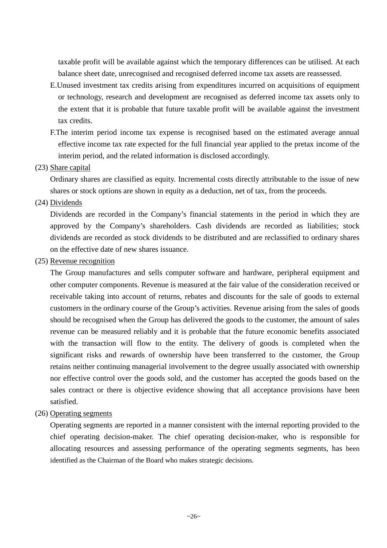taxable profit will be available against which the temporary differences can be utilised. At each balance sheet date, unrecognised and recognised deferred income tax assets are reassessed.

- E.Unused investment tax credits arising from expenditures incurred on acquisitions of equipment or technology, research and development are recognised as deferred income tax assets only to the extent that it is probable that future taxable profit will be available against the investment tax credits.
- F.The interim period income tax expense is recognised based on the estimated average annual effective income tax rate expected for the full financial year applied to the pretax income of the interim period, and the related information is disclosed accordingly.
- (23) Share capital

Ordinary shares are classified as equity. Incremental costs directly attributable to the issue of new shares or stock options are shown in equity as a deduction, net of tax, from the proceeds.

(24) Dividends

Dividends are recorded in the Company's financial statements in the period in which they are approved by the Company's shareholders. Cash dividends are recorded as liabilities; stock dividends are recorded as stock dividends to be distributed and are reclassified to ordinary shares on the effective date of new shares issuance.

(25) Revenue recognition

The Group manufactures and sells computer software and hardware, peripheral equipment and other computer components. Revenue is measured at the fair value of the consideration received or receivable taking into account of returns, rebates and discounts for the sale of goods to external customers in the ordinary course of the Group's activities. Revenue arising from the sales of goods should be recognised when the Group has delivered the goods to the customer, the amount of sales revenue can be measured reliably and it is probable that the future economic benefits associated with the transaction will flow to the entity. The delivery of goods is completed when the significant risks and rewards of ownership have been transferred to the customer, the Group retains neither continuing managerial involvement to the degree usually associated with ownership nor effective control over the goods sold, and the customer has accepted the goods based on the sales contract or there is objective evidence showing that all acceptance provisions have been satisfied.

(26) Operating segments

Operating segments are reported in a manner consistent with the internal reporting provided to the chief operating decision-maker. The chief operating decision-maker, who is responsible for allocating resources and assessing performance of the operating segments segments, has been identified as the Chairman of the Board who makes strategic decisions.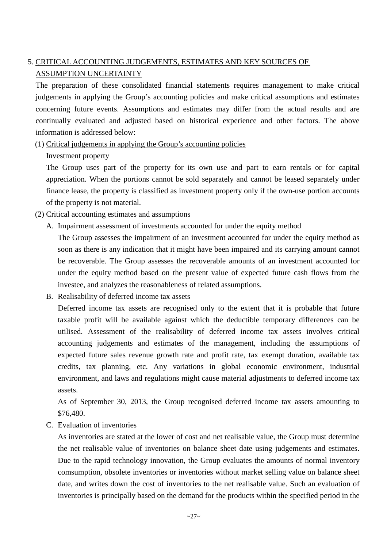## 5. CRITICAL ACCOUNTING JUDGEMENTS, ESTIMATES AND KEY SOURCES OF ASSUMPTION UNCERTAINTY

The preparation of these consolidated financial statements requires management to make critical judgements in applying the Group's accounting policies and make critical assumptions and estimates concerning future events. Assumptions and estimates may differ from the actual results and are continually evaluated and adjusted based on historical experience and other factors. The above information is addressed below:

### (1) Critical judgements in applying the Group's accounting policies

Investment property

The Group uses part of the property for its own use and part to earn rentals or for capital appreciation. When the portions cannot be sold separately and cannot be leased separately under finance lease, the property is classified as investment property only if the own-use portion accounts of the property is not material.

(2) Critical accounting estimates and assumptions

A. Impairment assessment of investments accounted for under the equity method

The Group assesses the impairment of an investment accounted for under the equity method as soon as there is any indication that it might have been impaired and its carrying amount cannot be recoverable. The Group assesses the recoverable amounts of an investment accounted for under the equity method based on the present value of expected future cash flows from the investee, and analyzes the reasonableness of related assumptions.

B. Realisability of deferred income tax assets

Deferred income tax assets are recognised only to the extent that it is probable that future taxable profit will be available against which the deductible temporary differences can be utilised. Assessment of the realisability of deferred income tax assets involves critical accounting judgements and estimates of the management, including the assumptions of expected future sales revenue growth rate and profit rate, tax exempt duration, available tax credits, tax planning, etc. Any variations in global economic environment, industrial environment, and laws and regulations might cause material adjustments to deferred income tax assets.

As of September 30, 2013, the Group recognised deferred income tax assets amounting to \$76,480.

C. Evaluation of inventories

As inventories are stated at the lower of cost and net realisable value, the Group must determine the net realisable value of inventories on balance sheet date using judgements and estimates. Due to the rapid technology innovation, the Group evaluates the amounts of normal inventory comsumption, obsolete inventories or inventories without market selling value on balance sheet date, and writes down the cost of inventories to the net realisable value. Such an evaluation of inventories is principally based on the demand for the products within the specified period in the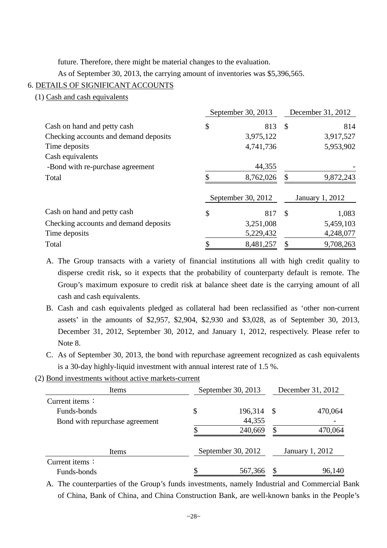future. Therefore, there might be material changes to the evaluation.

As of September 30, 2013, the carrying amount of inventories was \$5,396,565.

### 6. DETAILS OF SIGNIFICANT ACCOUNTS

(1) Cash and cash equivalents

|                                       | September 30, 2013 |               | December 31, 2012 |
|---------------------------------------|--------------------|---------------|-------------------|
| Cash on hand and petty cash           | \$<br>813          | $\mathcal{S}$ | 814               |
| Checking accounts and demand deposits | 3,975,122          |               | 3,917,527         |
| Time deposits                         | 4,741,736          |               | 5,953,902         |
| Cash equivalents                      |                    |               |                   |
| -Bond with re-purchase agreement      | 44,355             |               |                   |
| Total                                 | 8,762,026          | \$            | 9,872,243         |
|                                       | September 30, 2012 |               | January 1, 2012   |
| Cash on hand and petty cash           | \$<br>817          | $\mathcal{S}$ | 1,083             |
| Checking accounts and demand deposits | 3,251,008          |               | 5,459,103         |
| Time deposits                         | 5,229,432          |               | 4,248,077         |
| Total                                 | \$<br>8,481,257    | \$            | 9,708,263         |

A. The Group transacts with a variety of financial institutions all with high credit quality to disperse credit risk, so it expects that the probability of counterparty default is remote. The Group's maximum exposure to credit risk at balance sheet date is the carrying amount of all cash and cash equivalents.

- B. Cash and cash equivalents pledged as collateral had been reclassified as 'other non-current assets' in the amounts of \$2,957, \$2,904, \$2,930 and \$3,028, as of September 30, 2013, December 31, 2012, September 30, 2012, and January 1, 2012, respectively. Please refer to Note 8.
- C. As of September 30, 2013, the bond with repurchase agreement recognized as cash equivalents is a 30-day highly-liquid investment with annual interest rate of 1.5 %.
- (2) Bond investments without active markets-current

| Items                          | September 30, 2013 |    | December 31, 2012 |  |
|--------------------------------|--------------------|----|-------------------|--|
| Current items:                 |                    |    |                   |  |
| Funds-bonds                    | \$<br>196,314      | -S | 470,064           |  |
| Bond with repurchase agreement | 44,355             |    |                   |  |
|                                | 240,669            |    | 470,064           |  |
| Items                          | September 30, 2012 |    | January 1, 2012   |  |
| Current items:                 |                    |    |                   |  |
| Funds-bonds                    | 567,366            |    | 96,140            |  |

A. The counterparties of the Group's funds investments, namely Industrial and Commercial Bank of China, Bank of China, and China Construction Bank, are well-known banks in the People's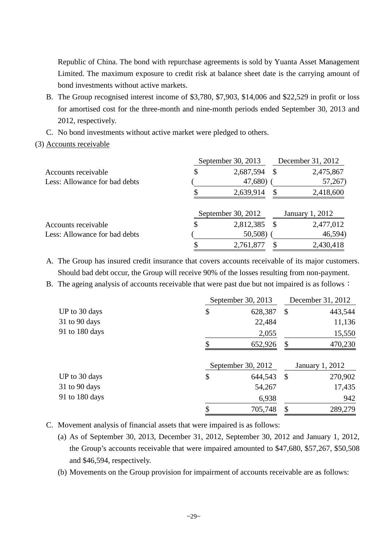Republic of China. The bond with repurchase agreements is sold by Yuanta Asset Management Limited. The maximum exposure to credit risk at balance sheet date is the carrying amount of bond investments without active markets.

- B. The Group recognised interest income of \$3,780, \$7,903, \$14,006 and \$22,529 in profit or loss for amortised cost for the three-month and nine-month periods ended September 30, 2013 and 2012, respectively.
- C. No bond investments without active market were pledged to others.
- (3) Accounts receivable

|                               | September 30, 2013 |               | December 31, 2012 |
|-------------------------------|--------------------|---------------|-------------------|
| Accounts receivable           | \$<br>2,687,594    | $\mathcal{S}$ | 2,475,867         |
| Less: Allowance for bad debts | 47,680)            |               | 57,267)           |
|                               | 2,639,914          |               | 2,418,600         |
|                               | September 30, 2012 |               | January 1, 2012   |
| Accounts receivable           | \$<br>2,812,385    | - \$          | 2,477,012         |
| Less: Allowance for bad debts | 50,508)            |               | 46,594)           |
|                               | 2,761,877          |               | 2,430,418         |

A. The Group has insured credit insurance that covers accounts receivable of its major customers. Should bad debt occur, the Group will receive 90% of the losses resulting from non-payment.

B. The ageing analysis of accounts receivable that were past due but not impaired is as follows:

|                 | September 30, 2013 |               | December 31, 2012 |
|-----------------|--------------------|---------------|-------------------|
| UP to 30 days   | \$<br>628,387      | \$            | 443,544           |
| $31$ to 90 days | 22,484             |               | 11,136            |
| 91 to 180 days  | 2,055              |               | 15,550            |
|                 | 652,926            | \$            | 470,230           |
|                 | September 30, 2012 |               | January 1, 2012   |
| UP to 30 days   | \$<br>644,543      | $\mathcal{S}$ | 270,902           |
| 31 to 90 days   | 54,267             |               | 17,435            |
| 91 to 180 days  | 6,938              |               | 942               |
|                 | \$<br>705,748      | \$            | 289,279           |

- C. Movement analysis of financial assets that were impaired is as follows:
	- (a) As of September 30, 2013, December 31, 2012, September 30, 2012 and January 1, 2012, the Group's accounts receivable that were impaired amounted to \$47,680, \$57,267, \$50,508 and \$46,594, respectively.
	- (b) Movements on the Group provision for impairment of accounts receivable are as follows: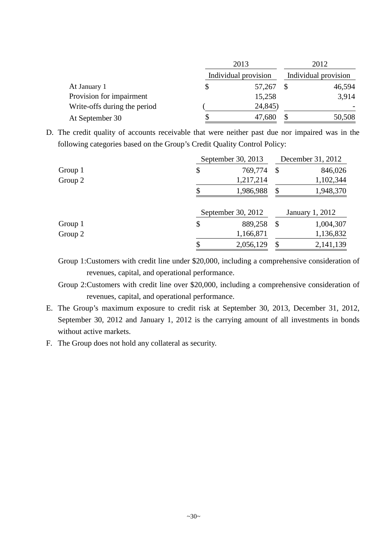|                              | 2013 |                      | 2012 |                      |
|------------------------------|------|----------------------|------|----------------------|
|                              |      | Individual provision |      | Individual provision |
| At January 1                 | \$   | 57,267               |      | 46,594               |
| Provision for impairment     |      | 15,258               |      | 3,914                |
| Write-offs during the period |      | 24,845)              |      |                      |
| At September 30              |      | 47,680               |      | 50,508               |

D. The credit quality of accounts receivable that were neither past due nor impaired was in the following categories based on the Group's Credit Quality Control Policy:

|         | September 30, 2013 |                           | December 31, 2012 |
|---------|--------------------|---------------------------|-------------------|
| Group 1 | \$<br>769,774      | $\boldsymbol{\mathsf{S}}$ | 846,026           |
| Group 2 | 1,217,214          |                           | 1,102,344         |
|         | 1,986,988          | \$                        | 1,948,370         |
|         |                    |                           |                   |
|         | September 30, 2012 |                           | January 1, 2012   |
| Group 1 | \$<br>889,258      | $\mathcal{S}$             | 1,004,307         |
| Group 2 | 1,166,871          |                           | 1,136,832         |
|         | \$<br>2,056,129    | \$                        | 2,141,139         |

Group 1:Customers with credit line under \$20,000, including a comprehensive consideration of revenues, capital, and operational performance.

Group 2:Customers with credit line over \$20,000, including a comprehensive consideration of revenues, capital, and operational performance.

- E. The Group's maximum exposure to credit risk at September 30, 2013, December 31, 2012, September 30, 2012 and January 1, 2012 is the carrying amount of all investments in bonds without active markets.
- F. The Group does not hold any collateral as security.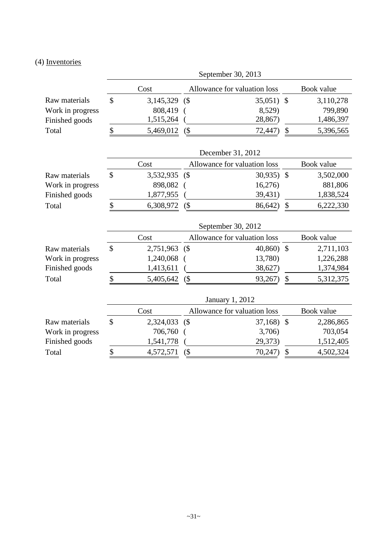## (4) Inventories

|                  | September 30, 2013 |                  |  |                              |  |            |  |
|------------------|--------------------|------------------|--|------------------------------|--|------------|--|
|                  | Cost               |                  |  | Allowance for valuation loss |  | Book value |  |
| Raw materials    |                    | $3,145,329$ (\$) |  | $35,051$ \$                  |  | 3,110,278  |  |
| Work in progress |                    | 808,419          |  | 8,529)                       |  | 799,890    |  |
| Finished goods   |                    | 1,515,264        |  | 28,867)                      |  | 1,486,397  |  |
| Total            | S                  | 5,469,012        |  | 72,447)                      |  | 5,396,565  |  |

|                  | December 31, 2012 |               |  |                              |  |            |
|------------------|-------------------|---------------|--|------------------------------|--|------------|
|                  |                   | Cost          |  | Allowance for valuation loss |  | Book value |
| Raw materials    | \$                | 3,532,935 (\$ |  | $30,935$ \$                  |  | 3,502,000  |
| Work in progress |                   | 898,082       |  | 16,276                       |  | 881,806    |
| Finished goods   |                   | 1,877,955     |  | 39,431)                      |  | 1,838,524  |
| Total            | \$                | 6,308,972     |  | 86,642)                      |  | 6,222,330  |

|                  | September 30, 2012   |  |                              |  |            |  |
|------------------|----------------------|--|------------------------------|--|------------|--|
|                  | Cost                 |  | Allowance for valuation loss |  | Book value |  |
| Raw materials    | \$<br>2,751,963 (\$) |  | $40,860$ \$                  |  | 2,711,103  |  |
| Work in progress | 1,240,068            |  | 13,780)                      |  | 1,226,288  |  |
| Finished goods   | 1,413,611            |  | 38,627)                      |  | 1,374,984  |  |
| Total            | \$<br>5,405,642 (\$) |  | 93,267) \$                   |  | 5,312,375  |  |

|                  |   | January 1, 2012 |                              |             |  |            |  |
|------------------|---|-----------------|------------------------------|-------------|--|------------|--|
|                  |   | Cost            | Allowance for valuation loss |             |  | Book value |  |
| Raw materials    | S | 2,324,033 (\$)  |                              | $37,168$ \$ |  | 2,286,865  |  |
| Work in progress |   | 706,760         |                              | 3,706)      |  | 703,054    |  |
| Finished goods   |   | 1,541,778       |                              | 29,373)     |  | 1,512,405  |  |
| Total            | S | 4,572,571       |                              | 70,247      |  | 4,502,324  |  |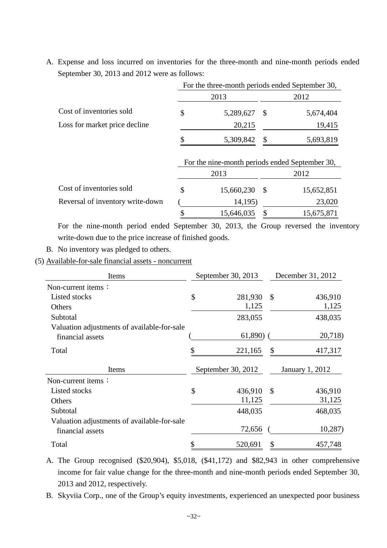A. Expense and loss incurred on inventories for the three-month and nine-month periods ended September 30, 2013 and 2012 were as follows:

|                                  | For the three-month periods ended September 30, |            |               |            |  |  |  |
|----------------------------------|-------------------------------------------------|------------|---------------|------------|--|--|--|
|                                  |                                                 | 2013       | 2012          |            |  |  |  |
| Cost of inventories sold         | \$                                              | 5,289,627  | $\mathbb{S}$  | 5,674,404  |  |  |  |
| Loss for market price decline    |                                                 | 20,215     |               | 19,415     |  |  |  |
|                                  | \$                                              | 5,309,842  | \$            | 5,693,819  |  |  |  |
|                                  | For the nine-month periods ended September 30,  |            |               |            |  |  |  |
|                                  |                                                 | 2013       | 2012          |            |  |  |  |
| Cost of inventories sold         | \$                                              | 15,660,230 | <sup>\$</sup> | 15,652,851 |  |  |  |
| Reversal of inventory write-down |                                                 | 14,195)    |               | 23,020     |  |  |  |
|                                  | \$                                              | 15,646,035 | \$            | 15,675,871 |  |  |  |
|                                  |                                                 |            |               |            |  |  |  |

For the nine-month period ended September 30, 2013, the Group reversed the inventory write-down due to the price increase of finished goods.

B. No inventory was pledged to others.

(5) Available-for-sale financial assets - noncurrent

| Items                                                           | September 30, 2013 | December 31, 2012         |                 |  |  |
|-----------------------------------------------------------------|--------------------|---------------------------|-----------------|--|--|
| Non-current items:                                              |                    |                           |                 |  |  |
| Listed stocks                                                   | \$<br>281,930      | $\boldsymbol{\mathsf{S}}$ | 436,910         |  |  |
| Others                                                          | 1,125              |                           | 1,125           |  |  |
| Subtotal                                                        | 283,055            |                           | 438,035         |  |  |
| Valuation adjustments of available-for-sale<br>financial assets | $61,890$ (         |                           | 20,718)         |  |  |
| Total                                                           | 221,165            | \$                        | 417,317         |  |  |
| Items                                                           | September 30, 2012 |                           | January 1, 2012 |  |  |
| Non-current items:                                              |                    |                           |                 |  |  |
| Listed stocks                                                   | \$<br>436,910      | $\mathcal{S}$             | 436,910         |  |  |
| Others                                                          | 11,125             |                           | 31,125          |  |  |
| Subtotal                                                        | 448,035            |                           | 468,035         |  |  |
| Valuation adjustments of available-for-sale<br>financial assets | 72,656             |                           | 10,287)         |  |  |
| Total                                                           | 520,691            | \$                        | 457,748         |  |  |

A. The Group recognised (\$20,904), \$5,018, (\$41,172) and \$82,943 in other comprehensive income for fair value change for the three-month and nine-month periods ended September 30, 2013 and 2012, respectively.

B. Skyviia Corp., one of the Group's equity investments, experienced an unexpected poor business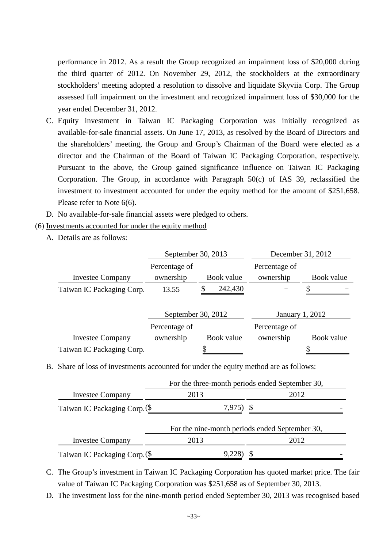performance in 2012. As a result the Group recognized an impairment loss of \$20,000 during the third quarter of 2012. On November 29, 2012, the stockholders at the extraordinary stockholders' meeting adopted a resolution to dissolve and liquidate Skyviia Corp. The Group assessed full impairment on the investment and recognized impairment loss of \$30,000 for the year ended December 31, 2012.

- C. Equity investment in Taiwan IC Packaging Corporation was initially recognized as available-for-sale financial assets. On June 17, 2013, as resolved by the Board of Directors and the shareholders' meeting, the Group and Group's Chairman of the Board were elected as a director and the Chairman of the Board of Taiwan IC Packaging Corporation, respectively. Pursuant to the above, the Group gained significance influence on Taiwan IC Packaging Corporation. The Group, in accordance with Paragraph 50(c) of IAS 39, reclassified the investment to investment accounted for under the equity method for the amount of \$251,658. Please refer to Note 6(6).
- D. No available-for-sale financial assets were pledged to others.
- (6) Investments accounted for under the equity method
	- A. Details are as follows:

|                           | September 30, 2013 |            | December 31, 2012 |            |  |  |  |  |
|---------------------------|--------------------|------------|-------------------|------------|--|--|--|--|
|                           | Percentage of      |            | Percentage of     |            |  |  |  |  |
| <b>Investee Company</b>   | ownership          | Book value | ownership         | Book value |  |  |  |  |
| Taiwan IC Packaging Corp. | 13.55              | 242,430    |                   |            |  |  |  |  |
|                           |                    |            |                   |            |  |  |  |  |
|                           | September 30, 2012 |            | January 1, 2012   |            |  |  |  |  |
|                           | Percentage of      |            | Percentage of     |            |  |  |  |  |
|                           |                    |            |                   |            |  |  |  |  |
| <b>Investee Company</b>   | ownership          | Book value | ownership         | Book value |  |  |  |  |
| Taiwan IC Packaging Corp. |                    |            |                   |            |  |  |  |  |

B. Share of loss of investments accounted for under the equity method are as follows:

|                              | For the three-month periods ended September 30, |                                                |  |  |  |  |  |  |
|------------------------------|-------------------------------------------------|------------------------------------------------|--|--|--|--|--|--|
| <b>Investee Company</b>      | 2013                                            | 2012                                           |  |  |  |  |  |  |
| Taiwan IC Packaging Corp. (§ | 7,975)                                          |                                                |  |  |  |  |  |  |
|                              |                                                 | For the nine-month periods ended September 30, |  |  |  |  |  |  |
|                              |                                                 |                                                |  |  |  |  |  |  |
| <b>Investee Company</b>      | 2013                                            | 2012                                           |  |  |  |  |  |  |

- C. The Group's investment in Taiwan IC Packaging Corporation has quoted market price. The fair value of Taiwan IC Packaging Corporation was \$251,658 as of September 30, 2013.
- D. The investment loss for the nine-month period ended September 30, 2013 was recognised based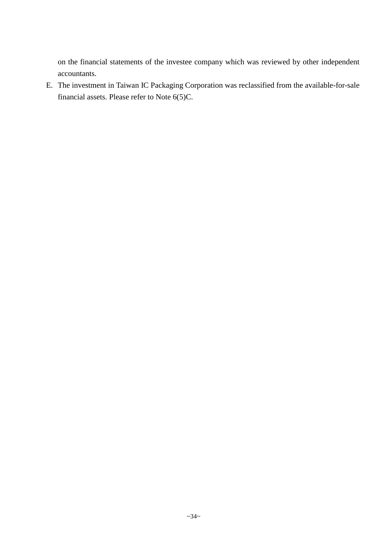on the financial statements of the investee company which was reviewed by other independent accountants.

E. The investment in Taiwan IC Packaging Corporation was reclassified from the available-for-sale financial assets. Please refer to Note 6(5)C.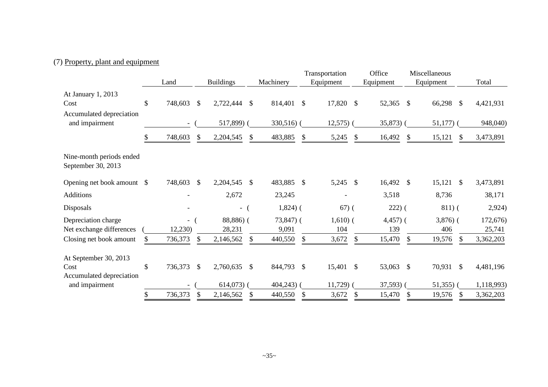## (7) Property, plant and equipment

|                                                 |               |                     |               |                       |               | Transportation    |               | Office             |               | Miscellaneous    |              |                    |
|-------------------------------------------------|---------------|---------------------|---------------|-----------------------|---------------|-------------------|---------------|--------------------|---------------|------------------|--------------|--------------------|
|                                                 | Land          | <b>Buildings</b>    |               | Machinery             |               | Equipment         |               | Equipment          |               | Equipment        |              | Total              |
| At January 1, 2013<br>Cost                      | \$<br>748,603 | \$<br>2,722,444     | <sup>\$</sup> | 814,401               | - \$          | 17,820            | $\mathcal{S}$ | 52,365             | $\mathbb{S}$  | 66,298           | -S           | 4,421,931          |
| Accumulated depreciation<br>and impairment      |               | 517,899) (          |               | $330,516$ (           |               | $12,575$ ) (      |               | 35,873) (          |               | $51,177$ ) (     |              | 948,040)           |
|                                                 | 748,603       | \$<br>2,204,545     |               | 483,885               | -S            | 5,245             | <sup>S</sup>  | 16,492             | \$            | 15,121           | S            | 3,473,891          |
| Nine-month periods ended<br>September 30, 2013  |               |                     |               |                       |               |                   |               |                    |               |                  |              |                    |
| Opening net book amount \$                      | 748,603       | \$<br>2,204,545     | <sup>\$</sup> | 483,885 \$            |               | 5,245             | $\mathcal{S}$ | 16,492             | $\mathcal{S}$ | 15,121           | $\mathbb{S}$ | 3,473,891          |
| <b>Additions</b>                                |               | 2,672               |               | 23,245                |               |                   |               | 3,518              |               | 8,736            |              | 38,171             |
| Disposals                                       |               | $-$ (               |               | $1,824$ ) (           |               | $67)$ (           |               | $222)$ (           |               | $811)$ (         |              | 2,924)             |
| Depreciation charge<br>Net exchange differences | 12,230        | 88,886) (<br>28,231 |               | $73,847$ ) (<br>9,091 |               | $1,610)$ (<br>104 |               | $4,457$ ) (<br>139 |               | $3,876$ (<br>406 |              | 172,676)<br>25,741 |
| Closing net book amount                         | \$<br>736,373 | \$<br>2,146,562     | \$            | 440,550               | <sup>\$</sup> | 3,672             | $\mathcal{L}$ | 15,470             | \$            | 19,576           | <sup>S</sup> | 3,362,203          |
| At September 30, 2013                           |               |                     |               |                       |               |                   |               |                    |               |                  |              |                    |
| Cost<br>Accumulated depreciation                | \$<br>736,373 | \$<br>2,760,635     | $\mathcal{S}$ | 844,793 \$            |               | 15,401            | $\mathbb{S}$  | 53,063             | $\mathbb{S}$  | 70,931           | $\mathbb{S}$ | 4,481,196          |
| and impairment                                  |               | $614,073$ (         |               | $404,243$ )           |               | $11,729$ (        |               | 37,593)            |               | $51,355$ ) (     |              | 1,118,993)         |
|                                                 | \$<br>736,373 | \$<br>2,146,562     | \$            | 440,550               | \$            | 3,672             | \$            | 15,470             | \$            | 19,576           | \$           | 3,362,203          |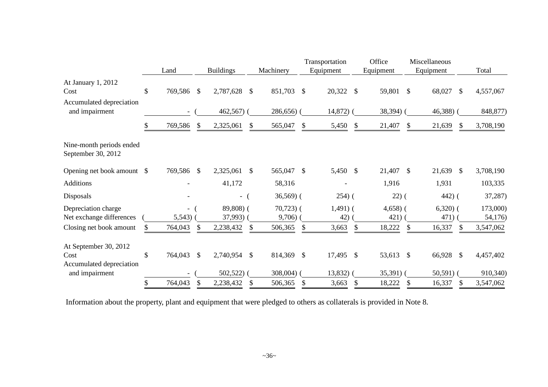|                                                                            |                                                     |                                    |               |                                 |     | Transportation             |               | Office                        |               | Miscellaneous                   |               |                                  |
|----------------------------------------------------------------------------|-----------------------------------------------------|------------------------------------|---------------|---------------------------------|-----|----------------------------|---------------|-------------------------------|---------------|---------------------------------|---------------|----------------------------------|
|                                                                            | Land                                                | <b>Buildings</b>                   |               | Machinery                       |     | Equipment                  |               | Equipment                     |               | Equipment                       |               | Total                            |
| At January 1, 2012<br>Cost                                                 | \$<br>769,586 \$                                    | 2,787,628                          | <sup>\$</sup> | 851,703                         | -\$ | 20,322                     | <sup>\$</sup> | 59,801                        | \$            | 68,027                          | -S            | 4,557,067                        |
| Accumulated depreciation<br>and impairment                                 | $\overline{\phantom{0}}$                            | $462,567$ ) (                      |               | $286,656$ (                     |     | $14,872$ (                 |               | 38,394) (                     |               | $46,388$ ) (                    |               | 848,877)                         |
|                                                                            | 769,586                                             | \$<br>2,325,061                    |               | 565,047                         |     | 5,450                      | <sup>\$</sup> | 21,407                        | <sup>S</sup>  | 21,639                          | \$            | 3,708,190                        |
| Nine-month periods ended<br>September 30, 2012                             |                                                     |                                    |               |                                 |     |                            |               |                               |               |                                 |               |                                  |
| Opening net book amount \$                                                 | 769,586 \$                                          | 2,325,061                          | -S            | 565,047 \$                      |     | 5,450                      | <sup>\$</sup> | 21,407                        | \$            | 21,639                          | <sup>\$</sup> | 3,708,190                        |
| <b>Additions</b>                                                           |                                                     | 41,172                             |               | 58,316                          |     |                            |               | 1,916                         |               | 1,931                           |               | 103,335                          |
| Disposals                                                                  |                                                     | $-$ (                              |               | $36,569$ (                      |     | $254)$ (                   |               | $(22)$ (                      |               | 442) (                          |               | 37,287)                          |
| Depreciation charge<br>Net exchange differences<br>Closing net book amount | \$<br>$\overline{\phantom{0}}$<br>5,543)<br>764,043 | $89,808$ (<br>37,993)<br>2,238,432 |               | $70,723$ (<br>9,706)<br>506,365 | -S  | $1,491)$ (<br>42)<br>3,663 | \$.           | $4,658$ ) (<br>421)<br>18,222 | <sup>\$</sup> | $6,320$ (<br>$471)$ (<br>16,337 | \$.           | 173,000)<br>54,176)<br>3,547,062 |
| At September 30, 2012<br>Cost<br>Accumulated depreciation                  | \$<br>764,043                                       | \$<br>2,740,954                    | \$            | 814,369                         | \$  | 17,495                     | $\mathbb{S}$  | 53,613                        | \$            | 66,928                          | $\mathbb{S}$  | 4,457,402                        |
| and impairment                                                             |                                                     | 502,522)                           |               | $308,004$ ) (                   |     | $13,832)$ (                |               | 35,391)                       |               | $50,591)$ (                     |               | 910,340)                         |
|                                                                            | \$<br>764,043                                       | 2,238,432                          | \$            | 506,365                         | \$  | 3,663                      | \$            | 18,222                        | \$            | 16,337                          | \$            | 3,547,062                        |

Information about the property, plant and equipment that were pledged to others as collaterals is provided in Note 8.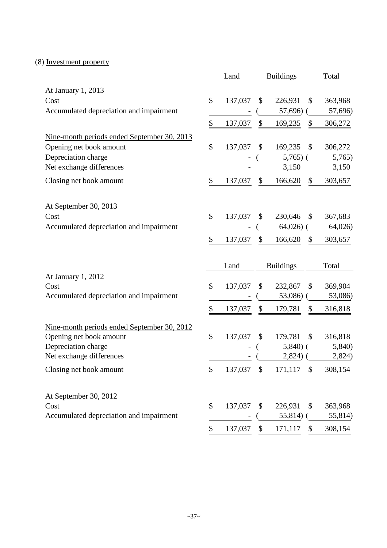# (8) Investment property

|                                                                        | Land          | <b>Buildings</b>         |               | Total              |
|------------------------------------------------------------------------|---------------|--------------------------|---------------|--------------------|
| At January 1, 2013                                                     |               |                          |               |                    |
| Cost                                                                   | \$<br>137,037 | \$<br>226,931            | \$            | 363,968            |
| Accumulated depreciation and impairment                                |               | 57,696)                  |               | 57,696)            |
|                                                                        | \$<br>137,037 | \$<br>169,235            | \$            | 306,272            |
| Nine-month periods ended September 30, 2013                            |               |                          |               |                    |
| Opening net book amount                                                | \$<br>137,037 | \$<br>169,235            | \$            | 306,272            |
| Depreciation charge                                                    |               | $5,765$ ) (              |               | 5,765              |
| Net exchange differences                                               |               | 3,150                    |               | 3,150              |
| Closing net book amount                                                | \$<br>137,037 | \$<br>166,620            | \$            | 303,657            |
| At September 30, 2013                                                  |               |                          |               |                    |
| Cost                                                                   | \$<br>137,037 | \$<br>230,646            | \$            | 367,683            |
| Accumulated depreciation and impairment                                |               | 64,026)                  |               | 64,026)            |
|                                                                        | \$<br>137,037 | \$<br>166,620            | \$            | 303,657            |
|                                                                        |               |                          |               |                    |
|                                                                        |               |                          |               |                    |
|                                                                        | Land          | <b>Buildings</b>         |               | Total              |
| At January 1, 2012<br>Cost                                             | \$<br>137,037 | \$<br>232,867            | \$            | 369,904            |
| Accumulated depreciation and impairment                                |               | 53,086)                  |               | 53,086)            |
|                                                                        | \$<br>137,037 | \$<br>179,781            | $\mathcal{S}$ | 316,818            |
|                                                                        |               |                          |               |                    |
| Nine-month periods ended September 30, 2012<br>Opening net book amount | \$<br>137,037 | \$<br>179,781            | \$            | 316,818            |
| Depreciation charge                                                    |               | $5,840$ (                |               | 5,840)             |
| Net exchange differences                                               |               | 2,824)                   |               | 2,824)             |
| Closing net book amount                                                | \$<br>137,037 | \$<br>171,117            | \$            | 308,154            |
|                                                                        |               |                          |               |                    |
| At September 30, 2012                                                  |               |                          |               |                    |
| Cost<br>Accumulated depreciation and impairment                        | \$<br>137,037 | \$<br>226,931<br>55,814) | \$            | 363,968<br>55,814) |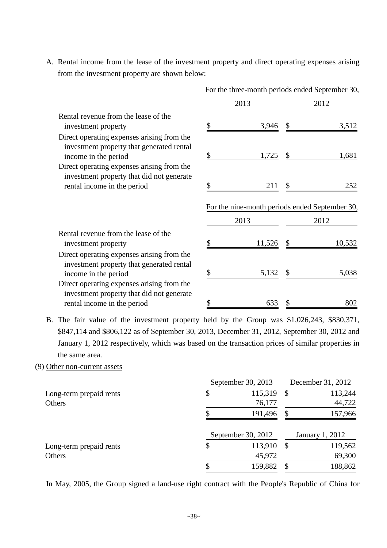A. Rental income from the lease of the investment property and direct operating expenses arising from the investment property are shown below:

|                                                                                                                        | For the three-month periods ended September 30, |            |    |                                                |  |
|------------------------------------------------------------------------------------------------------------------------|-------------------------------------------------|------------|----|------------------------------------------------|--|
|                                                                                                                        |                                                 | 2013       |    | 2012                                           |  |
| Rental revenue from the lease of the<br>investment property                                                            | \$                                              | $3,946$ \$ |    | 3,512                                          |  |
| Direct operating expenses arising from the<br>investment property that generated rental<br>income in the period        |                                                 | 1,725      | \$ | 1,681                                          |  |
| Direct operating expenses arising from the<br>investment property that did not generate<br>rental income in the period | \$                                              | 211        | \$ | 252                                            |  |
|                                                                                                                        |                                                 |            |    | For the nine-month periods ended September 30, |  |
|                                                                                                                        |                                                 | 2013       |    | 2012                                           |  |
| Rental revenue from the lease of the<br>investment property                                                            | \$                                              | 11,526     |    | 10,532                                         |  |
| Direct operating expenses arising from the<br>investment property that generated rental<br>income in the period        | \$                                              | 5,132      | \$ | 5,038                                          |  |
| Direct operating expenses arising from the<br>investment property that did not generate                                |                                                 |            |    |                                                |  |
| rental income in the period                                                                                            | \$                                              | 633        |    | 802                                            |  |

B. The fair value of the investment property held by the Group was \$1,026,243, \$830,371, \$847,114 and \$806,122 as of September 30, 2013, December 31, 2012, September 30, 2012 and January 1, 2012 respectively, which was based on the transaction prices of similar properties in the same area.

#### (9) Other non-current assets

|                         | September 30, 2013 | December 31, 2012  |                           |                 |
|-------------------------|--------------------|--------------------|---------------------------|-----------------|
| Long-term prepaid rents | \$                 | 115,319            | $\mathcal{S}$             | 113,244         |
| Others                  |                    | 76,177             |                           | 44,722          |
|                         |                    | 191,496            | S                         | 157,966         |
|                         |                    | September 30, 2012 |                           | January 1, 2012 |
| Long-term prepaid rents | \$                 | 113,910            | $\boldsymbol{\mathsf{S}}$ | 119,562         |
| Others                  |                    | 45,972             |                           | 69,300          |
|                         |                    | 159,882            | S                         | 188,862         |

In May, 2005, the Group signed a land-use right contract with the People's Republic of China for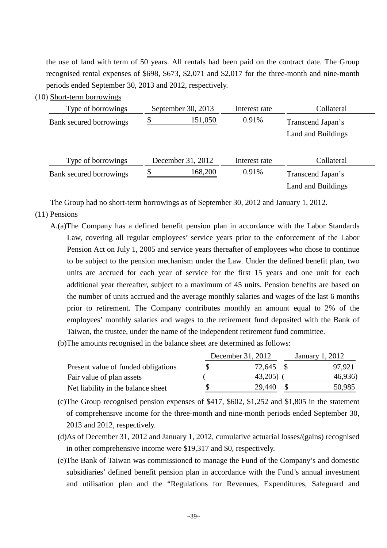the use of land with term of 50 years. All rentals had been paid on the contract date. The Group recognised rental expenses of \$698, \$673, \$2,071 and \$2,017 for the three-month and nine-month periods ended September 30, 2013 and 2012, respectively.

(10) Short-term borrowings

| Type of borrowings      | September 30, 2013 | Interest rate | Collateral                              |  |  |
|-------------------------|--------------------|---------------|-----------------------------------------|--|--|
| Bank secured borrowings | 151,050            | $0.91\%$      | Transcend Japan's<br>Land and Buildings |  |  |
| Type of borrowings      | December 31, 2012  | Interest rate | Collateral                              |  |  |
| Bank secured borrowings | 168,200            | $0.91\%$      | Transcend Japan's<br>Land and Buildings |  |  |

The Group had no short-term borrowings as of September 30, 2012 and January 1, 2012.

#### (11) Pensions

- A.(a)The Company has a defined benefit pension plan in accordance with the Labor Standards Law, covering all regular employees' service years prior to the enforcement of the Labor Pension Act on July 1, 2005 and service years thereafter of employees who chose to continue to be subject to the pension mechanism under the Law. Under the defined benefit plan, two units are accrued for each year of service for the first 15 years and one unit for each additional year thereafter, subject to a maximum of 45 units. Pension benefits are based on the number of units accrued and the average monthly salaries and wages of the last 6 months prior to retirement. The Company contributes monthly an amount equal to 2% of the employees' monthly salaries and wages to the retirement fund deposited with the Bank of Taiwan, the trustee, under the name of the independent retirement fund committee.
	- (b)The amounts recognised in the balance sheet are determined as follows:

|                                     |   | December 31, 2012 | January 1, 2012 |
|-------------------------------------|---|-------------------|-----------------|
| Present value of funded obligations |   | 72.645 S          | 97.921          |
| Fair value of plan assets           |   | 43,205)           | 46,936)         |
| Net liability in the balance sheet  | S | 29.440            | 50,985          |

- (c)The Group recognised pension expenses of \$417, \$602, \$1,252 and \$1,805 in the statement of comprehensive income for the three-month and nine-month periods ended September 30, 2013 and 2012, respectively.
- (d)As of December 31, 2012 and January 1, 2012, cumulative actuarial losses/(gains) recognised in other comprehensive income were \$19,317 and \$0, respectively.
- (e)The Bank of Taiwan was commissioned to manage the Fund of the Company's and domestic subsidiaries' defined benefit pension plan in accordance with the Fund's annual investment and utilisation plan and the "Regulations for Revenues, Expenditures, Safeguard and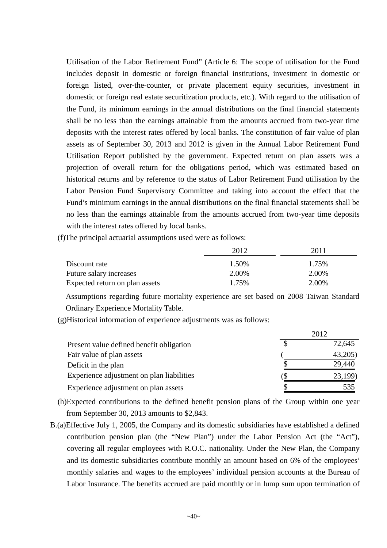Utilisation of the Labor Retirement Fund" (Article 6: The scope of utilisation for the Fund includes deposit in domestic or foreign financial institutions, investment in domestic or foreign listed, over-the-counter, or private placement equity securities, investment in domestic or foreign real estate securitization products, etc.). With regard to the utilisation of the Fund, its minimum earnings in the annual distributions on the final financial statements shall be no less than the earnings attainable from the amounts accrued from two-year time deposits with the interest rates offered by local banks. The constitution of fair value of plan assets as of September 30, 2013 and 2012 is given in the Annual Labor Retirement Fund Utilisation Report published by the government. Expected return on plan assets was a projection of overall return for the obligations period, which was estimated based on historical returns and by reference to the status of Labor Retirement Fund utilisation by the Labor Pension Fund Supervisory Committee and taking into account the effect that the Fund's minimum earnings in the annual distributions on the final financial statements shall be no less than the earnings attainable from the amounts accrued from two-year time deposits with the interest rates offered by local banks.

|                                | 2012  | 2011  |
|--------------------------------|-------|-------|
| Discount rate                  | 1.50% | 1.75% |
| Future salary increases        | 2.00% | 2.00% |
| Expected return on plan assets | 1.75% | 2.00% |

Assumptions regarding future mortality experience are set based on 2008 Taiwan Standard Ordinary Experience Mortality Table.

 $2012$ 

(g)Historical information of experience adjustments was as follows:

|                                           | ZULZ    |  |
|-------------------------------------------|---------|--|
| Present value defined benefit obligation  | 72,645  |  |
| Fair value of plan assets                 | 43,205) |  |
| Deficit in the plan                       | 29,440  |  |
| Experience adjustment on plan liabilities | 23,199) |  |
| Experience adjustment on plan assets      | 535     |  |

- (h)Expected contributions to the defined benefit pension plans of the Group within one year from September 30, 2013 amounts to \$2,843.
- B.(a)Effective July 1, 2005, the Company and its domestic subsidiaries have established a defined contribution pension plan (the "New Plan") under the Labor Pension Act (the "Act"), covering all regular employees with R.O.C. nationality. Under the New Plan, the Company and its domestic subsidiaries contribute monthly an amount based on 6% of the employees' monthly salaries and wages to the employees' individual pension accounts at the Bureau of Labor Insurance. The benefits accrued are paid monthly or in lump sum upon termination of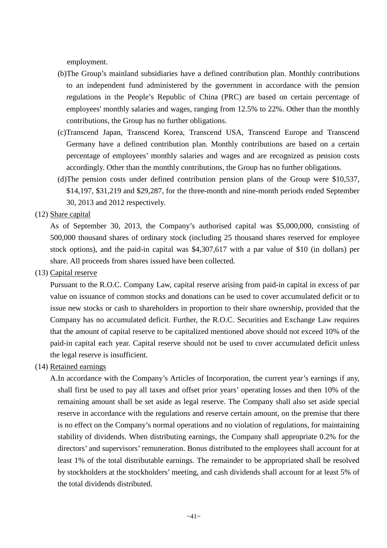employment.

- (b)The Group's mainland subsidiaries have a defined contribution plan. Monthly contributions to an independent fund administered by the government in accordance with the pension regulations in the People's Republic of China (PRC) are based on certain percentage of employees' monthly salaries and wages, ranging from 12.5% to 22%. Other than the monthly contributions, the Group has no further obligations.
- (c)Transcend Japan, Transcend Korea, Transcend USA, Transcend Europe and Transcend Germany have a defined contribution plan. Monthly contributions are based on a certain percentage of employees' monthly salaries and wages and are recognized as pension costs accordingly. Other than the monthly contributions, the Group has no further obligations.
- (d)The pension costs under defined contribution pension plans of the Group were \$10,537, \$14,197, \$31,219 and \$29,287, for the three-month and nine-month periods ended September 30, 2013 and 2012 respectively.

(12) Share capital

As of September 30, 2013, the Company's authorised capital was \$5,000,000, consisting of 500,000 thousand shares of ordinary stock (including 25 thousand shares reserved for employee stock options), and the paid-in capital was \$4,307,617 with a par value of \$10 (in dollars) per share. All proceeds from shares issued have been collected.

(13) Capital reserve

Pursuant to the R.O.C. Company Law, capital reserve arising from paid-in capital in excess of par value on issuance of common stocks and donations can be used to cover accumulated deficit or to issue new stocks or cash to shareholders in proportion to their share ownership, provided that the Company has no accumulated deficit. Further, the R.O.C. Securities and Exchange Law requires that the amount of capital reserve to be capitalized mentioned above should not exceed 10% of the paid-in capital each year. Capital reserve should not be used to cover accumulated deficit unless the legal reserve is insufficient.

(14) Retained earnings

A.In accordance with the Company's Articles of Incorporation, the current year's earnings if any, shall first be used to pay all taxes and offset prior years' operating losses and then 10% of the remaining amount shall be set aside as legal reserve. The Company shall also set aside special reserve in accordance with the regulations and reserve certain amount, on the premise that there is no effect on the Company's normal operations and no violation of regulations, for maintaining stability of dividends. When distributing earnings, the Company shall appropriate 0.2% for the directors' and supervisors' remuneration. Bonus distributed to the employees shall account for at least 1% of the total distributable earnings. The remainder to be appropriated shall be resolved by stockholders at the stockholders' meeting, and cash dividends shall account for at least 5% of the total dividends distributed.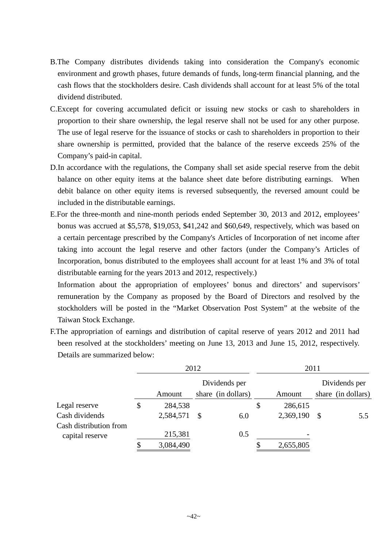- B.The Company distributes dividends taking into consideration the Company's economic environment and growth phases, future demands of funds, long-term financial planning, and the cash flows that the stockholders desire. Cash dividends shall account for at least 5% of the total dividend distributed.
- C.Except for covering accumulated deficit or issuing new stocks or cash to shareholders in proportion to their share ownership, the legal reserve shall not be used for any other purpose. The use of legal reserve for the issuance of stocks or cash to shareholders in proportion to their share ownership is permitted, provided that the balance of the reserve exceeds 25% of the Company's paid-in capital.
- D.In accordance with the regulations, the Company shall set aside special reserve from the debit balance on other equity items at the balance sheet date before distributing earnings. When debit balance on other equity items is reversed subsequently, the reversed amount could be included in the distributable earnings.
- E.For the three-month and nine-month periods ended September 30, 2013 and 2012, employees' bonus was accrued at \$5,578, \$19,053, \$41,242 and \$60,649, respectively, which was based on a certain percentage prescribed by the Company's Articles of Incorporation of net income after taking into account the legal reserve and other factors (under the Company's Articles of Incorporation, bonus distributed to the employees shall account for at least 1% and 3% of total distributable earning for the years 2013 and 2012, respectively.)

Information about the appropriation of employees' bonus and directors' and supervisors' remuneration by the Company as proposed by the Board of Directors and resolved by the stockholders will be posted in the "Market Observation Post System" at the website of the Taiwan Stock Exchange.

F.The appropriation of earnings and distribution of capital reserve of years 2012 and 2011 had been resolved at the stockholders' meeting on June 13, 2013 and June 15, 2012, respectively. Details are summarized below:

|                        | 2012          |    |                    |    | 2011      |               |                    |  |
|------------------------|---------------|----|--------------------|----|-----------|---------------|--------------------|--|
|                        | Dividends per |    |                    |    |           |               | Dividends per      |  |
|                        | Amount        |    | share (in dollars) |    | Amount    |               | share (in dollars) |  |
| Legal reserve          | \$<br>284,538 |    |                    | \$ | 286,615   |               |                    |  |
| Cash dividends         | 2,584,571     | -S | 6.0                |    | 2,369,190 | <sup>\$</sup> | 5.5                |  |
| Cash distribution from |               |    |                    |    |           |               |                    |  |
| capital reserve        | 215,381       |    | 0.5                |    |           |               |                    |  |
|                        | 3,084,490     |    |                    |    | 2,655,805 |               |                    |  |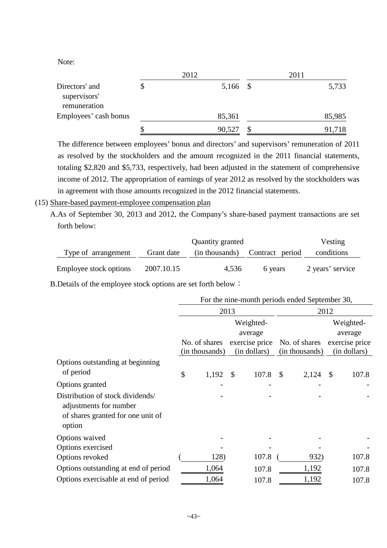Note:

|                                                |    | 2012     | 2011 |        |  |
|------------------------------------------------|----|----------|------|--------|--|
| Directors' and<br>supervisors'<br>remuneration | D. | 5,166 \$ |      | 5,733  |  |
| Employees' cash bonus                          |    | 85,361   |      | 85,985 |  |
|                                                |    | 90,527   |      | 91,718 |  |

The difference between employees' bonus and directors' and supervisors' remuneration of 2011 as resolved by the stockholders and the amount recognized in the 2011 financial statements, totaling \$2,820 and \$5,733, respectively, had been adjusted in the statement of comprehensive income of 2012. The appropriation of earnings of year 2012 as resolved by the stockholders was in agreement with those amounts recognized in the 2012 financial statements.

#### (15) Share-based payment-employee compensation plan

A.As of September 30, 2013 and 2012, the Company's share-based payment transactions are set forth below:

|                        | Vesting    |                |                 |                  |
|------------------------|------------|----------------|-----------------|------------------|
| Type of arrangement    | Grant date | (in thousands) | Contract period | conditions       |
| Employee stock options | 2007.10.15 | 4,536          | 6 years         | 2 years' service |

B.Details of the employee stock options are set forth below:

|                                                                                                           |                                 |               | For the nine-month periods ended September 30, |               |                                 |               |                                |
|-----------------------------------------------------------------------------------------------------------|---------------------------------|---------------|------------------------------------------------|---------------|---------------------------------|---------------|--------------------------------|
|                                                                                                           |                                 | 2013          |                                                | 2012          |                                 |               |                                |
|                                                                                                           |                                 |               | Weighted-<br>average                           |               |                                 |               | Weighted-<br>average           |
|                                                                                                           | No. of shares<br>(in thousands) |               | exercise price<br>(in dollars)                 |               | No. of shares<br>(in thousands) |               | exercise price<br>(in dollars) |
| Options outstanding at beginning<br>of period                                                             | \$<br>1,192                     | $\mathcal{S}$ | 107.8                                          | $\mathcal{S}$ | 2,124                           | $\mathcal{S}$ | 107.8                          |
| Options granted                                                                                           |                                 |               |                                                |               |                                 |               |                                |
| Distribution of stock dividends/<br>adjustments for number<br>of shares granted for one unit of<br>option |                                 |               |                                                |               |                                 |               |                                |
| Options waived                                                                                            |                                 |               |                                                |               |                                 |               |                                |
| Options exercised                                                                                         |                                 |               |                                                |               |                                 |               |                                |
| Options revoked                                                                                           | 128)                            |               | 107.8                                          |               | 932)                            |               | 107.8                          |
| Options outstanding at end of period                                                                      | 1,064                           |               | 107.8                                          |               | 1,192                           |               | 107.8                          |
| Options exercisable at end of period                                                                      | 1,064                           |               | 107.8                                          |               | 1,192                           |               | 107.8                          |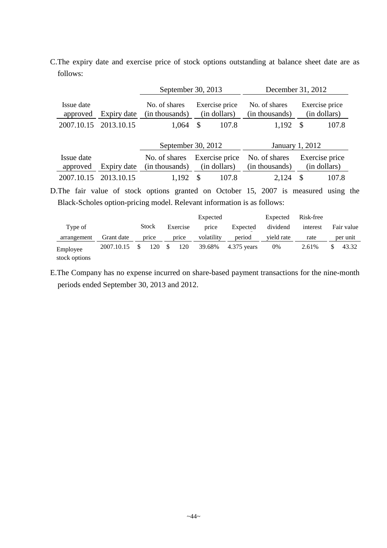C.The expiry date and exercise price of stock options outstanding at balance sheet date are as follows:

|                        |             | September 30, 2013              |                                |       | December 31, 2012               |   |                                |
|------------------------|-------------|---------------------------------|--------------------------------|-------|---------------------------------|---|--------------------------------|
| Issue date<br>approved | Expiry date | No. of shares<br>(in thousands) | Exercise price<br>(in dollars) |       | No. of shares<br>(in thousands) |   | Exercise price<br>(in dollars) |
| 2007.10.15             | 2013.10.15  | 1,064                           | S                              | 107.8 | 1,192                           | S | 107.8                          |
|                        |             | September 30, 2012              |                                |       | January 1, 2012                 |   |                                |
| Issue date<br>approved | Expiry date | No. of shares<br>(in thousands) | Exercise price<br>(in dollars) |       | No. of shares<br>(in thousands) |   | Exercise price<br>(in dollars) |
| 2007.10.15             | 2013.10.15  | 1,192                           | 107.8<br>S                     |       | 2,124                           | S | 107.8                          |

D.The fair value of stock options granted on October 15, 2007 is measured using the Black-Scholes option-pricing model. Relevant information is as follows:

|                           |            |              |    |          | Expected   |               | Expected   | Risk-free |            |
|---------------------------|------------|--------------|----|----------|------------|---------------|------------|-----------|------------|
| Type of                   |            | <b>Stock</b> |    | Exercise | price      | Expected      | dividend   | interest  | Fair value |
| arrangement               | Grant date | price        |    | price    | volatility | period        | vield rate | rate      | per unit   |
| Employee<br>stock options | 2007.10.15 | 120          | -S | 120      | 39.68%     | $4.375$ years | $0\%$      | 2.61%     | 43.32      |

E.The Company has no expense incurred on share-based payment transactions for the nine-month periods ended September 30, 2013 and 2012.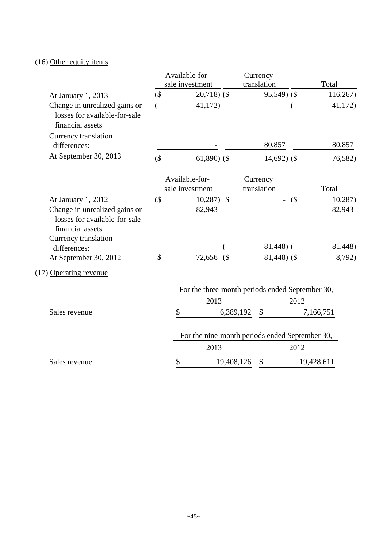# (16) Other equity items

|                                                                                    |        | Available-for-<br>sale investment               |            | Currency<br>translation |          | Total      |
|------------------------------------------------------------------------------------|--------|-------------------------------------------------|------------|-------------------------|----------|------------|
| At January 1, 2013                                                                 | $($ \$ | $20,718$ ) (\$                                  |            | $95,549$ (\$)           |          | 116,267    |
| Change in unrealized gains or<br>losses for available-for-sale<br>financial assets | (      | 41,172                                          |            |                         |          | 41,172     |
| Currency translation<br>differences:                                               |        |                                                 |            | 80,857                  |          | 80,857     |
| At September 30, 2013                                                              | $($ \$ | 61,890) $($ \$                                  |            | 14,692 $)$ (\$          |          | 76,582)    |
|                                                                                    |        | Available-for-<br>sale investment               |            | Currency<br>translation |          | Total      |
| At January 1, 2012                                                                 | $($ \$ | $10,287$ \$                                     |            |                         | $-$ (\$) | 10,287     |
| Change in unrealized gains or<br>losses for available-for-sale<br>financial assets |        | 82,943                                          |            |                         |          | 82,943     |
| Currency translation<br>differences:                                               |        |                                                 |            | $81,448$ )              |          | 81,448)    |
| At September 30, 2012                                                              | \$     | 72,656                                          | (          | $81,448$ ) (\$          |          | 8,792)     |
| (17) Operating revenue                                                             |        |                                                 |            |                         |          |            |
|                                                                                    |        | For the three-month periods ended September 30, |            |                         |          |            |
|                                                                                    |        | 2013                                            |            |                         | 2012     |            |
| Sales revenue                                                                      |        | \$                                              | 6,389,192  | \$                      |          | 7,166,751  |
|                                                                                    |        | For the nine-month periods ended September 30,  |            |                         |          |            |
|                                                                                    |        | 2013                                            |            |                         | 2012     |            |
| Sales revenue                                                                      |        | \$                                              | 19,408,126 | \$                      |          | 19,428,611 |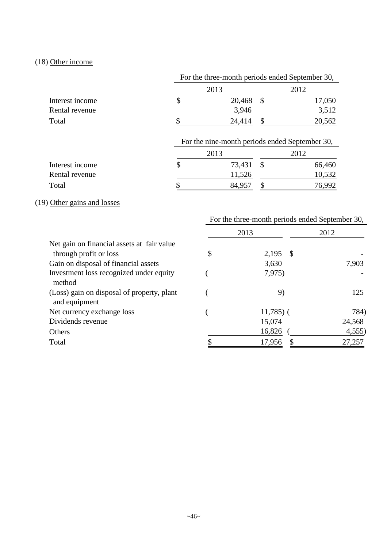# (18) Other income

|                 | For the three-month periods ended September 30,        |               |        |  |  |  |
|-----------------|--------------------------------------------------------|---------------|--------|--|--|--|
|                 | 2013                                                   |               | 2012   |  |  |  |
| Interest income | \$<br>20,468                                           | $\mathcal{S}$ | 17,050 |  |  |  |
| Rental revenue  | 3,946                                                  |               | 3,512  |  |  |  |
| Total           | 24,414                                                 |               | 20,562 |  |  |  |
|                 | For the nine-month periods ended September 30,<br>2013 |               | 2012   |  |  |  |

| Interest income | κD | 73,431 | 66,460 |
|-----------------|----|--------|--------|
| Rental revenue  |    | 11,526 | 10,532 |
| Total           |    | 84,957 | 76,992 |

## (19) Other gains and losses

|                                            | For the three-month periods ended September 30, |            |        |  |  |  |
|--------------------------------------------|-------------------------------------------------|------------|--------|--|--|--|
|                                            |                                                 | 2013       | 2012   |  |  |  |
| Net gain on financial assets at fair value |                                                 |            |        |  |  |  |
| through profit or loss                     | \$                                              | $2,195$ \$ |        |  |  |  |
| Gain on disposal of financial assets       |                                                 | 3,630      | 7,903  |  |  |  |
| Investment loss recognized under equity    |                                                 | 7,975)     |        |  |  |  |
| method                                     |                                                 |            |        |  |  |  |
| (Loss) gain on disposal of property, plant |                                                 | 9)         | 125    |  |  |  |
| and equipment                              |                                                 |            |        |  |  |  |
| Net currency exchange loss                 |                                                 | $11,785$ ( | 784)   |  |  |  |
| Dividends revenue                          |                                                 | 15,074     | 24,568 |  |  |  |
| Others                                     |                                                 | 16,826     | 4,555  |  |  |  |
| Total                                      |                                                 | 17,956     | 27,257 |  |  |  |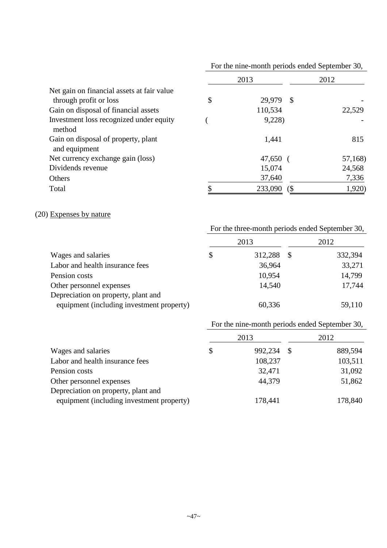|                                                                                  | 2013              |              | 2012                                                    |
|----------------------------------------------------------------------------------|-------------------|--------------|---------------------------------------------------------|
| Net gain on financial assets at fair value                                       |                   |              |                                                         |
| through profit or loss                                                           | \$<br>29,979 \$   |              |                                                         |
| Gain on disposal of financial assets                                             | 110,534           |              | 22,529                                                  |
| Investment loss recognized under equity<br>method                                | 9,228)            |              |                                                         |
| Gain on disposal of property, plant<br>and equipment                             | 1,441             |              | 815                                                     |
| Net currency exchange gain (loss)                                                | $47,650$ (        |              | 57,168)                                                 |
| Dividends revenue                                                                | 15,074            |              | 24,568                                                  |
| Others                                                                           | 37,640            |              | 7,336                                                   |
| Total                                                                            | \$<br>233,090 (\$ |              | 1,920                                                   |
| (20) Expenses by nature                                                          | 2013              |              | For the three-month periods ended September 30,<br>2012 |
|                                                                                  | \$                | $\mathbb{S}$ |                                                         |
| Wages and salaries<br>Labor and health insurance fees                            | 312,288           |              | 332,394                                                 |
|                                                                                  | 36,964            |              | 33,271                                                  |
| Pension costs                                                                    | 10,954            |              | 14,799                                                  |
| Other personnel expenses                                                         | 14,540            |              | 17,744                                                  |
| Depreciation on property, plant and<br>equipment (including investment property) | 60,336            |              | 59,110                                                  |

|                                           | For the nine-month periods ended September 30, |         |    |         |  |  |
|-------------------------------------------|------------------------------------------------|---------|----|---------|--|--|
|                                           |                                                | 2013    |    | 2012    |  |  |
| Wages and salaries                        |                                                | 992,234 | -S | 889,594 |  |  |
| Labor and health insurance fees           |                                                | 108,237 |    | 103,511 |  |  |
| Pension costs                             |                                                | 32,471  |    | 31,092  |  |  |
| Other personnel expenses                  |                                                | 44,379  |    | 51,862  |  |  |
| Depreciation on property, plant and       |                                                |         |    |         |  |  |
| equipment (including investment property) |                                                | 178,441 |    | 178,840 |  |  |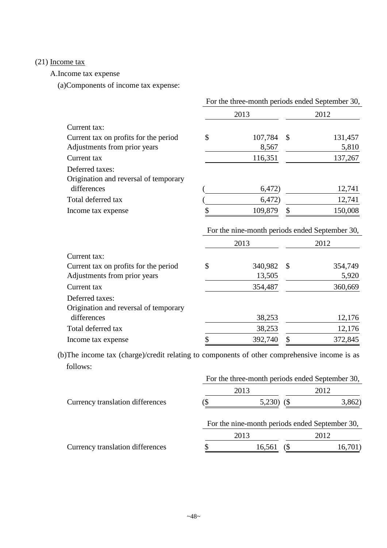## $(21)$  Income tax

A.Income tax expense

(a)Components of income tax expense:

|                                       | For the three-month periods ended September 30, |                                                        |               |         |  |  |
|---------------------------------------|-------------------------------------------------|--------------------------------------------------------|---------------|---------|--|--|
|                                       |                                                 | 2013                                                   | 2012          |         |  |  |
| Current tax:                          |                                                 |                                                        |               |         |  |  |
| Current tax on profits for the period | \$                                              | 107,784                                                | \$            | 131,457 |  |  |
| Adjustments from prior years          |                                                 | 8,567                                                  |               | 5,810   |  |  |
| Current tax                           |                                                 | 116,351                                                |               | 137,267 |  |  |
| Deferred taxes:                       |                                                 |                                                        |               |         |  |  |
| Origination and reversal of temporary |                                                 |                                                        |               |         |  |  |
| differences                           |                                                 | 6,472)                                                 |               | 12,741  |  |  |
| Total deferred tax                    |                                                 | 6,472)                                                 |               | 12,741  |  |  |
| Income tax expense                    | \$                                              | 109,879                                                | \$            | 150,008 |  |  |
|                                       |                                                 | For the nine-month periods ended September 30,<br>2013 |               | 2012    |  |  |
| Current tax:                          |                                                 |                                                        |               |         |  |  |
| Current tax on profits for the period | \$                                              | 340,982                                                | $\mathcal{S}$ | 354,749 |  |  |
| Adjustments from prior years          |                                                 | 13,505                                                 |               | 5,920   |  |  |
| Current tax                           |                                                 | 354,487                                                |               | 360,669 |  |  |
| Deferred taxes:                       |                                                 |                                                        |               |         |  |  |
| Origination and reversal of temporary |                                                 |                                                        |               |         |  |  |
| differences                           |                                                 | 38,253                                                 |               | 12,176  |  |  |
| Total deferred tax                    |                                                 | 38,253                                                 |               | 12,176  |  |  |
|                                       |                                                 |                                                        |               |         |  |  |

(b)The income tax (charge)/credit relating to components of other comprehensive income is as follows:

|                                  |    |               | For the three-month periods ended September 30, |  |
|----------------------------------|----|---------------|-------------------------------------------------|--|
|                                  |    | 2013          | 2012                                            |  |
| Currency translation differences | кD | 5,230)<br>(\$ | 3,862)                                          |  |
|                                  |    |               | For the nine-month periods ended September 30,  |  |
|                                  |    | 2013          | 2012                                            |  |
| Currency translation differences |    | 16,561<br>(5  | 16,701)                                         |  |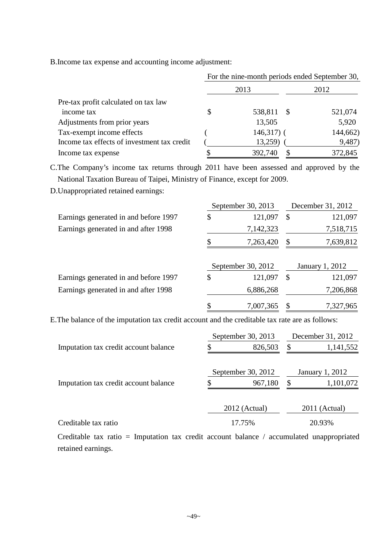B.Income tax expense and accounting income adjustment:

|                                             | For the nine-month periods ended September 30, |               |    |          |  |  |
|---------------------------------------------|------------------------------------------------|---------------|----|----------|--|--|
|                                             |                                                | 2013          |    | 2012     |  |  |
| Pre-tax profit calculated on tax law        |                                                |               |    |          |  |  |
| income tax                                  | \$                                             | 538,811       | -S | 521,074  |  |  |
| Adjustments from prior years                |                                                | 13,505        |    | 5,920    |  |  |
| Tax-exempt income effects                   |                                                | $146,317$ ) ( |    | 144,662) |  |  |
| Income tax effects of investment tax credit |                                                | 13,259)       |    | 9,487)   |  |  |
| Income tax expense                          |                                                | 392,740       |    | 372,845  |  |  |

C.The Company's income tax returns through 2011 have been assessed and approved by the National Taxation Bureau of Taipei, Ministry of Finance, except for 2009.

D.Unappropriated retained earnings:

|                                       | September 30, 2013 | December 31, 2012 |
|---------------------------------------|--------------------|-------------------|
| Earnings generated in and before 1997 | \$<br>121,097      | \$<br>121,097     |
| Earnings generated in and after 1998  | 7,142,323          | 7,518,715         |
|                                       | 7,263,420          | \$<br>7,639,812   |
|                                       | September 30, 2012 | January 1, 2012   |
| Earnings generated in and before 1997 | \$<br>121,097      | \$<br>121,097     |
| Earnings generated in and after 1998  | 6,886,268          | 7,206,868         |
|                                       |                    |                   |

E.The balance of the imputation tax credit account and the creditable tax rate are as follows:

|                                       |     | September 30, 2013 | December 31, 2012 |                 |  |
|---------------------------------------|-----|--------------------|-------------------|-----------------|--|
| Imputation tax credit account balance | \$. | 826,503            |                   | 1,141,552       |  |
|                                       |     | September 30, 2012 |                   | January 1, 2012 |  |
| Imputation tax credit account balance | S   | 967,180            | \$                | 1,101,072       |  |
|                                       |     | 2012 (Actual)      |                   | $2011$ (Actual) |  |
| Creditable tax ratio                  |     | 17.75%             |                   | 20.93%          |  |

Creditable tax ratio = Imputation tax credit account balance / accumulated unappropriated retained earnings.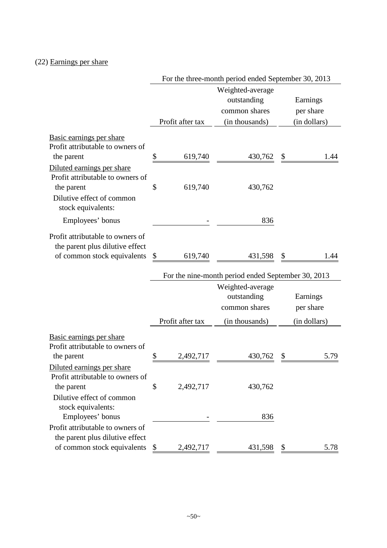# (22) Earnings per share

|                                                                            | For the three-month period ended September 30, 2013 |                  |                                                                    |    |                                       |
|----------------------------------------------------------------------------|-----------------------------------------------------|------------------|--------------------------------------------------------------------|----|---------------------------------------|
|                                                                            |                                                     | Profit after tax | Weighted-average<br>outstanding<br>common shares<br>(in thousands) |    | Earnings<br>per share<br>(in dollars) |
|                                                                            |                                                     |                  |                                                                    |    |                                       |
| Basic earnings per share<br>Profit attributable to owners of<br>the parent | \$                                                  | 619,740          | 430,762                                                            | \$ | 1.44                                  |
| Diluted earnings per share<br>Profit attributable to owners of             |                                                     |                  |                                                                    |    |                                       |
| the parent<br>Dilutive effect of common<br>stock equivalents:              | \$                                                  | 619,740          | 430,762                                                            |    |                                       |
| Employees' bonus                                                           |                                                     |                  | 836                                                                |    |                                       |
| Profit attributable to owners of<br>the parent plus dilutive effect        |                                                     |                  |                                                                    |    |                                       |
| of common stock equivalents                                                | \$                                                  | 619,740          | 431,598                                                            | \$ | 1.44                                  |
|                                                                            |                                                     |                  | For the nine-month period ended September 30, 2013                 |    |                                       |
|                                                                            |                                                     |                  | Weighted-average<br>outstanding<br>common shares                   |    | Earnings<br>per share                 |
|                                                                            |                                                     | Profit after tax | (in thousands)                                                     |    | (in dollars)                          |
| Basic earnings per share<br>Profit attributable to owners of               |                                                     |                  |                                                                    |    |                                       |
| the parent                                                                 | \$                                                  | 2,492,717        | 430,762                                                            | \$ | 5.79                                  |
| Diluted earnings per share<br>Profit attributable to owners of             |                                                     |                  |                                                                    |    |                                       |
| the parent                                                                 | \$                                                  | 2,492,717        | 430,762                                                            |    |                                       |
| Dilutive effect of common<br>stock equivalents:                            |                                                     |                  |                                                                    |    |                                       |
| Employees' bonus                                                           |                                                     |                  | 836                                                                |    |                                       |
| Profit attributable to owners of                                           |                                                     |                  |                                                                    |    |                                       |
|                                                                            |                                                     |                  |                                                                    |    |                                       |
| the parent plus dilutive effect<br>of common stock equivalents \$          |                                                     | 2,492,717        | 431,598                                                            | \$ | 5.78                                  |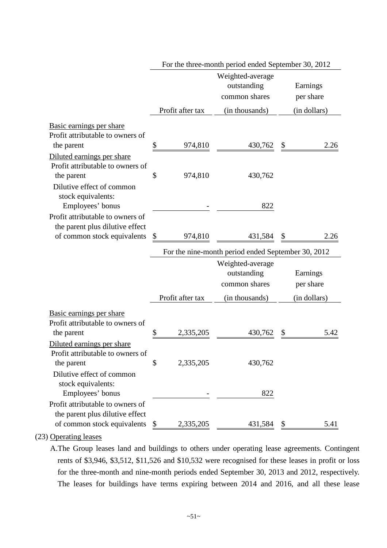|                                                                     | For the three-month period ended September 30, 2012 |                  |                                                    |    |                       |
|---------------------------------------------------------------------|-----------------------------------------------------|------------------|----------------------------------------------------|----|-----------------------|
|                                                                     |                                                     |                  | Weighted-average<br>outstanding<br>common shares   |    | Earnings<br>per share |
|                                                                     |                                                     |                  |                                                    |    |                       |
|                                                                     |                                                     | Profit after tax | (in thousands)                                     |    | (in dollars)          |
| Basic earnings per share<br>Profit attributable to owners of        |                                                     |                  |                                                    |    |                       |
| the parent                                                          | \$                                                  | 974,810          | 430,762                                            | \$ | 2.26                  |
| Diluted earnings per share                                          |                                                     |                  |                                                    |    |                       |
| Profit attributable to owners of                                    | \$                                                  | 974,810          | 430,762                                            |    |                       |
| the parent<br>Dilutive effect of common                             |                                                     |                  |                                                    |    |                       |
| stock equivalents:                                                  |                                                     |                  |                                                    |    |                       |
| Employees' bonus                                                    |                                                     |                  | 822                                                |    |                       |
| Profit attributable to owners of                                    |                                                     |                  |                                                    |    |                       |
| the parent plus dilutive effect<br>of common stock equivalents      | \$                                                  | 974,810          | 431,584                                            | \$ | 2.26                  |
|                                                                     |                                                     |                  |                                                    |    |                       |
|                                                                     |                                                     |                  | For the nine-month period ended September 30, 2012 |    |                       |
|                                                                     |                                                     |                  | Weighted-average                                   |    |                       |
|                                                                     |                                                     |                  | outstanding                                        |    | Earnings              |
|                                                                     |                                                     |                  | common shares                                      |    | per share             |
|                                                                     |                                                     | Profit after tax | (in thousands)                                     |    | (in dollars)          |
| Basic earnings per share<br>Profit attributable to owners of        |                                                     |                  |                                                    |    |                       |
| the parent                                                          | \$                                                  | 2,335,205        | 430,762                                            | \$ | 5.42                  |
| Diluted earnings per share<br>Profit attributable to owners of      |                                                     |                  |                                                    |    |                       |
| the parent                                                          | \$                                                  | 2,335,205        | 430,762                                            |    |                       |
| Dilutive effect of common                                           |                                                     |                  |                                                    |    |                       |
| stock equivalents:                                                  |                                                     |                  |                                                    |    |                       |
| Employees' bonus                                                    |                                                     |                  | 822                                                |    |                       |
| Profit attributable to owners of<br>the parent plus dilutive effect |                                                     |                  |                                                    |    |                       |
|                                                                     |                                                     |                  |                                                    |    |                       |

#### (23) Operating leases

A.The Group leases land and buildings to others under operating lease agreements. Contingent rents of \$3,946, \$3,512, \$11,526 and \$10,532 were recognised for these leases in profit or loss for the three-month and nine-month periods ended September 30, 2013 and 2012, respectively. The leases for buildings have terms expiring between 2014 and 2016, and all these lease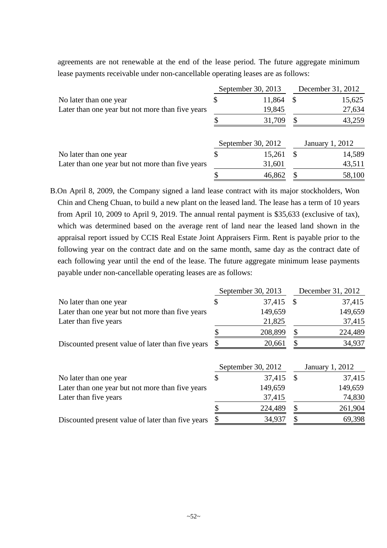agreements are not renewable at the end of the lease period. The future aggregate minimum lease payments receivable under non-cancellable operating leases are as follows:

|                                                  | September 30, 2013 |     | December 31, 2012      |
|--------------------------------------------------|--------------------|-----|------------------------|
| No later than one year                           | \$<br>11,864       | -S  | 15,625                 |
| Later than one year but not more than five years | 19,845             |     | 27,634                 |
|                                                  | 31,709             | \$. | 43,259                 |
|                                                  | September 30, 2012 |     | <b>January 1, 2012</b> |
| No later than one year                           | \$<br>15,261       | S   | 14,589                 |
| Later than one year but not more than five years | 31,601             |     | 43,511                 |
|                                                  | 46,862             |     | 58,100                 |

B.On April 8, 2009, the Company signed a land lease contract with its major stockholders, Won Chin and Cheng Chuan, to build a new plant on the leased land. The lease has a term of 10 years from April 10, 2009 to April 9, 2019. The annual rental payment is \$35,633 (exclusive of tax), which was determined based on the average rent of land near the leased land shown in the appraisal report issued by CCIS Real Estate Joint Appraisers Firm. Rent is payable prior to the following year on the contract date and on the same month, same day as the contract date of each following year until the end of the lease. The future aggregate minimum lease payments payable under non-cancellable operating leases are as follows:

|                                                   | September 30, 2013 |      | December 31, 2012      |
|---------------------------------------------------|--------------------|------|------------------------|
| No later than one year                            | \$<br>37,415       | - \$ | 37,415                 |
| Later than one year but not more than five years  | 149,659            |      | 149,659                |
| Later than five years                             | 21,825             |      | 37,415                 |
|                                                   | 208,899            |      | 224,489                |
| Discounted present value of later than five years | 20,661             | S    | 34,937                 |
|                                                   | September 30, 2012 |      | <b>January 1, 2012</b> |
| No later than one year                            | \$<br>37,415       | - \$ | 37,415                 |
| Later than one year but not more than five years  | 149,659            |      | 149,659                |
| Later than five years                             | 37,415             |      | 74,830                 |
|                                                   | 224,489            |      | 261,904                |
|                                                   |                    |      |                        |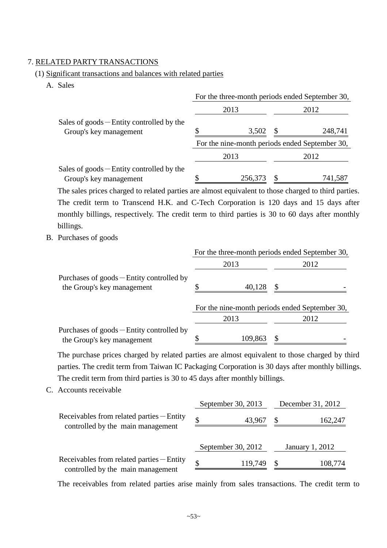#### 7. RELATED PARTY TRANSACTIONS

#### (1) Significant transactions and balances with related parties

A. Sales

|                                                                       | For the three-month periods ended September 30, |         |    |         |  |  |
|-----------------------------------------------------------------------|-------------------------------------------------|---------|----|---------|--|--|
|                                                                       |                                                 | 2013    |    | 2012    |  |  |
| Sales of $goods$ – Entity controlled by the<br>Group's key management |                                                 | 3,502   | -S | 248,741 |  |  |
|                                                                       | For the nine-month periods ended September 30,  |         |    |         |  |  |
|                                                                       |                                                 | 2013    |    | 2012    |  |  |
| Sales of $goods$ – Entity controlled by the<br>Group's key management |                                                 | 256,373 | S  | 741,587 |  |  |

The sales prices charged to related parties are almost equivalent to those charged to third parties. The credit term to Transcend H.K. and C-Tech Corporation is 120 days and 15 days after monthly billings, respectively. The credit term to third parties is 30 to 60 days after monthly billings.

#### B. Purchases of goods

|                                                                         | For the three-month periods ended September 30, |                                                |    |      |  |  |
|-------------------------------------------------------------------------|-------------------------------------------------|------------------------------------------------|----|------|--|--|
|                                                                         |                                                 | 2013                                           |    | 2012 |  |  |
| Purchases of goods – Entity controlled by<br>the Group's key management |                                                 | 40,128                                         | -S |      |  |  |
|                                                                         |                                                 | For the nine-month periods ended September 30, |    |      |  |  |
|                                                                         |                                                 | 2013                                           |    | 2012 |  |  |
| Purchases of goods – Entity controlled by<br>the Group's key management | S                                               | 109,863                                        |    |      |  |  |

The purchase prices charged by related parties are almost equivalent to those charged by third parties. The credit term from Taiwan IC Packaging Corporation is 30 days after monthly billings. The credit term from third parties is 30 to 45 days after monthly billings.

C. Accounts receivable

|                                                                                | September 30, 2013 | December 31, 2012 |  |
|--------------------------------------------------------------------------------|--------------------|-------------------|--|
| Receivables from related parties - Entity<br>controlled by the main management | \$<br>43,967       | 162,247           |  |
|                                                                                | September 30, 2012 | January 1, 2012   |  |
| Receivables from related parties - Entity<br>controlled by the main management | \$<br>119,749      | 108,774           |  |

The receivables from related parties arise mainly from sales transactions. The credit term to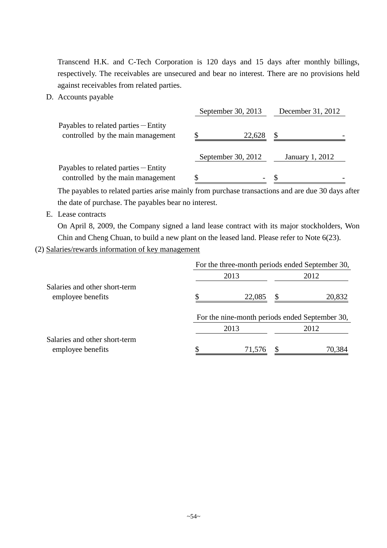Transcend H.K. and C-Tech Corporation is 120 days and 15 days after monthly billings, respectively. The receivables are unsecured and bear no interest. There are no provisions held against receivables from related parties.

D. Accounts payable

|                                                                             | September 30, 2013       | December 31, 2012 |  |  |
|-----------------------------------------------------------------------------|--------------------------|-------------------|--|--|
| Payables to related parties – Entity<br>controlled by the main management   | 22,628                   | <b>S</b>          |  |  |
|                                                                             | September 30, 2012       | January 1, 2012   |  |  |
| Payables to related parties $-$ Entity<br>controlled by the main management | $\overline{\phantom{a}}$ |                   |  |  |

The payables to related parties arise mainly from purchase transactions and are due 30 days after the date of purchase. The payables bear no interest.

E. Lease contracts

On April 8, 2009, the Company signed a land lease contract with its major stockholders, Won Chin and Cheng Chuan, to build a new plant on the leased land. Please refer to Note 6(23).

(2) Salaries/rewards information of key management

|                                                    | For the three-month periods ended September 30, |        |                                                |        |  |  |
|----------------------------------------------------|-------------------------------------------------|--------|------------------------------------------------|--------|--|--|
|                                                    |                                                 | 2013   |                                                | 2012   |  |  |
| Salaries and other short-term<br>employee benefits |                                                 | 22,085 | <sup>S</sup>                                   | 20,832 |  |  |
|                                                    |                                                 |        | For the nine-month periods ended September 30, |        |  |  |
|                                                    |                                                 | 2013   |                                                | 2012   |  |  |
| Salaries and other short-term<br>employee benefits |                                                 |        |                                                |        |  |  |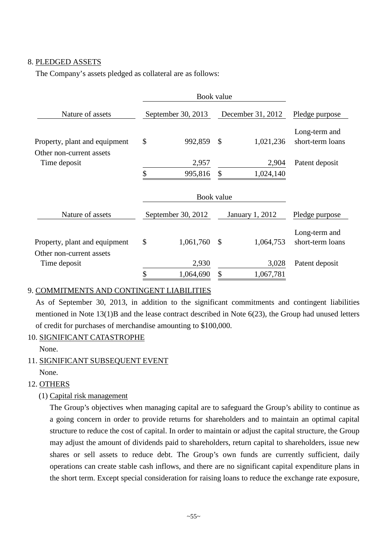#### 8. PLEDGED ASSETS

The Company's assets pledged as collateral are as follows:

|                                                           | Book value         |                           |                        |                                   |
|-----------------------------------------------------------|--------------------|---------------------------|------------------------|-----------------------------------|
| Nature of assets                                          | September 30, 2013 |                           | December 31, 2012      | Pledge purpose                    |
| Property, plant and equipment<br>Other non-current assets | \$<br>992,859      | $\boldsymbol{\mathsf{S}}$ | 1,021,236              | Long-term and<br>short-term loans |
| Time deposit                                              | 2,957              |                           | 2,904                  | Patent deposit                    |
|                                                           | \$<br>995,816      | \$                        | 1,024,140              |                                   |
| Nature of assets                                          | September 30, 2012 | Book value                | <b>January 1, 2012</b> | Pledge purpose                    |
| Property, plant and equipment                             | \$<br>1,061,760    | \$                        | 1,064,753              | Long-term and<br>short-term loans |
| Other non-current assets<br>Time deposit                  | 2,930              |                           | 3,028                  | Patent deposit                    |
|                                                           | \$<br>1,064,690    | \$                        | 1,067,781              |                                   |

### 9. COMMITMENTS AND CONTINGENT LIABILITIES

As of September 30, 2013, in addition to the significant commitments and contingent liabilities mentioned in Note 13(1)B and the lease contract described in Note 6(23), the Group had unused letters of credit for purchases of merchandise amounting to \$100,000.

### 10. SIGNIFICANT CATASTROPHE

None.

## 11. SIGNIFICANT SUBSEQUENT EVENT

None.

### 12. OTHERS

(1) Capital risk management

The Group's objectives when managing capital are to safeguard the Group's ability to continue as a going concern in order to provide returns for shareholders and to maintain an optimal capital structure to reduce the cost of capital. In order to maintain or adjust the capital structure, the Group may adjust the amount of dividends paid to shareholders, return capital to shareholders, issue new shares or sell assets to reduce debt. The Group's own funds are currently sufficient, daily operations can create stable cash inflows, and there are no significant capital expenditure plans in the short term. Except special consideration for raising loans to reduce the exchange rate exposure,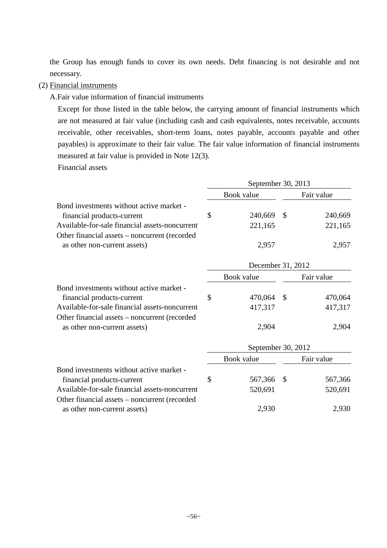the Group has enough funds to cover its own needs. Debt financing is not desirable and not necessary.

- (2) Financial instruments
	- A.Fair value information of financial instruments

Except for those listed in the table below, the carrying amount of financial instruments which are not measured at fair value (including cash and cash equivalents, notes receivable, accounts receivable, other receivables, short-term loans, notes payable, accounts payable and other payables) is approximate to their fair value. The fair value information of financial instruments measured at fair value is provided in Note 12(3).

Financial assets

|                                                                               |               | September 30, 2013 |               |
|-------------------------------------------------------------------------------|---------------|--------------------|---------------|
|                                                                               |               | Book value         | Fair value    |
| Bond investments without active market -<br>financial products-current        | $\mathcal{S}$ | 240,669            | \$<br>240,669 |
| Available-for-sale financial assets-noncurrent                                |               | 221,165            | 221,165       |
| Other financial assets – noncurrent (recorded<br>as other non-current assets) |               | 2,957              | 2,957         |
|                                                                               |               | December 31, 2012  |               |
|                                                                               |               | Book value         | Fair value    |
| Bond investments without active market -<br>financial products-current        | \$            | 470,064            | \$<br>470,064 |
| Available-for-sale financial assets-noncurrent                                |               | 417,317            | 417,317       |
| Other financial assets – noncurrent (recorded<br>as other non-current assets) |               | 2,904              | 2,904         |
|                                                                               |               | September 30, 2012 |               |
|                                                                               |               | Book value         | Fair value    |
| Bond investments without active market -                                      |               |                    |               |
| financial products-current                                                    | \$            | 567,366            | \$<br>567,366 |
| Available-for-sale financial assets-noncurrent                                |               | 520,691            | 520,691       |
| Other financial assets – noncurrent (recorded                                 |               |                    |               |
| as other non-current assets)                                                  |               | 2,930              | 2,930         |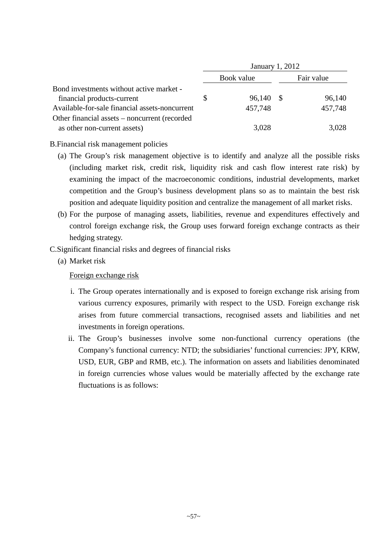|                                                |   | January 1, 2012 |            |
|------------------------------------------------|---|-----------------|------------|
|                                                |   | Book value      | Fair value |
| Bond investments without active market -       |   |                 |            |
| financial products-current                     | S | 96,140 \$       | 96,140     |
| Available-for-sale financial assets-noncurrent |   | 457,748         | 457,748    |
| Other financial assets – noncurrent (recorded  |   |                 |            |
| as other non-current assets)                   |   | 3,028           | 3,028      |

#### B.Financial risk management policies

- (a) The Group's risk management objective is to identify and analyze all the possible risks (including market risk, credit risk, liquidity risk and cash flow interest rate risk) by examining the impact of the macroeconomic conditions, industrial developments, market competition and the Group's business development plans so as to maintain the best risk position and adequate liquidity position and centralize the management of all market risks.
- (b) For the purpose of managing assets, liabilities, revenue and expenditures effectively and control foreign exchange risk, the Group uses forward foreign exchange contracts as their hedging strategy.
- C.Significant financial risks and degrees of financial risks
	- (a) Market risk

Foreign exchange risk

- i. The Group operates internationally and is exposed to foreign exchange risk arising from various currency exposures, primarily with respect to the USD. Foreign exchange risk arises from future commercial transactions, recognised assets and liabilities and net investments in foreign operations.
- ii. The Group's businesses involve some non-functional currency operations (the Company's functional currency: NTD; the subsidiaries' functional currencies: JPY, KRW, USD, EUR, GBP and RMB, etc.). The information on assets and liabilities denominated in foreign currencies whose values would be materially affected by the exchange rate fluctuations is as follows: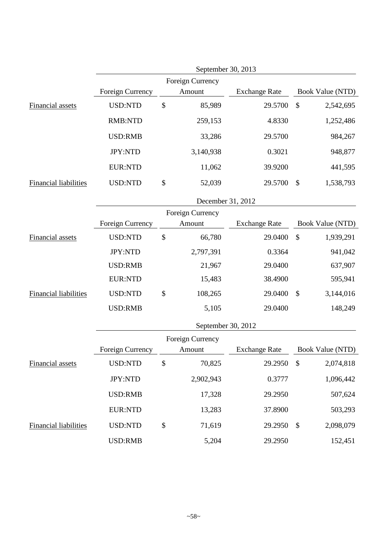|                              | September 30, 2013 |                  |                    |                      |                           |                  |  |  |  |
|------------------------------|--------------------|------------------|--------------------|----------------------|---------------------------|------------------|--|--|--|
|                              |                    |                  | Foreign Currency   |                      |                           |                  |  |  |  |
|                              | Foreign Currency   |                  | Amount             | <b>Exchange Rate</b> |                           | Book Value (NTD) |  |  |  |
| Financial assets             | <b>USD:NTD</b>     | \$               | 85,989             | 29.5700              | \$                        | 2,542,695        |  |  |  |
|                              | <b>RMB:NTD</b>     |                  | 259,153            | 4.8330               |                           | 1,252,486        |  |  |  |
|                              | <b>USD:RMB</b>     |                  | 33,286             | 29.5700              |                           | 984,267          |  |  |  |
|                              | <b>JPY:NTD</b>     |                  | 3,140,938          | 0.3021               |                           | 948,877          |  |  |  |
|                              | <b>EUR:NTD</b>     |                  | 11,062             | 39.9200              |                           | 441,595          |  |  |  |
| <b>Financial liabilities</b> | <b>USD:NTD</b>     | \$               | 52,039             | 29.5700              | $\mathcal{S}$             | 1,538,793        |  |  |  |
|                              |                    |                  | December 31, 2012  |                      |                           |                  |  |  |  |
|                              |                    | Foreign Currency |                    |                      |                           |                  |  |  |  |
|                              | Foreign Currency   |                  | Amount             | <b>Exchange Rate</b> |                           | Book Value (NTD) |  |  |  |
| Financial assets             | <b>USD:NTD</b>     | \$               | 66,780             | 29.0400              | $\mathcal{S}$             | 1,939,291        |  |  |  |
|                              | JPY:NTD            |                  | 2,797,391          | 0.3364               |                           | 941,042          |  |  |  |
|                              | <b>USD:RMB</b>     |                  | 21,967             | 29.0400              |                           | 637,907          |  |  |  |
|                              | <b>EUR:NTD</b>     |                  | 15,483             | 38.4900              |                           | 595,941          |  |  |  |
| <b>Financial liabilities</b> | <b>USD:NTD</b>     | \$               | 108,265            | 29.0400              | $\mathcal{S}$             | 3,144,016        |  |  |  |
|                              | <b>USD:RMB</b>     |                  | 5,105              | 29.0400              |                           | 148,249          |  |  |  |
|                              |                    |                  | September 30, 2012 |                      |                           |                  |  |  |  |
|                              |                    |                  | Foreign Currency   |                      |                           |                  |  |  |  |
|                              | Foreign Currency   |                  | Amount             | <b>Exchange Rate</b> |                           | Book Value (NTD) |  |  |  |
| Financial assets             | <b>USD:NTD</b>     | \$               | 70,825             | 29.2950              | \$                        | 2,074,818        |  |  |  |
|                              | JPY:NTD            |                  | 2,902,943          | 0.3777               |                           | 1,096,442        |  |  |  |
|                              | <b>USD:RMB</b>     |                  | 17,328             | 29.2950              |                           | 507,624          |  |  |  |
|                              | <b>EUR:NTD</b>     |                  | 13,283             | 37.8900              |                           | 503,293          |  |  |  |
| <b>Financial liabilities</b> | USD:NTD            | \$               | 71,619             | 29.2950              | $\boldsymbol{\mathsf{S}}$ | 2,098,079        |  |  |  |
|                              | <b>USD:RMB</b>     |                  | 5,204              | 29.2950              |                           | 152,451          |  |  |  |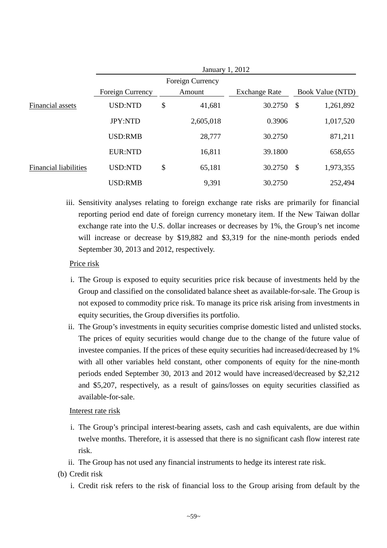|                              |                  | January 1, 2012 |                      |                  |           |
|------------------------------|------------------|-----------------|----------------------|------------------|-----------|
|                              |                  |                 |                      |                  |           |
|                              | Foreign Currency | Amount          | <b>Exchange Rate</b> | Book Value (NTD) |           |
| Financial assets             | <b>USD:NTD</b>   | \$<br>41,681    | 30.2750              | $\mathcal{S}$    | 1,261,892 |
|                              | <b>JPY:NTD</b>   | 2,605,018       | 0.3906               |                  | 1,017,520 |
|                              | <b>USD:RMB</b>   | 28,777          | 30.2750              |                  | 871,211   |
|                              | <b>EUR:NTD</b>   | 16,811          | 39.1800              |                  | 658,655   |
| <b>Financial liabilities</b> | <b>USD:NTD</b>   | \$<br>65,181    | 30.2750              | $\mathcal{S}$    | 1,973,355 |
|                              | <b>USD:RMB</b>   | 9,391           | 30.2750              |                  | 252,494   |

iii. Sensitivity analyses relating to foreign exchange rate risks are primarily for financial reporting period end date of foreign currency monetary item. If the New Taiwan dollar exchange rate into the U.S. dollar increases or decreases by 1%, the Group's net income will increase or decrease by \$19,882 and \$3,319 for the nine-month periods ended September 30, 2013 and 2012, respectively.

#### Price risk

- i. The Group is exposed to equity securities price risk because of investments held by the Group and classified on the consolidated balance sheet as available-for-sale. The Group is not exposed to commodity price risk. To manage its price risk arising from investments in equity securities, the Group diversifies its portfolio.
- ii. The Group's investments in equity securities comprise domestic listed and unlisted stocks. The prices of equity securities would change due to the change of the future value of investee companies. If the prices of these equity securities had increased/decreased by 1% with all other variables held constant, other components of equity for the nine-month periods ended September 30, 2013 and 2012 would have increased/decreased by \$2,212 and \$5,207, respectively, as a result of gains/losses on equity securities classified as available-for-sale.

### Interest rate risk

- i. The Group's principal interest-bearing assets, cash and cash equivalents, are due within twelve months. Therefore, it is assessed that there is no significant cash flow interest rate risk.
- ii. The Group has not used any financial instruments to hedge its interest rate risk.
- (b) Credit risk
	- i. Credit risk refers to the risk of financial loss to the Group arising from default by the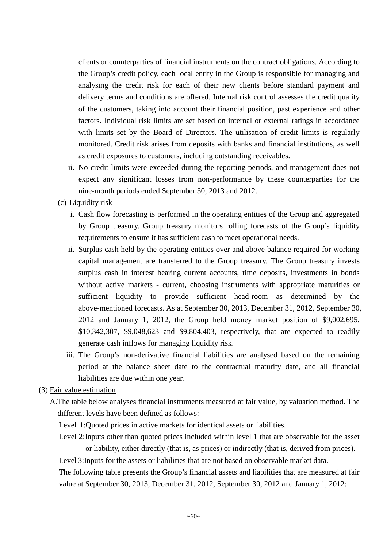clients or counterparties of financial instruments on the contract obligations. According to the Group's credit policy, each local entity in the Group is responsible for managing and analysing the credit risk for each of their new clients before standard payment and delivery terms and conditions are offered. Internal risk control assesses the credit quality of the customers, taking into account their financial position, past experience and other factors. Individual risk limits are set based on internal or external ratings in accordance with limits set by the Board of Directors. The utilisation of credit limits is regularly monitored. Credit risk arises from deposits with banks and financial institutions, as well as credit exposures to customers, including outstanding receivables.

- ii. No credit limits were exceeded during the reporting periods, and management does not expect any significant losses from non-performance by these counterparties for the nine-month periods ended September 30, 2013 and 2012.
- (c) Liquidity risk
	- i. Cash flow forecasting is performed in the operating entities of the Group and aggregated by Group treasury. Group treasury monitors rolling forecasts of the Group's liquidity requirements to ensure it has sufficient cash to meet operational needs.
	- ii. Surplus cash held by the operating entities over and above balance required for working capital management are transferred to the Group treasury. The Group treasury invests surplus cash in interest bearing current accounts, time deposits, investments in bonds without active markets - current, choosing instruments with appropriate maturities or sufficient liquidity to provide sufficient head-room as determined by the above-mentioned forecasts. As at September 30, 2013, December 31, 2012, September 30, 2012 and January 1, 2012, the Group held money market position of \$9,002,695, \$10,342,307, \$9,048,623 and \$9,804,403, respectively, that are expected to readily generate cash inflows for managing liquidity risk.
	- iii. The Group's non-derivative financial liabilities are analysed based on the remaining period at the balance sheet date to the contractual maturity date, and all financial liabilities are due within one year.

#### (3) Fair value estimation

- A.The table below analyses financial instruments measured at fair value, by valuation method. The different levels have been defined as follows:
	- Level 1:Quoted prices in active markets for identical assets or liabilities.
	- Level 2:Inputs other than quoted prices included within level 1 that are observable for the asset or liability, either directly (that is, as prices) or indirectly (that is, derived from prices).

Level 3:Inputs for the assets or liabilities that are not based on observable market data.

The following table presents the Group's financial assets and liabilities that are measured at fair value at September 30, 2013, December 31, 2012, September 30, 2012 and January 1, 2012: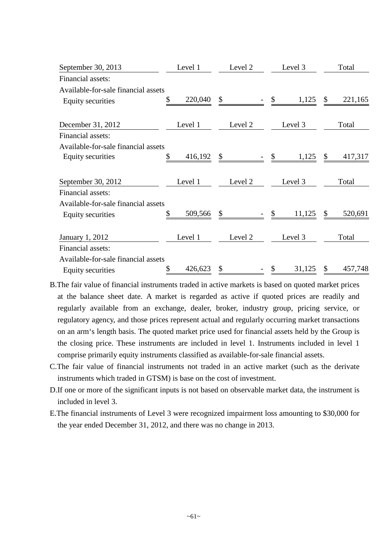| September 30, 2013                  | Level 1       | Level 2 | Level 3                | Total         |
|-------------------------------------|---------------|---------|------------------------|---------------|
| Financial assets:                   |               |         |                        |               |
| Available-for-sale financial assets |               |         |                        |               |
| <b>Equity securities</b>            | 220,040       | \$      | $\mathcal{S}$<br>1,125 | 221,165<br>\$ |
| December 31, 2012                   | Level 1       | Level 2 | Level 3                | Total         |
| Financial assets:                   |               |         |                        |               |
| Available-for-sale financial assets |               |         |                        |               |
| Equity securities                   | 416,192<br>\$ | \$      | $\mathcal{S}$<br>1,125 | 417,317<br>\$ |
| September 30, 2012                  | Level 1       | Level 2 | Level 3                | Total         |
| Financial assets:                   |               |         |                        |               |
| Available-for-sale financial assets |               |         |                        |               |
| Equity securities                   | \$<br>509,566 | \$      | $\mathbb{S}$<br>11,125 | \$<br>520,691 |
| January 1, 2012                     | Level 1       | Level 2 | Level 3                | Total         |
| Financial assets:                   |               |         |                        |               |
| Available-for-sale financial assets |               |         |                        |               |
| <b>Equity securities</b>            | \$<br>426,623 | \$      | \$<br>31,125           | \$<br>457,748 |

B.The fair value of financial instruments traded in active markets is based on quoted market prices at the balance sheet date. A market is regarded as active if quoted prices are readily and regularly available from an exchange, dealer, broker, industry group, pricing service, or regulatory agency, and those prices represent actual and regularly occurring market transactions on an arm's length basis. The quoted market price used for financial assets held by the Group is the closing price. These instruments are included in level 1. Instruments included in level 1 comprise primarily equity instruments classified as available-for-sale financial assets.

- C.The fair value of financial instruments not traded in an active market (such as the derivate instruments which traded in GTSM) is base on the cost of investment.
- D.If one or more of the significant inputs is not based on observable market data, the instrument is included in level 3.
- E.The financial instruments of Level 3 were recognized impairment loss amounting to \$30,000 for the year ended December 31, 2012, and there was no change in 2013.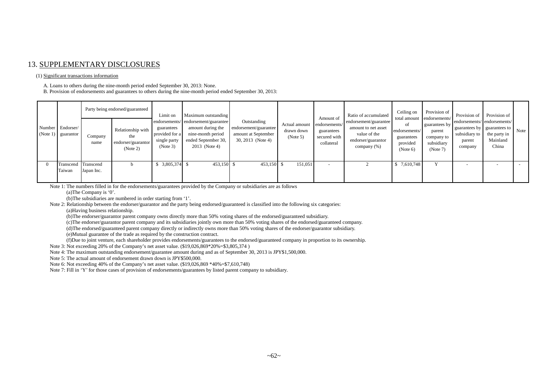#### 13. SUPPLEMENTARY DISCLOSURES

#### (1) Significant transactions information

A. Loans to others during the nine-month period ended September 30, 2013: None.

B. Provision of endorsements and guarantees to others during the nine-month period ended September 30, 2013:

| Number Endorser/<br>(Note 1) guarantor | Company<br>name | Party being endorsed/guaranteed<br>Relationship with<br>the<br>endorser/guarantor<br>(Note 2) | Limit on<br>guarantees<br>provided for a<br>single party<br>(Note 3) | Maximum outstanding<br>endorsements/ endorsement/guarantee<br>amount during the<br>nine-month period<br>ended September 30,<br>2013 (Note 4) | Outstanding<br>endorsement/guarantee<br>amount at September<br>30, 2013 (Note 4) | Actual amount<br>drawn down<br>(Note 5) | Amount of<br>endorsements/<br>guarantees<br>secured with<br>collateral | Ratio of accumulated<br>endorsement/guarantee<br>amount to net asset<br>value of the<br>endorser/guarantor<br>company (%) | Ceiling on<br>total amount<br>οf<br>endorsements<br>guarantees<br>provided<br>(Note 6) | Provision of<br>endorsements/<br>guarantees by<br>parent<br>company to<br>subsidiary<br>(Note 7) | Provision of<br>endorsements/endorsements/<br>subsidiary to<br>parent<br>company | Provision of<br>guarantees by guarantees to<br>the party in<br>Mainland<br>China | Note |
|----------------------------------------|-----------------|-----------------------------------------------------------------------------------------------|----------------------------------------------------------------------|----------------------------------------------------------------------------------------------------------------------------------------------|----------------------------------------------------------------------------------|-----------------------------------------|------------------------------------------------------------------------|---------------------------------------------------------------------------------------------------------------------------|----------------------------------------------------------------------------------------|--------------------------------------------------------------------------------------------------|----------------------------------------------------------------------------------|----------------------------------------------------------------------------------|------|
| Transcend Transcend<br>Taiwan          | Japan Inc.      |                                                                                               | $3,805,374$ \$                                                       | $453,150$ \$                                                                                                                                 | 453,150 \$                                                                       | 151,051                                 | $\sim$                                                                 |                                                                                                                           | 7,610,748                                                                              |                                                                                                  |                                                                                  |                                                                                  |      |

Note 1: The numbers filled in for the endorsements/guarantees provided by the Company or subsidiaries are as follows

(a)The Company is '0'.

(b)The subsidiaries are numbered in order starting from '1'.

Note 2: Relationship between the endorser/guarantor and the party being endorsed/guaranteed is classified into the following six categories:

(a)Having business relationship.

(b)The endorser/guarantor parent company owns directly more than 50% voting shares of the endorsed/guaranteed subsidiary.

(c)The endorser/guarantor parent company and its subsidiaries jointly own more than 50% voting shares of the endorsed/guaranteed company.

(d)The endorsed/guaranteed parent company directly or indirectly owns more than 50% voting shares of the endorser/guarantor subsidiary.

(e)Mutual guarantee of the trade as required by the construction contract.

(f)Due to joint venture, each shareholder provides endorsements/guarantees to the endorsed/guaranteed company in proportion to its ownership.

Note 3: Not exceeding 20% of the Company's net asset value. (\$19,026,869\*20%=\$3,805,374 )

Note 4: The maximum outstanding endorsement/guarantee amount during and as of September 30, 2013 is JPY\$1,500,000.

Note 5: The actual amount of endorsement drawn down is JPY\$500,000.

Note 6: Not exceeding 40% of the Company's net asset value. (\$19,026,869 \*40%=\$7,610,748)

Note 7: Fill in 'Y' for those cases of provision of endorsements/guarantees by listed parent company to subsidiary.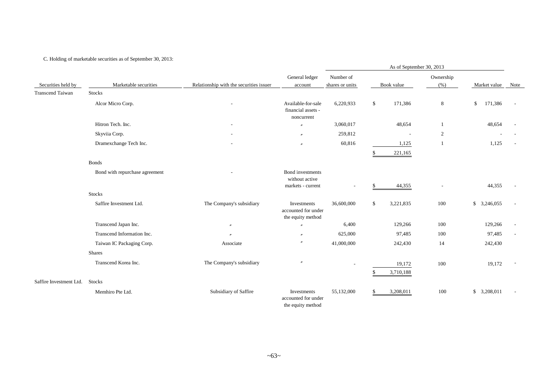C. Holding of marketable securities as of September 30, 2013:

|                         |                                |                                         |                                                         | As of September 30, 2013     |              |                     |                          |    |              |  |
|-------------------------|--------------------------------|-----------------------------------------|---------------------------------------------------------|------------------------------|--------------|---------------------|--------------------------|----|--------------|--|
| Securities held by      | Marketable securities          | Relationship with the securities issuer | General ledger<br>account                               | Number of<br>shares or units | Book value   |                     | Ownership<br>(% )        |    | Market value |  |
| <b>Transcend Taiwan</b> | <b>Stocks</b>                  |                                         |                                                         |                              |              |                     |                          |    |              |  |
|                         | Alcor Micro Corp.              |                                         | Available-for-sale<br>financial assets -<br>noncurrent  | 6,220,933                    | $\mathbb{S}$ | 171,386             | 8                        | \$ | 171,386      |  |
|                         | Hitron Tech. Inc.              | ٠                                       | $\theta$                                                | 3,060,017                    |              | 48,654              |                          |    | 48,654       |  |
|                         | Skyviia Corp.                  |                                         | $\theta$                                                | 259,812                      |              | $\sim$              | 2                        |    |              |  |
|                         | Dramexchange Tech Inc.         |                                         | $\theta$                                                | 60,816                       |              | 1,125               | 1                        |    | 1,125        |  |
|                         |                                |                                         |                                                         |                              |              | 221,165             |                          |    |              |  |
|                         | <b>Bonds</b>                   |                                         |                                                         |                              |              |                     |                          |    |              |  |
|                         | Bond with repurchase agreement |                                         | Bond investments<br>without active<br>markets - current | $\overline{\phantom{a}}$     | \$           | 44,355              | $\overline{\phantom{a}}$ |    | 44,355       |  |
|                         | <b>Stocks</b>                  |                                         |                                                         |                              |              |                     |                          |    |              |  |
|                         | Saffire Investment Ltd.        | The Company's subsidiary                | Investments<br>accounted for under<br>the equity method | 36,600,000                   | \$           | 3,221,835           | 100                      |    | \$3,246,055  |  |
|                         | Transcend Japan Inc.           | $\prime$                                |                                                         | 6,400                        |              | 129,266             | 100                      |    | 129,266      |  |
|                         | Transcend Information Inc.     | $\prime$                                | $\theta$                                                | 625,000                      |              | 97,485              | 100                      |    | 97,485       |  |
|                         | Taiwan IC Packaging Corp.      | Associate                               | $^{\prime\prime}$                                       | 41,000,000                   |              | 242,430             | 14                       |    | 242,430      |  |
|                         | <b>Shares</b>                  |                                         |                                                         |                              |              |                     |                          |    |              |  |
|                         | Transcend Korea Inc.           | The Company's subsidiary                | $\theta$                                                |                              |              | 19,172<br>3,710,188 | 100                      |    | 19,172       |  |
| Saffire Investment Ltd. | <b>Stocks</b>                  |                                         |                                                         |                              |              |                     |                          |    |              |  |
|                         | Memhiro Pte Ltd.               | Subsidiary of Saffire                   | Investments<br>accounted for under<br>the equity method | 55,132,000                   | -\$          | 3,208,011           | 100                      |    | \$3,208,011  |  |

 $~1 - 63 -$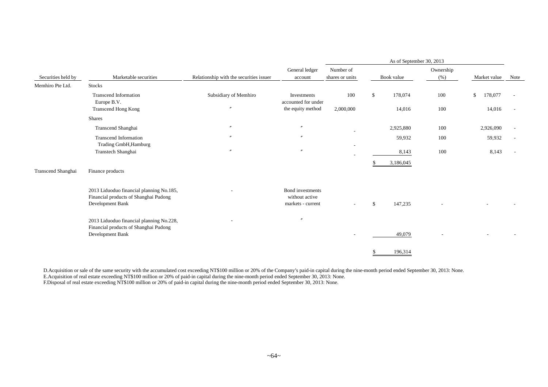|                    |                                                                                                       |                                         |                                                         | As of September 30, 2013     |                         |                  |                         |      |  |  |
|--------------------|-------------------------------------------------------------------------------------------------------|-----------------------------------------|---------------------------------------------------------|------------------------------|-------------------------|------------------|-------------------------|------|--|--|
| Securities held by | Marketable securities                                                                                 | Relationship with the securities issuer | General ledger<br>account                               | Number of<br>shares or units | Book value              | Ownership<br>(%) | Market value            | Note |  |  |
| Memhiro Pte Ltd.   | <b>Stocks</b>                                                                                         |                                         |                                                         |                              |                         |                  |                         |      |  |  |
|                    | <b>Transcend Information</b><br>Europe B.V.<br>Transcend Hong Kong                                    | Subsidiary of Memhiro<br>$\theta$       | Investments<br>accounted for under<br>the equity method | 100<br>2,000,000             | \$<br>178,074<br>14,016 | 100<br>100       | \$<br>178,077<br>14,016 |      |  |  |
|                    | <b>Shares</b>                                                                                         |                                         |                                                         |                              |                         |                  |                         |      |  |  |
|                    | Transcend Shanghai                                                                                    | $^{\prime\prime}$                       | $^{\prime\prime}$                                       |                              | 2,925,880               | 100              | 2,926,090               |      |  |  |
|                    | <b>Transcend Information</b><br>Trading GmbH, Hamburg                                                 |                                         | $\overline{''}$                                         | $\overline{\phantom{a}}$     | 59,932                  | 100              | 59,932                  |      |  |  |
|                    | Transtech Shanghai                                                                                    |                                         | $^{\prime\prime}$                                       |                              | 8,143                   | 100              | 8,143                   |      |  |  |
| Transcend Shanghai | Finance products                                                                                      |                                         |                                                         |                              | 3,186,045               |                  |                         |      |  |  |
|                    | 2013 Liduoduo financial planning No.185,<br>Financial products of Shanghai Pudong<br>Development Bank |                                         | Bond investments<br>without active<br>markets - current | $\overline{a}$               | 147,235<br>\$           |                  |                         |      |  |  |
|                    | 2013 Liduoduo financial planning No.228,<br>Financial products of Shanghai Pudong<br>Development Bank |                                         | $^{\prime\prime}$                                       |                              | 49,079                  |                  |                         |      |  |  |
|                    |                                                                                                       |                                         |                                                         |                              | 196,314<br>\$           |                  |                         |      |  |  |

D.Acquisition or sale of the same security with the accumulated cost exceeding NT\$100 million or 20% of the Company's paid-in capital during the nine-month period ended September 30, 2013: None. E.Acquisition of real estate exceeding NT\$100 million or 20% of paid-in capital during the nine-month period ended September 30, 2013: None. F.Disposal of real estate exceeding NT\$100 million or 20% of paid-in capital during the nine-month period ended September 30, 2013: None.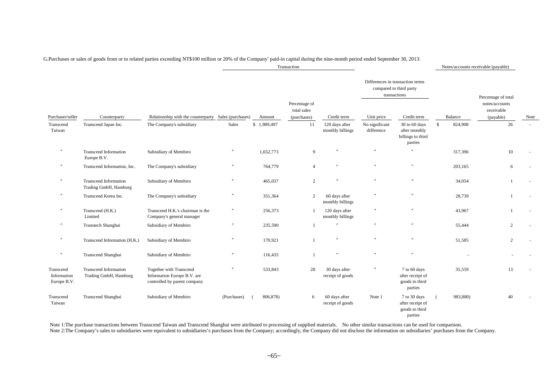|                                         |                                                       |                                                                                        |                   | Transaction |                                             |                                    |                              |                                                                             | Notes/accounts receivable (payable) |                                           |      |
|-----------------------------------------|-------------------------------------------------------|----------------------------------------------------------------------------------------|-------------------|-------------|---------------------------------------------|------------------------------------|------------------------------|-----------------------------------------------------------------------------|-------------------------------------|-------------------------------------------|------|
|                                         |                                                       |                                                                                        |                   |             |                                             |                                    |                              | Differences in transaction terms<br>compared to third party<br>transactions |                                     | Percentage of total                       |      |
| Purchaser/seller                        | Counterparty                                          | Relationship with the counterparty Sales (purchases)                                   |                   | Amount      | Percentage of<br>total sales<br>(purchases) | Credit term                        | Unit price                   | Credit term                                                                 | Balance                             | notes/accounts<br>receivable<br>(payable) | Note |
| Transcend<br>Taiwan                     | Transcend Japan Inc.                                  | The Company's subsidiary                                                               | Sales             | \$1,989,497 | 11                                          | 120 days after<br>monthly billings | No significant<br>difference | 30 to 60 days<br>after monthly<br>billings to third<br>parties              | $\mathbb{S}$<br>824,908             | 26                                        |      |
| $\prime\prime$                          | <b>Transcend Information</b><br>Europe B.V.           | Subsidiary of Memhiro                                                                  |                   | 1,652,773   | 9                                           |                                    |                              | $^{\prime\prime}$                                                           | 317,396                             | 10                                        |      |
|                                         | Transcend Information, Inc.                           | The Company's subsidiary                                                               |                   | 764,779     | $\overline{4}$                              |                                    |                              | $^{\prime\prime}$                                                           | 203,165                             | 6                                         |      |
| $\prime\prime$                          | <b>Transcend Information</b><br>Trading GmbH, Hamburg | Subsidiary of Memhiro                                                                  | $^{\prime\prime}$ | 465,037     | $\overline{2}$                              |                                    | $^{\prime\prime}$            | $^{\prime\prime}$                                                           | 34,054                              |                                           |      |
| $^{\prime\prime}$                       | Transcend Korea Inc.                                  | The Company's subsidiary                                                               | $^{\prime\prime}$ | 351,364     | 2                                           | 60 days after<br>monthly billings  | $^{\prime\prime}$            | $^{\prime\prime}$                                                           | 28,739                              | $\mathbf{1}$                              |      |
| $\boldsymbol{''}$                       | Transcend (H.K.)<br>Limited                           | Transcend H.K.'s chairman is the<br>Company's general manager                          | $\prime\prime$    | 256,373     |                                             | 120 days after<br>monthly billings | $^{\prime\prime}$            | $\boldsymbol{''}$                                                           | 43,967                              |                                           |      |
|                                         | Transtech Shanghai                                    | Subsidiary of Memhiro                                                                  | $\prime\prime$    | 235,590     | $\mathbf{1}$                                |                                    | $^{\prime\prime}$            | $^{\prime\prime}$                                                           | 55,444                              | $\overline{2}$                            |      |
| $\prime\prime$                          | Transcend Information (H.K.)                          | Subsidiary of Memhiro                                                                  | $\prime\prime$    | 170,921     |                                             | $\theta$                           | $^{\prime\prime}$            | $^{\prime\prime}$                                                           | 51,585                              | 2                                         |      |
| $^{\prime\prime}$                       | Transcend Shanghai                                    | Subsidiary of Memhiro                                                                  |                   | 116,435     | $\mathbf{1}$                                |                                    | $^{\prime\prime}$            |                                                                             |                                     |                                           |      |
| Transcend<br>Information<br>Europe B.V. | <b>Transcend Information</b><br>Trading GmbH, Hamburg | Together with Transcend<br>Information Europe B.V. are<br>controlled by parent company | $^{\prime\prime}$ | 533,843     | 28                                          | 30 days after<br>receipt of goods  | $\prime\prime$               | 7 to 60 days<br>after receipt of<br>goods to third<br>parties               | 35,559                              | 13                                        |      |
| Transcend<br>Taiwan                     | Transcend Shanghai                                    | Subsidiary of Memhiro                                                                  | (Purchases)       | 806,878)    | 6                                           | 60 days after<br>receipt of goods  | Note 1                       | 7 to 30 days<br>after receipt of<br>goods to third<br>parties               | 983,880)                            | 40                                        |      |

G.Purchases or sales of goods from or to related parties exceeding NT\$100 million or 20% of the Company' paid-in capital during the nine-month period ended September 30, 2013:

Note 1:The purchase transactions between Transcend Taiwan and Transcend Shanghai were attributed to processing of supplied materials. No other similar transactions can be used for comparison. Note 2:The Company's sales to subsidiaries were equivalent to subsidiaries's purchases from the Company; accordingly, the Company did not disclose the information on subsidiaries' purchases from the Company.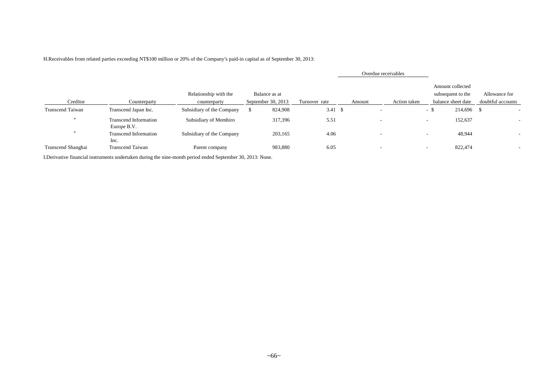H.Receivables from related parties exceeding NT\$100 million or 20% of the Company's paid-in capital as of September 30, 2013:

|                    |                                             |                                       |                                     |                    | Overdue receivables |        |                          |              |                          |                                                             |                                    |  |
|--------------------|---------------------------------------------|---------------------------------------|-------------------------------------|--------------------|---------------------|--------|--------------------------|--------------|--------------------------|-------------------------------------------------------------|------------------------------------|--|
| Creditor           | Counterparty                                | Relationship with the<br>counterparty | Balance as at<br>September 30, 2013 | Turnover rate      |                     | Amount |                          | Action taken |                          | Amount collected<br>subsequent to the<br>balance sheet date | Allowance for<br>doubtful accounts |  |
| Transcend Taiwan   | Transcend Japan Inc.                        | Subsidiary of the Company             | 824,908                             | $3.41 \text{ } $s$ |                     |        | $\overline{\phantom{a}}$ |              | - \$                     | 214,696 \$                                                  |                                    |  |
|                    | <b>Transcend Information</b><br>Europe B.V. | Subsidiary of Memhiro                 | 317,396                             | 5.51               |                     |        | . .                      |              | $\overline{\phantom{a}}$ | 152,637                                                     |                                    |  |
|                    | <b>Transcend Information</b><br>Inc.        | Subsidiary of the Company             | 203,165                             | 4.06               |                     |        | $\overline{\phantom{a}}$ |              | $\sim$                   | 48,944                                                      |                                    |  |
| Transcend Shanghai | Transcend Taiwan                            | Parent company                        | 983,880                             | 6.05               |                     |        | $\overline{\phantom{a}}$ |              | $\sim$                   | 822,474                                                     |                                    |  |

I.Derivative financial instruments undertaken during the nine-month period ended September 30, 2013: None.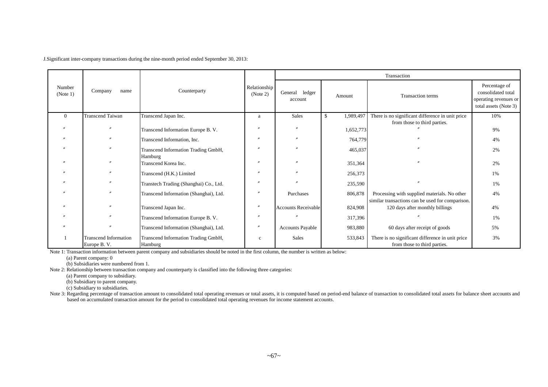J.Significant inter-company transactions during the nine-month period ended September 30, 2013:

|                    |                                             |                                                |                          | Transaction                |                            |                                                                                     |                                                                                       |  |  |  |  |
|--------------------|---------------------------------------------|------------------------------------------------|--------------------------|----------------------------|----------------------------|-------------------------------------------------------------------------------------|---------------------------------------------------------------------------------------|--|--|--|--|
| Number<br>(Note 1) | Company<br>name                             | Counterparty                                   | Relationship<br>(Note 2) | General ledger<br>account  | Amount                     | <b>Transaction terms</b>                                                            | Percentage of<br>consolidated total<br>operating revenues or<br>total assets (Note 3) |  |  |  |  |
| $\overline{0}$     | <b>Transcend Taiwan</b>                     | Transcend Japan Inc.                           | a                        | Sales                      | 1,989,497<br>$\mathbf{\$}$ | There is no significant difference in unit price                                    | 10%                                                                                   |  |  |  |  |
|                    |                                             |                                                |                          |                            |                            | from those to third parties.                                                        |                                                                                       |  |  |  |  |
|                    |                                             | Transcend Information Europe B. V.             | $\theta$                 |                            | 1,652,773                  |                                                                                     | 9%                                                                                    |  |  |  |  |
|                    |                                             | Transcend Information, Inc.                    |                          |                            | 764,779                    |                                                                                     | 4%                                                                                    |  |  |  |  |
|                    |                                             | Transcend Information Trading GmbH,<br>Hamburg |                          |                            | 465,037                    |                                                                                     | 2%                                                                                    |  |  |  |  |
|                    |                                             | Transcend Korea Inc.                           |                          |                            | 351,364                    |                                                                                     | 2%                                                                                    |  |  |  |  |
|                    |                                             | Transcend (H.K.) Limited                       |                          |                            | 256,373                    |                                                                                     | 1%                                                                                    |  |  |  |  |
|                    |                                             | Transtech Trading (Shanghai) Co., Ltd.         |                          |                            | 235,590                    |                                                                                     | 1%                                                                                    |  |  |  |  |
|                    |                                             | Transcend Information (Shanghai), Ltd.         |                          | Purchases                  | 806,878                    | Processing with supplied materials. No other                                        | 4%                                                                                    |  |  |  |  |
|                    |                                             | Transcend Japan Inc.                           |                          | <b>Accounts Receivable</b> | 824,908                    | similar transactions can be used for comparison.<br>120 days after monthly billings | 4%                                                                                    |  |  |  |  |
|                    |                                             | Transcend Information Europe B. V.             |                          |                            | 317,396                    |                                                                                     | 1%                                                                                    |  |  |  |  |
|                    |                                             | Transcend Information (Shanghai), Ltd.         | $\theta$                 | <b>Accounts Payable</b>    | 983,880                    | 60 days after receipt of goods                                                      | 5%                                                                                    |  |  |  |  |
|                    | <b>Transcend Information</b><br>Europe B.V. | Transcend Information Trading GmbH,<br>Hamburg | $\mathbf{c}$             | Sales                      | 533,843                    | There is no significant difference in unit price<br>from those to third parties.    | 3%                                                                                    |  |  |  |  |

Note 1: Transaction information between parent company and subsidiaries should be noted in the first column, the number is written as below:

(a) Parent company: 0

(b) Subsidiaries were numbered from 1.

Note 2: Relationship between transaction company and counterparty is classified into the following three categories:

(a) Parent company to subsidiary.

(b) Subsidiary to parent company.

(c) Subsidiary to subsidiaries.

Note 3: Regarding percentage of transaction amount to consolidated total operating revenues or total assets, it is computed based on period-end balance of transaction to consolidated total assets for balance sheet accounts based on accumulated transaction amount for the period to consolidated total operating revenues for income statement accounts.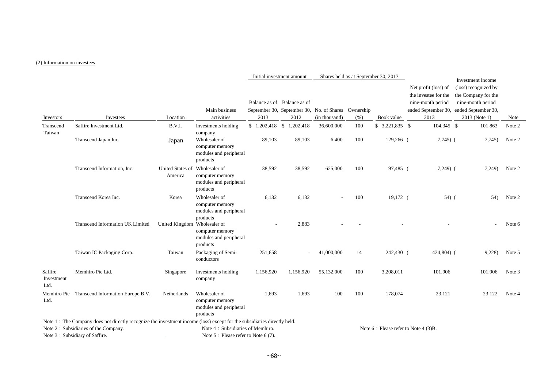#### (2) Information on investees

|                               |                                                                                                                         |                                    |                                                                                   |                           | Initial investment amount                                                                  | Shares held as at September 30, 2013 |      |                 | Investment income                                                                                                    |                                                                                   |        |
|-------------------------------|-------------------------------------------------------------------------------------------------------------------------|------------------------------------|-----------------------------------------------------------------------------------|---------------------------|--------------------------------------------------------------------------------------------|--------------------------------------|------|-----------------|----------------------------------------------------------------------------------------------------------------------|-----------------------------------------------------------------------------------|--------|
| Investors                     | Investees                                                                                                               | Location                           | Main business<br>activities                                                       | 2013                      | Balance as of Balance as of<br>September 30, September 30, No. of Shares Ownership<br>2012 | (in thousand)                        | (% ) | Book value      | Net profit (loss) of<br>the investee for the<br>nine-month period<br>ended September 30, ended September 30,<br>2013 | (loss) recognized by<br>the Company for the<br>nine-month period<br>2013 (Note 1) | Note   |
| Transcend<br>Taiwan           | Saffire Investment Ltd.                                                                                                 | B.V.I.                             | Investments holding                                                               | $$1,202,418$ $$1,202,418$ |                                                                                            | 36,600,000                           | 100  | $$3,221,835$ \$ | $104,345$ \$                                                                                                         | 101,863                                                                           | Note 2 |
|                               | Transcend Japan Inc.                                                                                                    | Japan                              | company<br>Wholesaler of<br>computer memory<br>modules and peripheral<br>products | 89,103                    | 89,103                                                                                     | 6,400                                | 100  | 129,266 (       | $7,745$ (                                                                                                            | 7,745                                                                             | Note 2 |
|                               | Transcend Information, Inc.                                                                                             | <b>United States of</b><br>America | Wholesaler of<br>computer memory<br>modules and peripheral<br>products            | 38,592                    | 38,592                                                                                     | 625,000                              | 100  | 97,485 (        | $7,249$ (                                                                                                            | 7,249                                                                             | Note 2 |
|                               | Transcend Korea Inc.                                                                                                    | Korea                              | Wholesaler of<br>computer memory<br>modules and peripheral<br>products            | 6,132                     | 6,132                                                                                      |                                      | 100  | 19,172 (        | $54)$ (                                                                                                              | 54)                                                                               | Note 2 |
|                               | Transcend Information UK Limited                                                                                        | United Kingdom                     | Wholesaler of<br>computer memory<br>modules and peripheral<br>products            |                           | 2,883                                                                                      |                                      |      |                 |                                                                                                                      |                                                                                   | Note 6 |
|                               | Taiwan IC Packaging Corp.                                                                                               | Taiwan                             | Packaging of Semi-<br>conductors                                                  | 251,658                   |                                                                                            | 41,000,000                           | 14   | 242,430 (       | $424,804$ (                                                                                                          | 9,228                                                                             | Note 5 |
| Saffire<br>Investment<br>Ltd. | Memhiro Pte Ltd.                                                                                                        | Singapore                          | Investments holding<br>company                                                    | 1,156,920                 | 1,156,920                                                                                  | 55,132,000                           | 100  | 3,208,011       | 101,906                                                                                                              | 101,906                                                                           | Note 3 |
| Memhiro Pte<br>Ltd.           | Transcend Information Europe B.V.                                                                                       | Netherlands                        | Wholesaler of<br>computer memory<br>modules and peripheral<br>products            | 1,693                     | 1,693                                                                                      | 100                                  | 100  | 178,074         | 23,121                                                                                                               | 23,122                                                                            | Note 4 |
|                               | Note 1: The Company does not directly recognize the investment income (loss) except for the subsidiaries directly held. |                                    |                                                                                   |                           |                                                                                            |                                      |      |                 |                                                                                                                      |                                                                                   |        |
|                               | Note 2: Subsidiaries of the Company.<br>Note 3: Subsidiary of Saffire.                                                  |                                    | Note 4: Subsidiaries of Memhiro.<br>Note $5$ : Please refer to Note 6 (7).        |                           |                                                                                            |                                      |      |                 | Note $6:$ Please refer to Note 4 (3)B.                                                                               |                                                                                   |        |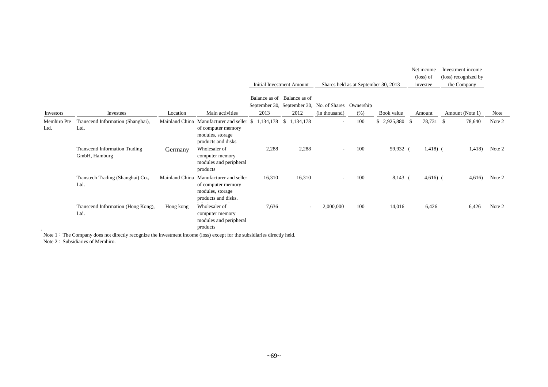|                     |                                                       |                |                                                                                                        |                             | Initial Investment Amount | Shares held as at September 30, 2013                                 |      | Net income<br>(loss) of<br>investee | Investment income<br>(loss) recognized by<br>the Company |                 |        |
|---------------------|-------------------------------------------------------|----------------|--------------------------------------------------------------------------------------------------------|-----------------------------|---------------------------|----------------------------------------------------------------------|------|-------------------------------------|----------------------------------------------------------|-----------------|--------|
|                     |                                                       |                |                                                                                                        | Balance as of Balance as of |                           |                                                                      |      |                                     |                                                          |                 |        |
| Investors           | Investees                                             | Location       | Main activities                                                                                        | 2013                        | 2012                      | September 30, September 30, No. of Shares Ownership<br>(in thousand) | (% ) | Book value                          | Amount                                                   | Amount (Note 1) | Note   |
| Memhiro Pte<br>Ltd. | Transcend Information (Shanghai),<br>Ltd.             |                | Mainland China Manufacturer and seller<br>of computer memory<br>modules, storage<br>products and disks | S.                          | 1,134,178 \$ 1,134,178    |                                                                      | 100  | $$2,925,880$ \;                     | 78,731 \$                                                | 78,640          | Note 2 |
|                     | <b>Transcend Information Trading</b><br>GmbH, Hamburg | Germany        | Wholesaler of<br>computer memory<br>modules and peripheral<br>products                                 | 2,288                       | 2,288                     | $\overline{\phantom{a}}$                                             | 100  | 59,932 (                            | $1,418$ $($                                              | 1,418)          | Note 2 |
|                     | Transtech Trading (Shanghai) Co.,<br>Ltd.             | Mainland China | Manufacturer and seller<br>of computer memory<br>modules, storage<br>products and disks.               | 16,310                      | 16,310                    | ٠                                                                    | 100  | 8,143                               | $4,616$ (                                                | 4,616)          | Note 2 |
|                     | Transcend Information (Hong Kong),<br>Ltd.            | Hong kong      | Wholesaler of<br>computer memory<br>modules and peripheral<br>products                                 | 7,636                       |                           | 2,000,000<br>$\sim$                                                  | 100  | 14,016                              | 6,426                                                    | 6,426           | Note 2 |

Note 1: The Company does not directly recognize the investment income (loss) except for the subsidiaries directly held.

Note 2: Subsidiaries of Memhiro.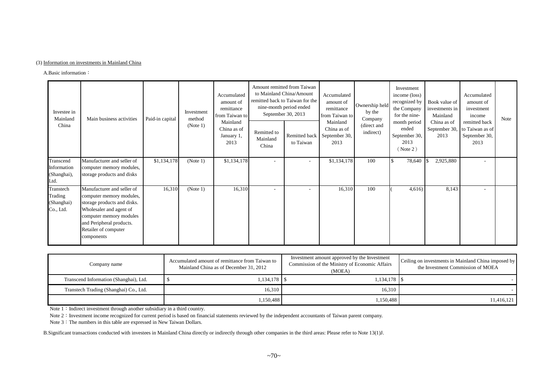#### (3) Information on investments in Mainland China

#### A.Basic information:

| Investee in<br>Mainland<br>China                | Main business activities                                                                                                                                                                                      | Paid-in capital | Investment<br>method<br>(Note 1) | Accumulated<br>amount of<br>remittance<br>from Taiwan to<br>Mainland<br>China as of<br>January 1,<br>2013 | Amount remitted from Taiwan<br>to Mainland China/Amount<br>remitted back to Taiwan for the<br>nine-month period ended<br>September 30, 2013 |                            | Accumulated<br>amount of<br>remittance<br>from Taiwan to | Ownership held<br>by the<br>Company | Investment<br>income (loss)<br>recognized by<br>the Company<br>for the nine- | Book value of<br>investments in<br>Mainland | Accumulated<br>amount of<br>investment<br>income          | Note |
|-------------------------------------------------|---------------------------------------------------------------------------------------------------------------------------------------------------------------------------------------------------------------|-----------------|----------------------------------|-----------------------------------------------------------------------------------------------------------|---------------------------------------------------------------------------------------------------------------------------------------------|----------------------------|----------------------------------------------------------|-------------------------------------|------------------------------------------------------------------------------|---------------------------------------------|-----------------------------------------------------------|------|
|                                                 |                                                                                                                                                                                                               |                 |                                  |                                                                                                           | Remitted to<br>Mainland<br>China                                                                                                            | Remitted back<br>to Taiwan | Mainland<br>China as of<br>September 30,<br>2013         | (direct and<br>indirect)            | month period<br>ended<br>September 30,<br>2013<br>(Note 2)                   | China as of<br>September 30,<br>2013        | remitted back<br>to Taiwan as of<br>September 30,<br>2013 |      |
| Transcend<br>Information<br>(Shanghai),<br>Ltd. | Manufacturer and seller of<br>computer memory modules,<br>storage products and disks                                                                                                                          | \$1,134,178     | (Note 1)                         | \$1,134,178                                                                                               | $\overline{\phantom{a}}$                                                                                                                    | $\sim$                     | \$1,134,178                                              | 100                                 | 78,640                                                                       | 2,925,880                                   | $\overline{\phantom{a}}$                                  |      |
| Transtech<br>Trading<br>(Shanghai)<br>Co., Ltd. | Manufacturer and seller of<br>computer memory modules,<br>storage products and disks.<br>Wholesaler and agent of<br>computer memory modules<br>and Peripheral products.<br>Retailer of computer<br>components | 16,310          | (Note 1)                         | 16,310                                                                                                    |                                                                                                                                             |                            | 16,310                                                   | 100                                 | 4,616)                                                                       | 8,143                                       | $\overline{\phantom{a}}$                                  |      |

| Company name                           | Accumulated amount of remittance from Taiwan to<br>Mainland China as of December 31, 2012 | Investment amount approved by the Investment<br>Commission of the Ministry of Economic Affairs<br>(MOEA) | Ceiling on investments in Mainland China imposed by<br>the Investment Commission of MOEA |
|----------------------------------------|-------------------------------------------------------------------------------------------|----------------------------------------------------------------------------------------------------------|------------------------------------------------------------------------------------------|
| Transcend Information (Shanghai), Ltd. |                                                                                           | 1.134.178 S                                                                                              |                                                                                          |
| Transtech Trading (Shanghai) Co., Ltd. | 16.310                                                                                    | 16.310                                                                                                   |                                                                                          |
|                                        | 1,150,488                                                                                 | 1,150,488                                                                                                | 11,416,121                                                                               |

Note 1: Indirect investment through another subsidiary in a third country.

Note 2: Investment income recognized for current period is based on financial statements reviewed by the independent accountants of Taiwan parent company.

Note 3: The numbers in this table are expressed in New Taiwan Dollars.

B.Significant transactions conducted with investees in Mainland China directly or indirectly through other companies in the third areas: Please refer to Note 13(1)J.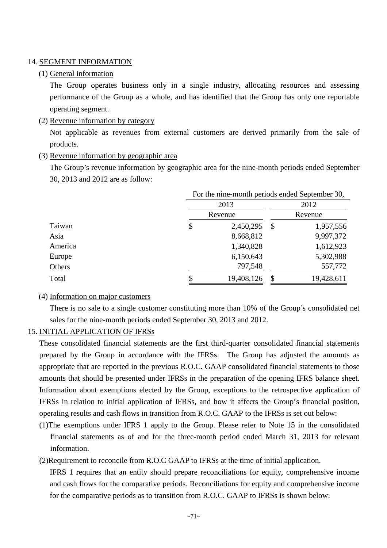#### 14. SEGMENT INFORMATION

#### (1) General information

The Group operates business only in a single industry, allocating resources and assessing performance of the Group as a whole, and has identified that the Group has only one reportable operating segment.

#### (2) Revenue information by category

Not applicable as revenues from external customers are derived primarily from the sale of products.

#### (3) Revenue information by geographic area

The Group's revenue information by geographic area for the nine-month periods ended September 30, 2013 and 2012 are as follow:

|         | For the nine-month periods ended September 30,<br>2013<br>2012 |            |               |            |  |  |
|---------|----------------------------------------------------------------|------------|---------------|------------|--|--|
|         |                                                                | Revenue    |               |            |  |  |
|         | Revenue                                                        |            |               |            |  |  |
| Taiwan  | \$                                                             | 2,450,295  | $\mathcal{S}$ | 1,957,556  |  |  |
| Asia    |                                                                | 8,668,812  |               | 9,997,372  |  |  |
| America |                                                                | 1,340,828  |               | 1,612,923  |  |  |
| Europe  |                                                                | 6,150,643  |               | 5,302,988  |  |  |
| Others  |                                                                | 797,548    |               | 557,772    |  |  |
| Total   |                                                                | 19,408,126 |               | 19,428,611 |  |  |

### (4) Information on major customers

There is no sale to a single customer constituting more than 10% of the Group's consolidated net sales for the nine-month periods ended September 30, 2013 and 2012.

### 15. INITIAL APPLICATION OF IFRSs

These consolidated financial statements are the first third-quarter consolidated financial statements prepared by the Group in accordance with the IFRSs. The Group has adjusted the amounts as appropriate that are reported in the previous R.O.C. GAAP consolidated financial statements to those amounts that should be presented under IFRSs in the preparation of the opening IFRS balance sheet. Information about exemptions elected by the Group, exceptions to the retrospective application of IFRSs in relation to initial application of IFRSs, and how it affects the Group's financial position, operating results and cash flows in transition from R.O.C. GAAP to the IFRSs is set out below:

- (1)The exemptions under IFRS 1 apply to the Group. Please refer to Note 15 in the consolidated financial statements as of and for the three-month period ended March 31, 2013 for relevant information.
- (2)Requirement to reconcile from R.O.C GAAP to IFRSs at the time of initial application.

IFRS 1 requires that an entity should prepare reconciliations for equity, comprehensive income and cash flows for the comparative periods. Reconciliations for equity and comprehensive income for the comparative periods as to transition from R.O.C. GAAP to IFRSs is shown below: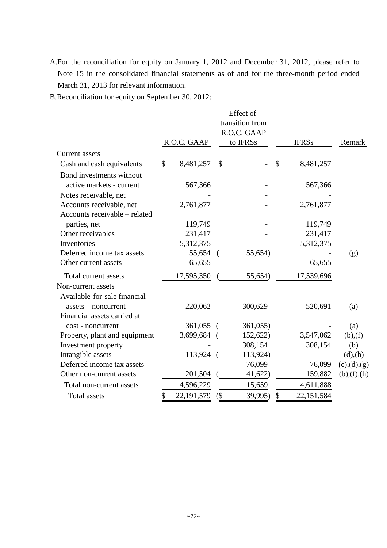A.For the reconciliation for equity on January 1, 2012 and December 31, 2012, please refer to Note 15 in the consolidated financial statements as of and for the three-month period ended March 31, 2013 for relevant information.

B.Reconciliation for equity on September 30, 2012:

|                               |    |             |               | Effect of<br>transition from<br>R.O.C. GAAP |               |              |               |
|-------------------------------|----|-------------|---------------|---------------------------------------------|---------------|--------------|---------------|
|                               |    | R.O.C. GAAP |               | to IFRSs                                    |               | <b>IFRSs</b> | Remark        |
| <b>Current assets</b>         |    |             |               |                                             |               |              |               |
| Cash and cash equivalents     | \$ | 8,481,257   | $\mathcal{S}$ |                                             | $\mathcal{S}$ | 8,481,257    |               |
| Bond investments without      |    |             |               |                                             |               |              |               |
| active markets - current      |    | 567,366     |               |                                             |               | 567,366      |               |
| Notes receivable, net         |    |             |               |                                             |               |              |               |
| Accounts receivable, net      |    | 2,761,877   |               |                                             |               | 2,761,877    |               |
| Accounts receivable - related |    |             |               |                                             |               |              |               |
| parties, net                  |    | 119,749     |               |                                             |               | 119,749      |               |
| Other receivables             |    | 231,417     |               |                                             |               | 231,417      |               |
| Inventories                   |    | 5,312,375   |               |                                             |               | 5,312,375    |               |
| Deferred income tax assets    |    | 55,654      | - (           | 55,654)                                     |               |              | (g)           |
| Other current assets          |    | 65,655      |               |                                             |               | 65,655       |               |
| Total current assets          |    | 17,595,350  |               | 55,654)                                     |               | 17,539,696   |               |
| Non-current assets            |    |             |               |                                             |               |              |               |
| Available-for-sale financial  |    |             |               |                                             |               |              |               |
| $asserts$ – noncurrent        |    | 220,062     |               | 300,629                                     |               | 520,691      | (a)           |
| Financial assets carried at   |    |             |               |                                             |               |              |               |
| cost - noncurrent             |    | 361,055     |               | 361,055)                                    |               |              | (a)           |
| Property, plant and equipment |    | 3,699,684 ( |               | 152,622)                                    |               | 3,547,062    | (b),(f)       |
| Investment property           |    |             |               | 308,154                                     |               | 308,154      | (b)           |
| Intangible assets             |    | 113,924     | - (           | 113,924)                                    |               |              | (d),(h)       |
| Deferred income tax assets    |    |             |               | 76,099                                      |               | 76,099       | (c),(d),(g)   |
| Other non-current assets      |    | 201,504     |               | 41,622)                                     |               | 159,882      | (b), (f), (h) |
| Total non-current assets      |    | 4,596,229   |               | 15,659                                      |               | 4,611,888    |               |
| Total assets                  | \$ | 22,191,579  | $($ \$        | 39,995)                                     | \$            | 22,151,584   |               |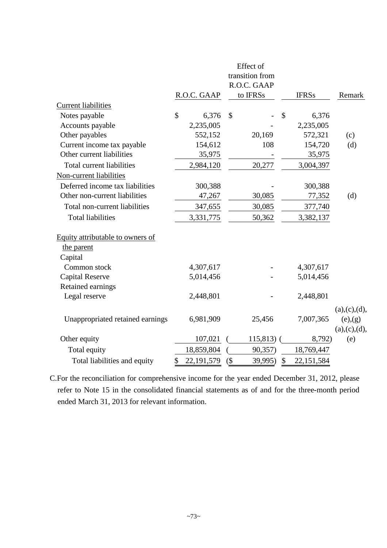|                                  |                       | Effect of         |                        |                |
|----------------------------------|-----------------------|-------------------|------------------------|----------------|
|                                  |                       | transition from   |                        |                |
|                                  |                       | R.O.C. GAAP       |                        |                |
|                                  | R.O.C. GAAP           | to IFRSs          | <b>IFRSs</b>           | Remark         |
| <b>Current liabilities</b>       |                       |                   |                        |                |
| Notes payable                    | $\mathbb{S}$<br>6,376 | \$                | $\mathcal{S}$<br>6,376 |                |
| Accounts payable                 | 2,235,005             |                   | 2,235,005              |                |
| Other payables                   | 552,152               | 20,169            | 572,321                | (c)            |
| Current income tax payable       | 154,612               | 108               | 154,720                | (d)            |
| Other current liabilities        | 35,975                |                   | 35,975                 |                |
| <b>Total current liabilities</b> | 2,984,120             | 20,277            | 3,004,397              |                |
| Non-current liabilities          |                       |                   |                        |                |
| Deferred income tax liabilities  | 300,388               |                   | 300,388                |                |
| Other non-current liabilities    | 47,267                | 30,085            | 77,352                 | (d)            |
| Total non-current liabilities    | 347,655               | 30,085            | 377,740                |                |
| <b>Total liabilities</b>         | 3,331,775             | 50,362            | 3,382,137              |                |
| Equity attributable to owners of |                       |                   |                        |                |
| the parent                       |                       |                   |                        |                |
| Capital                          |                       |                   |                        |                |
| Common stock                     | 4,307,617             |                   | 4,307,617              |                |
| <b>Capital Reserve</b>           | 5,014,456             |                   | 5,014,456              |                |
| Retained earnings                |                       |                   |                        |                |
| Legal reserve                    | 2,448,801             |                   | 2,448,801              |                |
|                                  |                       |                   |                        | (a), (c), (d), |
| Unappropriated retained earnings | 6,981,909             | 25,456            | 7,007,365              | (e), (g)       |
|                                  |                       |                   |                        | (a), (c), (d), |
| Other equity                     | 107,021               | $115,813$ (       | 8,792)                 | (e)            |
| Total equity                     | 18,859,804            | 90,357)           | 18,769,447             |                |
| Total liabilities and equity     | 22, 191, 579<br>\$    | $($ \$<br>39,995) | 22,151,584<br>\$       |                |

C.For the reconciliation for comprehensive income for the year ended December 31, 2012, please refer to Note 15 in the consolidated financial statements as of and for the three-month period ended March 31, 2013 for relevant information.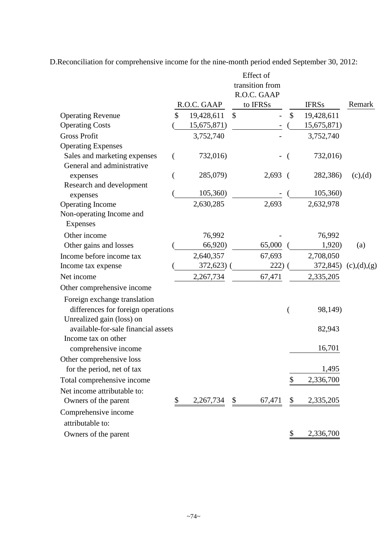D.Reconciliation for comprehensive income for the nine-month period ended September 30, 2012:

|                                                            |    |             |    | Effect of        |                |              |             |
|------------------------------------------------------------|----|-------------|----|------------------|----------------|--------------|-------------|
|                                                            |    |             |    | transition from  |                |              |             |
|                                                            |    |             |    | R.O.C. GAAP      |                |              |             |
|                                                            |    | R.O.C. GAAP |    | to IFRSs         |                | <b>IFRSs</b> | Remark      |
| <b>Operating Revenue</b>                                   | \$ | 19,428,611  | \$ |                  | \$             | 19,428,611   |             |
| <b>Operating Costs</b>                                     |    | 15,675,871) |    |                  |                | 15,675,871)  |             |
| <b>Gross Profit</b>                                        |    | 3,752,740   |    |                  |                | 3,752,740    |             |
| <b>Operating Expenses</b>                                  |    |             |    |                  |                |              |             |
| Sales and marketing expenses<br>General and administrative |    | 732,016)    |    |                  | $\overline{ }$ | 732,016)     |             |
| expenses                                                   |    | 285,079)    |    | $2,693$ (        |                | 282,386)     | (c),(d)     |
| Research and development                                   |    |             |    |                  |                |              |             |
| expenses                                                   |    | 105,360)    |    |                  |                | 105,360)     |             |
| <b>Operating Income</b>                                    |    | 2,630,285   |    | 2,693            |                | 2,632,978    |             |
| Non-operating Income and                                   |    |             |    |                  |                |              |             |
| Expenses                                                   |    |             |    |                  |                |              |             |
| Other income                                               |    | 76,992      |    |                  |                | 76,992       |             |
| Other gains and losses                                     |    | 66,920)     |    | 65,000           |                | 1,920)       | (a)         |
| Income before income tax                                   |    | 2,640,357   |    | 67,693           |                | 2,708,050    |             |
| Income tax expense                                         |    | 372,623)    |    | 222)             |                | 372,845)     | (c),(d),(g) |
| Net income                                                 |    | 2,267,734   |    | 67,471           |                | 2,335,205    |             |
| Other comprehensive income                                 |    |             |    |                  |                |              |             |
| Foreign exchange translation                               |    |             |    |                  |                |              |             |
| differences for foreign operations                         |    |             |    |                  |                | 98,149)      |             |
| Unrealized gain (loss) on                                  |    |             |    |                  |                |              |             |
| available-for-sale financial assets                        |    |             |    |                  |                | 82,943       |             |
| Income tax on other                                        |    |             |    |                  |                |              |             |
| comprehensive income                                       |    |             |    |                  |                | 16,701       |             |
| Other comprehensive loss                                   |    |             |    |                  |                |              |             |
| for the period, net of tax                                 |    |             |    |                  |                | 1,495        |             |
| Total comprehensive income                                 |    |             |    |                  | \$             | 2,336,700    |             |
| Net income attributable to:                                |    |             |    |                  |                |              |             |
| Owners of the parent                                       | \$ | 2,267,734   |    | $\sim$<br>67,471 | \$             | 2,335,205    |             |
| Comprehensive income                                       |    |             |    |                  |                |              |             |
| attributable to:                                           |    |             |    |                  |                |              |             |
| Owners of the parent                                       |    |             |    |                  | \$             | 2,336,700    |             |
|                                                            |    |             |    |                  |                |              |             |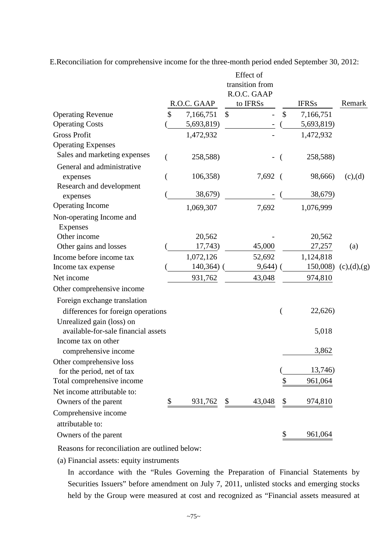E.Reconciliation for comprehensive income for the three-month period ended September 30, 2012:

|                                     |            |                                   | Effect of |                                |                           |                               |
|-------------------------------------|------------|-----------------------------------|-----------|--------------------------------|---------------------------|-------------------------------|
|                                     |            |                                   |           |                                |                           |                               |
|                                     |            |                                   |           |                                |                           |                               |
|                                     |            |                                   | to IFRSs  |                                | <b>IFRSs</b>              | Remark                        |
| \$                                  | 7,166,751  | $\mathcal{S}$                     |           | $\mathcal{S}$                  | 7,166,751                 |                               |
|                                     | 5,693,819) |                                   |           |                                | 5,693,819)                |                               |
|                                     | 1,472,932  |                                   |           |                                | 1,472,932                 |                               |
|                                     |            |                                   |           |                                |                           |                               |
|                                     | 258,588)   |                                   |           |                                | 258,588)                  |                               |
|                                     |            |                                   |           |                                |                           |                               |
|                                     | 106,358)   |                                   |           |                                | 98,666)                   | (c),(d)                       |
|                                     |            |                                   |           |                                |                           |                               |
|                                     |            |                                   |           |                                |                           |                               |
|                                     | 1,069,307  |                                   | 7,692     |                                | 1,076,999                 |                               |
|                                     |            |                                   |           |                                |                           |                               |
|                                     |            |                                   |           |                                |                           |                               |
|                                     | 20,562     |                                   |           |                                | 20,562                    |                               |
|                                     |            |                                   | 45,000    |                                | 27,257                    | (a)                           |
|                                     | 1,072,126  |                                   | 52,692    |                                | 1,124,818                 |                               |
|                                     | 140,364)   |                                   |           |                                | 150,008)                  | (c),(d),(g)                   |
|                                     | 931,762    |                                   | 43,048    |                                | 974,810                   |                               |
|                                     |            |                                   |           |                                |                           |                               |
|                                     |            |                                   |           |                                |                           |                               |
| differences for foreign operations  |            |                                   |           | €                              | 22,626)                   |                               |
|                                     |            |                                   |           |                                |                           |                               |
| available-for-sale financial assets |            |                                   |           |                                | 5,018                     |                               |
|                                     |            |                                   |           |                                |                           |                               |
|                                     |            |                                   |           |                                | 3,862                     |                               |
|                                     |            |                                   |           |                                |                           |                               |
|                                     |            |                                   |           |                                |                           |                               |
|                                     |            |                                   |           |                                |                           |                               |
|                                     |            |                                   |           |                                |                           |                               |
| \$                                  | 931,762    | \$                                | 43,048    | \$                             | 974,810                   |                               |
|                                     |            |                                   |           |                                |                           |                               |
|                                     |            |                                   |           |                                |                           |                               |
|                                     |            |                                   |           | \$                             | 961,064                   |                               |
|                                     |            | R.O.C. GAAP<br>38,679)<br>17,743) |           | transition from<br>R.O.C. GAAP | $7,692$ (<br>9,644)<br>\$ | 38,679)<br>13,746)<br>961,064 |

Reasons for reconciliation are outlined below:

(a) Financial assets: equity instruments

In accordance with the "Rules Governing the Preparation of Financial Statements by Securities Issuers" before amendment on July 7, 2011, unlisted stocks and emerging stocks held by the Group were measured at cost and recognized as "Financial assets measured at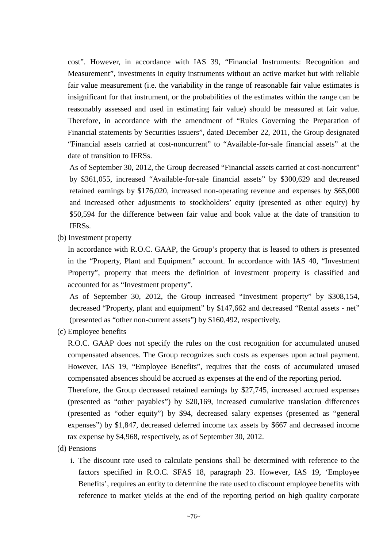cost". However, in accordance with IAS 39, "Financial Instruments: Recognition and Measurement", investments in equity instruments without an active market but with reliable fair value measurement (i.e. the variability in the range of reasonable fair value estimates is insignificant for that instrument, or the probabilities of the estimates within the range can be reasonably assessed and used in estimating fair value) should be measured at fair value. Therefore, in accordance with the amendment of "Rules Governing the Preparation of Financial statements by Securities Issuers", dated December 22, 2011, the Group designated "Financial assets carried at cost-noncurrent" to "Available-for-sale financial assets" at the date of transition to IFRSs.

As of September 30, 2012, the Group decreased "Financial assets carried at cost-noncurrent" by \$361,055, increased "Available-for-sale financial assets" by \$300,629 and decreased retained earnings by \$176,020, increased non-operating revenue and expenses by \$65,000 and increased other adjustments to stockholders' equity (presented as other equity) by \$50,594 for the difference between fair value and book value at the date of transition to IFRSs.

(b) Investment property

In accordance with R.O.C. GAAP, the Group's property that is leased to others is presented in the "Property, Plant and Equipment" account. In accordance with IAS 40, "Investment Property", property that meets the definition of investment property is classified and accounted for as "Investment property".

As of September 30, 2012, the Group increased "Investment property" by \$308,154, decreased "Property, plant and equipment" by \$147,662 and decreased "Rental assets - net" (presented as "other non-current assets") by \$160,492, respectively.

(c) Employee benefits

R.O.C. GAAP does not specify the rules on the cost recognition for accumulated unused compensated absences. The Group recognizes such costs as expenses upon actual payment. However, IAS 19, "Employee Benefits", requires that the costs of accumulated unused compensated absences should be accrued as expenses at the end of the reporting period.

Therefore, the Group decreased retained earnings by \$27,745, increased accrued expenses (presented as "other payables") by \$20,169, increased cumulative translation differences (presented as "other equity") by \$94, decreased salary expenses (presented as "general expenses") by \$1,847, decreased deferred income tax assets by \$667 and decreased income tax expense by \$4,968, respectively, as of September 30, 2012.

- (d) Pensions
	- i. The discount rate used to calculate pensions shall be determined with reference to the factors specified in R.O.C. SFAS 18, paragraph 23. However, IAS 19, 'Employee Benefits', requires an entity to determine the rate used to discount employee benefits with reference to market yields at the end of the reporting period on high quality corporate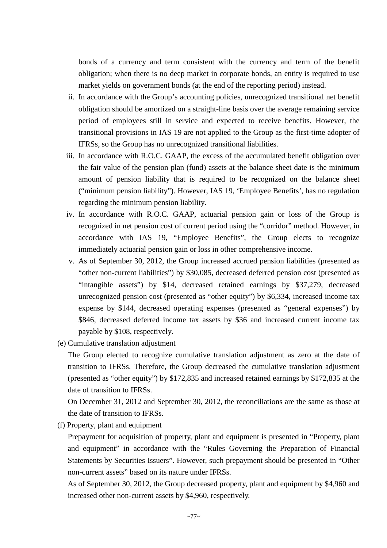bonds of a currency and term consistent with the currency and term of the benefit obligation; when there is no deep market in corporate bonds, an entity is required to use market yields on government bonds (at the end of the reporting period) instead.

- ii. In accordance with the Group's accounting policies, unrecognized transitional net benefit obligation should be amortized on a straight-line basis over the average remaining service period of employees still in service and expected to receive benefits. However, the transitional provisions in IAS 19 are not applied to the Group as the first-time adopter of IFRSs, so the Group has no unrecognized transitional liabilities.
- iii. In accordance with R.O.C. GAAP, the excess of the accumulated benefit obligation over the fair value of the pension plan (fund) assets at the balance sheet date is the minimum amount of pension liability that is required to be recognized on the balance sheet ("minimum pension liability"). However, IAS 19, 'Employee Benefits', has no regulation regarding the minimum pension liability.
- iv. In accordance with R.O.C. GAAP, actuarial pension gain or loss of the Group is recognized in net pension cost of current period using the "corridor" method. However, in accordance with IAS 19, "Employee Benefits", the Group elects to recognize immediately actuarial pension gain or loss in other comprehensive income.
- v. As of September 30, 2012, the Group increased accrued pension liabilities (presented as "other non-current liabilities") by \$30,085, decreased deferred pension cost (presented as "intangible assets") by \$14, decreased retained earnings by \$37,279, decreased unrecognized pension cost (presented as "other equity") by \$6,334, increased income tax expense by \$144, decreased operating expenses (presented as "general expenses") by \$846, decreased deferred income tax assets by \$36 and increased current income tax payable by \$108, respectively.
- (e) Cumulative translation adjustment

The Group elected to recognize cumulative translation adjustment as zero at the date of transition to IFRSs. Therefore, the Group decreased the cumulative translation adjustment (presented as "other equity") by \$172,835 and increased retained earnings by \$172,835 at the date of transition to IFRSs.

On December 31, 2012 and September 30, 2012, the reconciliations are the same as those at the date of transition to IFRSs.

(f) Property, plant and equipment

Prepayment for acquisition of property, plant and equipment is presented in "Property, plant and equipment" in accordance with the "Rules Governing the Preparation of Financial Statements by Securities Issuers". However, such prepayment should be presented in "Other non-current assets" based on its nature under IFRSs.

As of September 30, 2012, the Group decreased property, plant and equipment by \$4,960 and increased other non-current assets by \$4,960, respectively.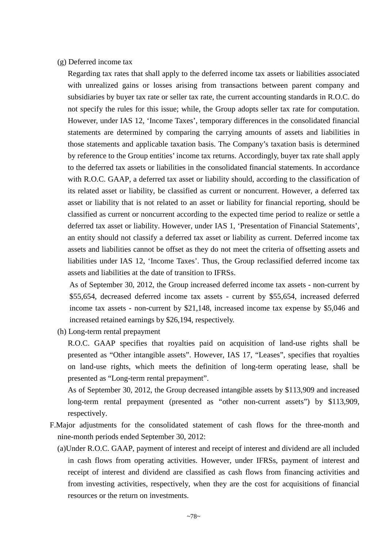## (g) Deferred income tax

Regarding tax rates that shall apply to the deferred income tax assets or liabilities associated with unrealized gains or losses arising from transactions between parent company and subsidiaries by buyer tax rate or seller tax rate, the current accounting standards in R.O.C. do not specify the rules for this issue; while, the Group adopts seller tax rate for computation. However, under IAS 12, 'Income Taxes', temporary differences in the consolidated financial statements are determined by comparing the carrying amounts of assets and liabilities in those statements and applicable taxation basis. The Company's taxation basis is determined by reference to the Group entities' income tax returns. Accordingly, buyer tax rate shall apply to the deferred tax assets or liabilities in the consolidated financial statements. In accordance with R.O.C. GAAP, a deferred tax asset or liability should, according to the classification of its related asset or liability, be classified as current or noncurrent. However, a deferred tax asset or liability that is not related to an asset or liability for financial reporting, should be classified as current or noncurrent according to the expected time period to realize or settle a deferred tax asset or liability. However, under IAS 1, 'Presentation of Financial Statements', an entity should not classify a deferred tax asset or liability as current. Deferred income tax assets and liabilities cannot be offset as they do not meet the criteria of offsetting assets and liabilities under IAS 12, 'Income Taxes'. Thus, the Group reclassified deferred income tax assets and liabilities at the date of transition to IFRSs.

As of September 30, 2012, the Group increased deferred income tax assets - non-current by \$55,654, decreased deferred income tax assets - current by \$55,654, increased deferred income tax assets - non-current by \$21,148, increased income tax expense by \$5,046 and increased retained earnings by \$26,194, respectively.

(h) Long-term rental prepayment

R.O.C. GAAP specifies that royalties paid on acquisition of land-use rights shall be presented as "Other intangible assets". However, IAS 17, "Leases", specifies that royalties on land-use rights, which meets the definition of long-term operating lease, shall be presented as "Long-term rental prepayment".

As of September 30, 2012, the Group decreased intangible assets by \$113,909 and increased long-term rental prepayment (presented as "other non-current assets") by \$113,909, respectively.

- F.Major adjustments for the consolidated statement of cash flows for the three-month and nine-month periods ended September 30, 2012:
	- (a)Under R.O.C. GAAP, payment of interest and receipt of interest and dividend are all included in cash flows from operating activities. However, under IFRSs, payment of interest and receipt of interest and dividend are classified as cash flows from financing activities and from investing activities, respectively, when they are the cost for acquisitions of financial resources or the return on investments.